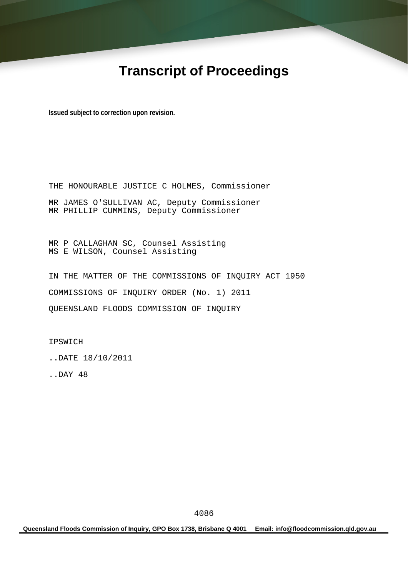# **Transcript of Proceedings**

**Issued subject to correction upon revision.** 

THE HONOURABLE JUSTICE C HOLMES, Commissioner MR JAMES O'SULLIVAN AC, Deputy Commissioner MR PHILLIP CUMMINS, Deputy Commissioner

MR P CALLAGHAN SC, Counsel Assisting MS E WILSON, Counsel Assisting

IN THE MATTER OF THE COMMISSIONS OF INQUIRY ACT 1950 COMMISSIONS OF INQUIRY ORDER (No. 1) 2011 QUEENSLAND FLOODS COMMISSION OF INQUIRY

IPSWICH

..DATE 18/10/2011

..DAY 48

**Queensland Floods Commission of Inquiry, GPO Box 1738, Brisbane Q 4001 Email: info@floodcommission.qld.gov.au**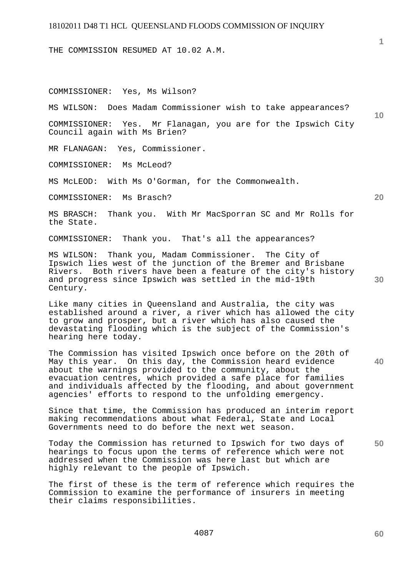THE COMMISSION RESUMED AT 10.02 A.M.

COMMISSIONER: Yes, Ms Wilson?

MS WILSON: Does Madam Commissioner wish to take appearances?

COMMISSIONER: Yes. Mr Flanagan, you are for the Ipswich City Council again with Ms Brien?

MR FLANAGAN: Yes, Commissioner.

COMMISSIONER: Ms McLeod?

MS McLEOD: With Ms O'Gorman, for the Commonwealth.

COMMISSIONER: Ms Brasch?

MS BRASCH: Thank you. With Mr MacSporran SC and Mr Rolls for the State.

COMMISSIONER: Thank you. That's all the appearances?

MS WILSON: Thank you, Madam Commissioner. The City of Ipswich lies west of the junction of the Bremer and Brisbane Rivers. Both rivers have been a feature of the city's history and progress since Ipswich was settled in the mid-19th Century.

Like many cities in Queensland and Australia, the city was established around a river, a river which has allowed the city to grow and prosper, but a river which has also caused the devastating flooding which is the subject of the Commission's hearing here today.

The Commission has visited Ipswich once before on the 20th of May this year. On this day, the Commission heard evidence about the warnings provided to the community, about the evacuation centres, which provided a safe place for families and individuals affected by the flooding, and about government agencies' efforts to respond to the unfolding emergency.

Since that time, the Commission has produced an interim report making recommendations about what Federal, State and Local Governments need to do before the next wet season.

**50**  Today the Commission has returned to Ipswich for two days of hearings to focus upon the terms of reference which were not addressed when the Commission was here last but which are highly relevant to the people of Ipswich.

The first of these is the term of reference which requires the Commission to examine the performance of insurers in meeting their claims responsibilities.

**40** 

**30** 

**10** 

**20**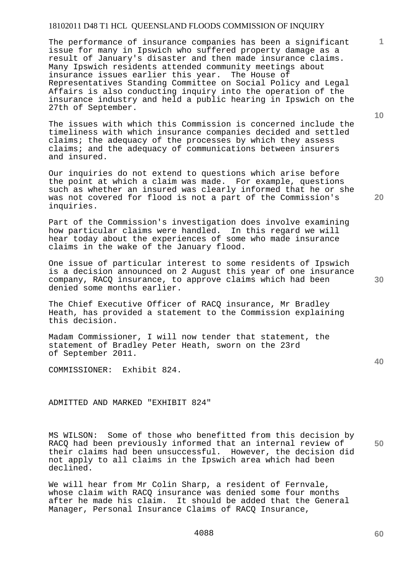The performance of insurance companies has been a significant issue for many in Ipswich who suffered property damage as a result of January's disaster and then made insurance claims. Many Ipswich residents attended community meetings about insurance issues earlier this year. The House of Representatives Standing Committee on Social Policy and Legal Affairs is also conducting inquiry into the operation of the insurance industry and held a public hearing in Ipswich on the 27th of September.

The issues with which this Commission is concerned include the timeliness with which insurance companies decided and settled claims; the adequacy of the processes by which they assess claims; and the adequacy of communications between insurers and insured.

Our inquiries do not extend to questions which arise before the point at which a claim was made. For example, questions such as whether an insured was clearly informed that he or she was not covered for flood is not a part of the Commission's inquiries.

Part of the Commission's investigation does involve examining how particular claims were handled. In this regard we will hear today about the experiences of some who made insurance claims in the wake of the January flood.

One issue of particular interest to some residents of Ipswich is a decision announced on 2 August this year of one insurance company, RACQ insurance, to approve claims which had been denied some months earlier.

The Chief Executive Officer of RACQ insurance, Mr Bradley Heath, has provided a statement to the Commission explaining this decision.

Madam Commissioner, I will now tender that statement, the statement of Bradley Peter Heath, sworn on the 23rd of September 2011.

COMMISSIONER: Exhibit 824.

ADMITTED AND MARKED "EXHIBIT 824"

MS WILSON: Some of those who benefitted from this decision by RACQ had been previously informed that an internal review of their claims had been unsuccessful. However, the decision did not apply to all claims in the Ipswich area which had been declined.

We will hear from Mr Colin Sharp, a resident of Fernvale, whose claim with RACQ insurance was denied some four months after he made his claim. It should be added that the General Manager, Personal Insurance Claims of RACQ Insurance,

**10** 

**1**

**20** 

**40**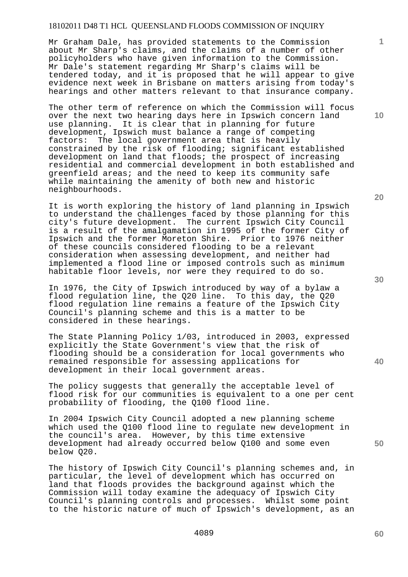Mr Graham Dale, has provided statements to the Commission about Mr Sharp's claims, and the claims of a number of other policyholders who have given information to the Commission. Mr Dale's statement regarding Mr Sharp's claims will be tendered today, and it is proposed that he will appear to give evidence next week in Brisbane on matters arising from today's hearings and other matters relevant to that insurance company.

The other term of reference on which the Commission will focus over the next two hearing days here in Ipswich concern land use planning. It is clear that in planning for future development, Ipswich must balance a range of competing factors: The local government area that is heavily constrained by the risk of flooding; significant established development on land that floods; the prospect of increasing residential and commercial development in both established and greenfield areas; and the need to keep its community safe while maintaining the amenity of both new and historic neighbourhoods.

It is worth exploring the history of land planning in Ipswich to understand the challenges faced by those planning for this city's future development. The current Ipswich City Council is a result of the amalgamation in 1995 of the former City of Ipswich and the former Moreton Shire. Prior to 1976 neither of these councils considered flooding to be a relevant consideration when assessing development, and neither had implemented a flood line or imposed controls such as minimum habitable floor levels, nor were they required to do so.

In 1976, the City of Ipswich introduced by way of a bylaw a flood regulation line, the Q20 line. To this day, the Q20 flood regulation line remains a feature of the Ipswich City Council's planning scheme and this is a matter to be considered in these hearings.

The State Planning Policy 1/03, introduced in 2003, expressed explicitly the State Government's view that the risk of flooding should be a consideration for local governments who remained responsible for assessing applications for development in their local government areas.

The policy suggests that generally the acceptable level of flood risk for our communities is equivalent to a one per cent probability of flooding, the Q100 flood line.

In 2004 Ipswich City Council adopted a new planning scheme which used the Q100 flood line to regulate new development in the council's area. However, by this time extensive development had already occurred below Q100 and some even below Q20.

The history of Ipswich City Council's planning schemes and, in particular, the level of development which has occurred on land that floods provides the background against which the Commission will today examine the adequacy of Ipswich City Council's planning controls and processes. Whilst some point to the historic nature of much of Ipswich's development, as an **20** 

**1**

**10** 

**30** 

**40** 

**50**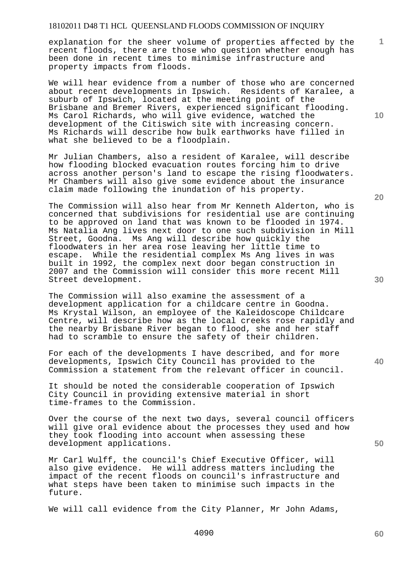explanation for the sheer volume of properties affected by the recent floods, there are those who question whether enough has been done in recent times to minimise infrastructure and property impacts from floods.

We will hear evidence from a number of those who are concerned about recent developments in Ipswich. Residents of Karalee, a suburb of Ipswich, located at the meeting point of the Brisbane and Bremer Rivers, experienced significant flooding. Ms Carol Richards, who will give evidence, watched the development of the Citiswich site with increasing concern. Ms Richards will describe how bulk earthworks have filled in what she believed to be a floodplain.

Mr Julian Chambers, also a resident of Karalee, will describe how flooding blocked evacuation routes forcing him to drive across another person's land to escape the rising floodwaters. Mr Chambers will also give some evidence about the insurance claim made following the inundation of his property.

The Commission will also hear from Mr Kenneth Alderton, who is concerned that subdivisions for residential use are continuing to be approved on land that was known to be flooded in 1974. Ms Natalia Ang lives next door to one such subdivision in Mill Street, Goodna. Ms Ang will describe how quickly the floodwaters in her area rose leaving her little time to escape. While the residential complex Ms Ang lives in was built in 1992, the complex next door began construction in 2007 and the Commission will consider this more recent Mill Street development.

The Commission will also examine the assessment of a development application for a childcare centre in Goodna. Ms Krystal Wilson, an employee of the Kaleidoscope Childcare Centre, will describe how as the local creeks rose rapidly and the nearby Brisbane River began to flood, she and her staff had to scramble to ensure the safety of their children.

For each of the developments I have described, and for more developments, Ipswich City Council has provided to the Commission a statement from the relevant officer in council.

It should be noted the considerable cooperation of Ipswich City Council in providing extensive material in short time-frames to the Commission.

Over the course of the next two days, several council officers will give oral evidence about the processes they used and how they took flooding into account when assessing these development applications.

Mr Carl Wulff, the council's Chief Executive Officer, will also give evidence. He will address matters including the impact of the recent floods on council's infrastructure and what steps have been taken to minimise such impacts in the future.

We will call evidence from the City Planner, Mr John Adams,

**20** 

**10** 

**1**

**40** 

**50**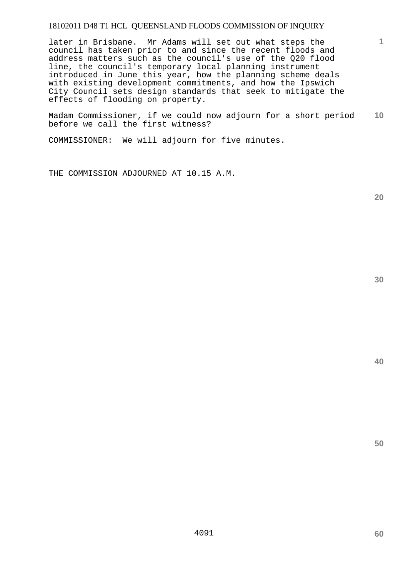later in Brisbane. Mr Adams will set out what steps the council has taken prior to and since the recent floods and address matters such as the council's use of the Q20 flood line, the council's temporary local planning instrument introduced in June this year, how the planning scheme deals with existing development commitments, and how the Ipswich City Council sets design standards that seek to mitigate the effects of flooding on property.

**10**  Madam Commissioner, if we could now adjourn for a short period before we call the first witness?

COMMISSIONER: We will adjourn for five minutes.

THE COMMISSION ADJOURNED AT 10.15 A.M.

**20** 

**1**

**40**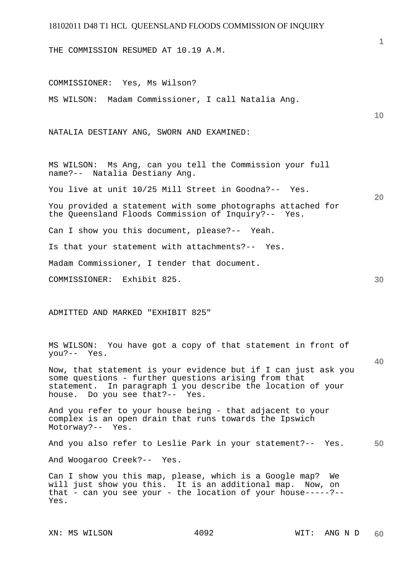THE COMMISSION RESUMED AT 10.19 A.M.

**10 20 30**  COMMISSIONER: Yes, Ms Wilson? MS WILSON: Madam Commissioner, I call Natalia Ang. NATALIA DESTIANY ANG, SWORN AND EXAMINED: MS WILSON: Ms Ang, can you tell the Commission your full name?-- Natalia Destiany Ang. You live at unit 10/25 Mill Street in Goodna?-- Yes. You provided a statement with some photographs attached for the Queensland Floods Commission of Inquiry?-- Yes. Can I show you this document, please?-- Yeah. Is that your statement with attachments?-- Yes. Madam Commissioner, I tender that document. COMMISSIONER: Exhibit 825.

ADMITTED AND MARKED "EXHIBIT 825"

MS WILSON: You have got a copy of that statement in front of you?-- Yes.

Now, that statement is your evidence but if I can just ask you some questions - further questions arising from that statement. In paragraph 1 you describe the location of your house. Do you see that?-- Yes.

And you refer to your house being - that adjacent to your complex is an open drain that runs towards the Ipswich Motorway?-- Yes.

**50**  And you also refer to Leslie Park in your statement?-- Yes.

And Woogaroo Creek?-- Yes.

Can I show you this map, please, which is a Google map? We will just show you this. It is an additional map. Now, on that - can you see your - the location of your house-----?-- Yes.

**1**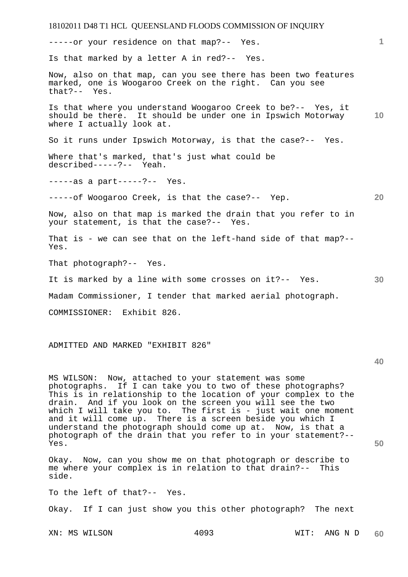18102011 D48 T1 HCL QUEENSLAND FLOODS COMMISSION OF INQUIRY **1 10 20 30**  -----or your residence on that map?-- Yes. Is that marked by a letter A in red?-- Yes. Now, also on that map, can you see there has been two features marked, one is Woogaroo Creek on the right. Can you see that?-- Yes.  $that$  ? - -Is that where you understand Woogaroo Creek to be?-- Yes, it should be there. It should be under one in Ipswich Motorway where I actually look at. So it runs under Ipswich Motorway, is that the case?-- Yes. Where that's marked, that's just what could be described-----?-- Yeah. -----as a part-----?-- Yes. -----of Woogaroo Creek, is that the case?-- Yep. Now, also on that map is marked the drain that you refer to in your statement, is that the case?-- Yes. That is - we can see that on the left-hand side of that map?-- Yes. That photograph?-- Yes. It is marked by a line with some crosses on it?-- Yes. Madam Commissioner, I tender that marked aerial photograph. COMMISSIONER: Exhibit 826.

ADMITTED AND MARKED "EXHIBIT 826"

**40** 

**50** 

MS WILSON: Now, attached to your statement was some photographs. If I can take you to two of these photographs? This is in relationship to the location of your complex to the drain. And if you look on the screen you will see the two which I will take you to. The first is - just wait one moment and it will come up. There is a screen beside you which I understand the photograph should come up at. Now, is that a photograph of the drain that you refer to in your statement?-- Yes.

Okay. Now, can you show me on that photograph or describe to me where your complex is in relation to that drain?-- This side.

To the left of that?-- Yes.

Okay. If I can just show you this other photograph? The next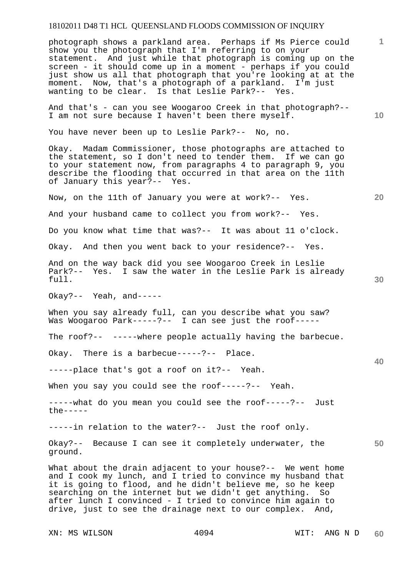photograph shows a parkland area. Perhaps if Ms Pierce could show you the photograph that I'm referring to on your statement. And just while that photograph is coming up on the screen - it should come up in a moment - perhaps if you could just show us all that photograph that you're looking at at the moment. Now, that's a photograph of a parkland. I'm just wanting to be clear. Is that Leslie Park?-- Yes.

And that's - can you see Woogaroo Creek in that photograph?-- I am not sure because I haven't been there myself.

You have never been up to Leslie Park?-- No, no.

Okay. Madam Commissioner, those photographs are attached to the statement, so I don't need to tender them. If we can go to your statement now, from paragraphs 4 to paragraph 9, you describe the flooding that occurred in that area on the 11th of January this year?-- Yes.

Now, on the 11th of January you were at work?-- Yes.

And your husband came to collect you from work?-- Yes.

Do you know what time that was?-- It was about 11 o'clock.

Okay. And then you went back to your residence?-- Yes.

And on the way back did you see Woogaroo Creek in Leslie Park?-- Yes. I saw the water in the Leslie Park is already full.

Okay?-- Yeah, and-----

When you say already full, can you describe what you saw? Was Woogaroo Park-----?-- I can see just the roof-----

The roof?-- -----where people actually having the barbecue.

Okay. There is a barbecue-----?-- Place.

-----place that's got a roof on it?-- Yeah.

When you say you could see the roof-----?-- Yeah.

-----what do you mean you could see the roof-----?-- Just  $the----$ 

-----in relation to the water?-- Just the roof only.

Okay?-- Because I can see it completely underwater, the ground.

What about the drain adjacent to your house?-- We went home and I cook my lunch, and I tried to convince my husband that it is going to flood, and he didn't believe me, so he keep searching on the internet but we didn't get anything. So after lunch I convinced - I tried to convince him again to drive, just to see the drainage next to our complex. And,

XN: MS WILSON  $4094$  WIT: ANG N D

**10** 

**1**

**20** 

**40**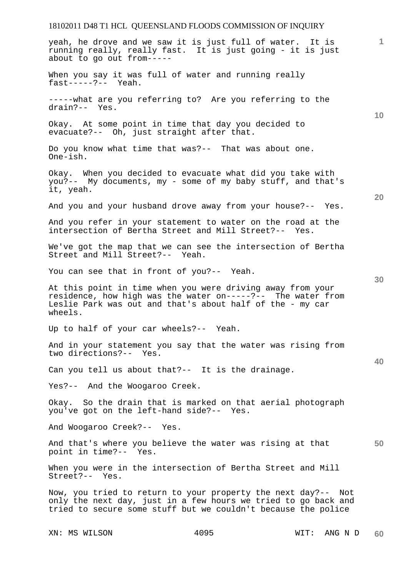**1 10 20 30 40 50**  yeah, he drove and we saw it is just full of water. It is running really, really fast. It is just going - it is just about to go out from----- When you say it was full of water and running really fast-----?-- Yeah. -----what are you referring to? Are you referring to the drain?-- Yes. Okay. At some point in time that day you decided to evacuate?-- Oh, just straight after that. Do you know what time that was?-- That was about one. One-ish. Okay. When you decided to evacuate what did you take with you?-- My documents, my - some of my baby stuff, and that's it, yeah. And you and your husband drove away from your house?-- Yes. And you refer in your statement to water on the road at the intersection of Bertha Street and Mill Street?-- Yes. We've got the map that we can see the intersection of Bertha Street and Mill Street?-- Yeah. You can see that in front of you?-- Yeah. At this point in time when you were driving away from your residence, how high was the water on-----?-- The water from Leslie Park was out and that's about half of the - my car wheels. Up to half of your car wheels?-- Yeah. And in your statement you say that the water was rising from two directions?-- Yes. Can you tell us about that?-- It is the drainage. Yes?-- And the Woogaroo Creek. Okay. So the drain that is marked on that aerial photograph you've got on the left-hand side?-- Yes. And Woogaroo Creek?-- Yes. And that's where you believe the water was rising at that point in time?-- Yes. When you were in the intersection of Bertha Street and Mill Street?-- Yes. Now, you tried to return to your property the next day?-- Not only the next day, just in a few hours we tried to go back and tried to secure some stuff but we couldn't because the police

XN: MS WILSON  $4095$  WIT: ANG N D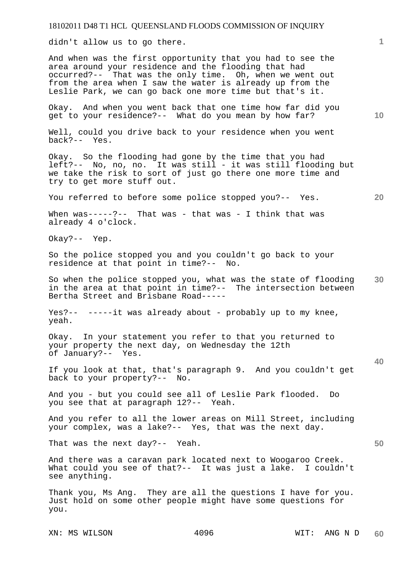didn't allow us to go there.

And when was the first opportunity that you had to see the area around your residence and the flooding that had occurred?-- That was the only time. Oh, when we went out from the area when I saw the water is already up from the Leslie Park, we can go back one more time but that's it.

Okay. And when you went back that one time how far did you get to your residence?-- What do you mean by how far?

Well, could you drive back to your residence when you went back?-- Yes.

Okay. So the flooding had gone by the time that you had left?-- No, no, no. It was still - it was still flooding but we take the risk to sort of just go there one more time and try to get more stuff out.

You referred to before some police stopped you?-- Yes.

When was-----?-- That was - that was - I think that was already 4 o'clock.

Okay?-- Yep.

So the police stopped you and you couldn't go back to your residence at that point in time?-- No.

**30**  So when the police stopped you, what was the state of flooding in the area at that point in time?-- The intersection between Bertha Street and Brisbane Road-----

Yes?-- -----it was already about - probably up to my knee, yeah.

Okay. In your statement you refer to that you returned to your property the next day, on Wednesday the 12th of January?-- Yes.

If you look at that, that's paragraph 9. And you couldn't get back to your property?-- No.

And you - but you could see all of Leslie Park flooded. Do you see that at paragraph 12?-- Yeah.

And you refer to all the lower areas on Mill Street, including your complex, was a lake?-- Yes, that was the next day.

That was the next day?-- Yeah.

And there was a caravan park located next to Woogaroo Creek. What could you see of that?-- It was just a lake. I couldn't see anything.

Thank you, Ms Ang. They are all the questions I have for you. Just hold on some other people might have some questions for you.

XN: MS WILSON  $4096$  WIT: ANG N D

**10** 

**20** 

**1**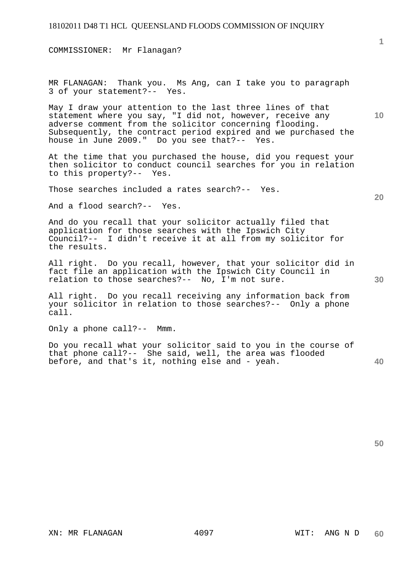COMMISSIONER: Mr Flanagan?

MR FLANAGAN: Thank you. Ms Ang, can I take you to paragraph 3 of your statement?-- Yes.

May I draw your attention to the last three lines of that statement where you say, "I did not, however, receive any adverse comment from the solicitor concerning flooding. Subsequently, the contract period expired and we purchased the house in June 2009." Do you see that?-- Yes.

At the time that you purchased the house, did you request your then solicitor to conduct council searches for you in relation to this property?-- Yes.

Those searches included a rates search?-- Yes.

And a flood search?-- Yes.

And do you recall that your solicitor actually filed that application for those searches with the Ipswich City Council?-- I didn't receive it at all from my solicitor for the results.

All right. Do you recall, however, that your solicitor did in fact file an application with the Ipswich City Council in relation to those searches?-- No, I'm not sure.

All right. Do you recall receiving any information back from your solicitor in relation to those searches?-- Only a phone call.

Only a phone call?-- Mmm.

**40**  Do you recall what your solicitor said to you in the course of that phone call?-- She said, well, the area was flooded before, and that's it, nothing else and - yeah.

**50** 

**20** 

**30**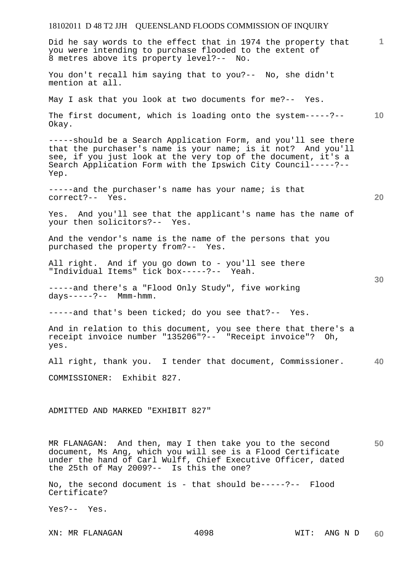### 18102011 D 48 T2 JJH QUEENSLAND FLOODS COMMISSION OF INQUIRY **1 10 20 30 40 50**  Did he say words to the effect that in 1974 the property that you were intending to purchase flooded to the extent of 8 metres above its property level?-- No. You don't recall him saying that to you?-- No, she didn't mention at all. May I ask that you look at two documents for me?-- Yes. The first document, which is loading onto the system-----?-- Okay. -----should be a Search Application Form, and you'll see there that the purchaser's name is your name; is it not? And you'll see, if you just look at the very top of the document, it's a Search Application Form with the Ipswich City Council-----?-- Yep. -----and the purchaser's name has your name; is that correct?-- Yes. Yes. And you'll see that the applicant's name has the name of your then solicitors?-- Yes. And the vendor's name is the name of the persons that you purchased the property from?-- Yes. All right. And if you go down to - you'll see there "Individual Items" tick box-----?-- Yeah. -----and there's a "Flood Only Study", five working  $days---?---$  Mmm-hmm. -----and that's been ticked; do you see that?-- Yes. And in relation to this document, you see there that there's a receipt invoice number "135206"?-- "Receipt invoice"? Oh, yes. All right, thank you. I tender that document, Commissioner. COMMISSIONER: Exhibit 827. ADMITTED AND MARKED "EXHIBIT 827" MR FLANAGAN: And then, may I then take you to the second document, Ms Ang, which you will see is a Flood Certificate under the hand of Carl Wulff, Chief Executive Officer, dated the 25th of May 2009?-- Is this the one?

No, the second document is - that should be-----?-- Flood Certificate?

Yes?-- Yes.

XN: MR FLANAGAN 4098 WIT: ANG N D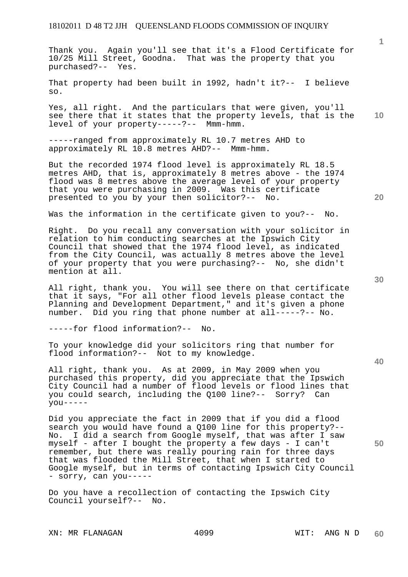Thank you. Again you'll see that it's a Flood Certificate for 10/25 Mill Street, Goodna. That was the property that you purchased?-- Yes.

That property had been built in 1992, hadn't it?-- I believe so.

Yes, all right. And the particulars that were given, you'll see there that it states that the property levels, that is the level of your property-----?-- Mmm-hmm.

-----ranged from approximately RL 10.7 metres AHD to approximately RL 10.8 metres AHD?-- Mmm-hmm.

But the recorded 1974 flood level is approximately RL 18.5 metres AHD, that is, approximately 8 metres above - the 1974 flood was 8 metres above the average level of your property that you were purchasing in 2009. Was this certificate presented to you by your then solicitor?-- No.

Was the information in the certificate given to you?-- No.

Right. Do you recall any conversation with your solicitor in relation to him conducting searches at the Ipswich City Council that showed that the 1974 flood level, as indicated from the City Council, was actually 8 metres above the level of your property that you were purchasing?-- No, she didn't mention at all.

All right, thank you. You will see there on that certificate that it says, "For all other flood levels please contact the Planning and Development Department," and it's given a phone number. Did you ring that phone number at all-----?-- No.

-----for flood information?-- No.

To your knowledge did your solicitors ring that number for flood information?-- Not to my knowledge.

All right, thank you. As at 2009, in May 2009 when you purchased this property, did you appreciate that the Ipswich City Council had a number of flood levels or flood lines that you could search, including the Q100 line?-- Sorry? Can  $you---$ 

Did you appreciate the fact in 2009 that if you did a flood search you would have found a Q100 line for this property?-- No. I did a search from Google myself, that was after I saw myself - after I bought the property a few days - I can't remember, but there was really pouring rain for three days that was flooded the Mill Street, that when I started to Google myself, but in terms of contacting Ipswich City Council - sorry, can you-----

Do you have a recollection of contacting the Ipswich City Council yourself?-- No.

XN: MR FLANAGAN  $4099$  WIT: ANG N D

**40** 

**50** 

**20** 

**10**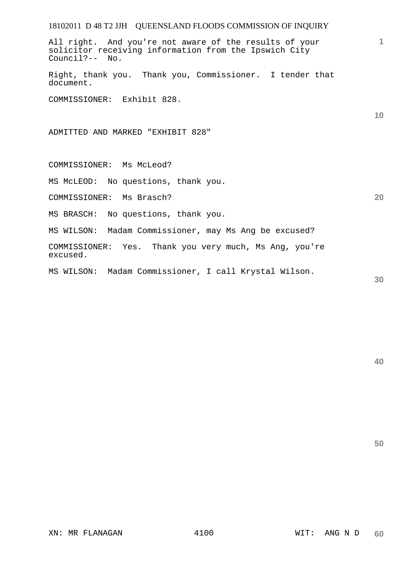All right. And you're not aware of the results of your solicitor receiving information from the Ipswich City Council?-- No.

Right, thank you. Thank you, Commissioner. I tender that document.

COMMISSIONER: Exhibit 828.

ADMITTED AND MARKED "EXHIBIT 828"

COMMISSIONER: Ms McLeod?

MS McLEOD: No questions, thank you.

COMMISSIONER: Ms Brasch?

MS BRASCH: No questions, thank you.

MS WILSON: Madam Commissioner, may Ms Ang be excused?

COMMISSIONER: Yes. Thank you very much, Ms Ang, you're excused.

MS WILSON: Madam Commissioner, I call Krystal Wilson.

**30** 

**1**

**10** 

**20**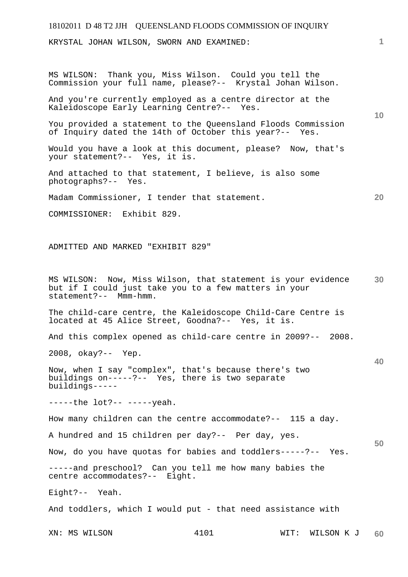## 18102011 D 48 T2 JJH QUEENSLAND FLOODS COMMISSION OF INQUIRY XN: MS WILSON  $4101$  WIT: WILSON K J **1 10 20 30 40 50 60**  KRYSTAL JOHAN WILSON, SWORN AND EXAMINED: MS WILSON: Thank you, Miss Wilson. Could you tell the Commission your full name, please?-- Krystal Johan Wilson. And you're currently employed as a centre director at the Kaleidoscope Early Learning Centre?-- Yes. You provided a statement to the Queensland Floods Commission of Inquiry dated the 14th of October this year?-- Yes. Would you have a look at this document, please? Now, that's your statement?-- Yes, it is. And attached to that statement, I believe, is also some photographs?-- Yes. Madam Commissioner, I tender that statement. COMMISSIONER: Exhibit 829. ADMITTED AND MARKED "EXHIBIT 829" MS WILSON: Now, Miss Wilson, that statement is your evidence but if I could just take you to a few matters in your statement?-- Mmm-hmm. The child-care centre, the Kaleidoscope Child-Care Centre is located at 45 Alice Street, Goodna?-- Yes, it is. And this complex opened as child-care centre in 2009?-- 2008. 2008, okay?-- Yep. Now, when I say "complex", that's because there's two buildings on-----?-- Yes, there is two separate buildings----- -----the lot?-- -----yeah. How many children can the centre accommodate?-- 115 a day. A hundred and 15 children per day?-- Per day, yes. Now, do you have quotas for babies and toddlers-----?-- Yes. -----and preschool? Can you tell me how many babies the centre accommodates?-- Eight. Eight?-- Yeah. And toddlers, which I would put - that need assistance with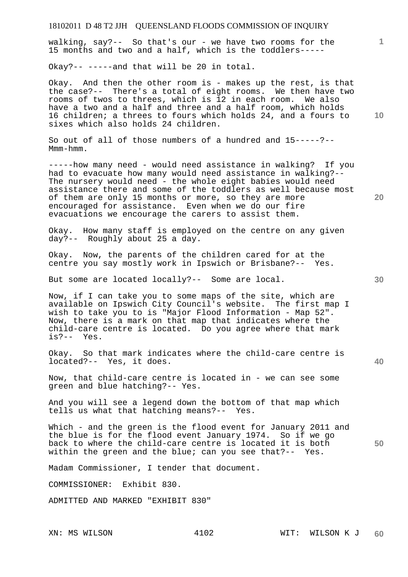walking, say?-- So that's our - we have two rooms for the 15 months and two and a half, which is the toddlers-----

Okay?-- -----and that will be 20 in total.

Okay. And then the other room is - makes up the rest, is that the case?-- There's a total of eight rooms. We then have two rooms of twos to threes, which is 12 in each room. We also have a two and a half and three and a half room, which holds 16 children; a threes to fours which holds 24, and a fours to sixes which also holds 24 children.

So out of all of those numbers of a hundred and 15-----?-- Mmm-hmm.

-----how many need - would need assistance in walking? If you had to evacuate how many would need assistance in walking?-- The nursery would need - the whole eight babies would need assistance there and some of the toddlers as well because most of them are only 15 months or more, so they are more encouraged for assistance. Even when we do our fire evacuations we encourage the carers to assist them.

Okay. How many staff is employed on the centre on any given day?-- Roughly about 25 a day.

Okay. Now, the parents of the children cared for at the centre you say mostly work in Ipswich or Brisbane?-- Yes.

But some are located locally?-- Some are local.

Now, if I can take you to some maps of the site, which are available on Ipswich City Council's website. The first map I wish to take you to is "Major Flood Information - Map 52". Now, there is a mark on that map that indicates where the child-care centre is located. Do you agree where that mark is?-- Yes.

Okay. So that mark indicates where the child-care centre is located?-- Yes, it does.

Now, that child-care centre is located in - we can see some green and blue hatching?-- Yes.

And you will see a legend down the bottom of that map which tells us what that hatching means?-- Yes.

**50**  Which - and the green is the flood event for January 2011 and the blue is for the flood event January 1974. So if we go back to where the child-care centre is located it is both within the green and the blue; can you see that?-- Yes.

Madam Commissioner, I tender that document.

COMMISSIONER: Exhibit 830.

ADMITTED AND MARKED "EXHIBIT 830"

**10** 

**1**

**20**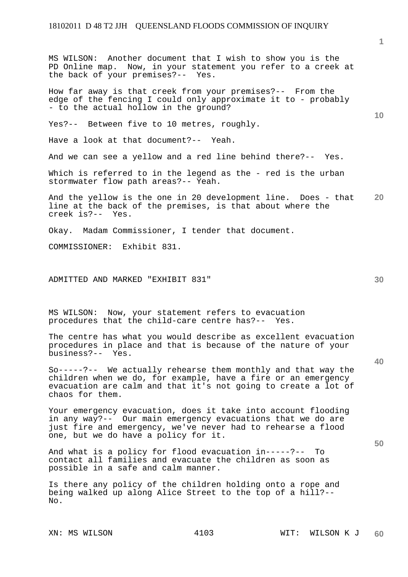MS WILSON: Another document that I wish to show you is the PD Online map. Now, in your statement you refer to a creek at

the back of your premises?-- Yes. How far away is that creek from your premises?-- From the edge of the fencing I could only approximate it to - probably - to the actual hollow in the ground? Yes?-- Between five to 10 metres, roughly.

Have a look at that document?-- Yeah.

And we can see a yellow and a red line behind there?-- Yes.

Which is referred to in the legend as the - red is the urban stormwater flow path areas?-- Yeah.

**20**  And the yellow is the one in 20 development line. Does - that line at the back of the premises, is that about where the creek is?-- Yes.

Okay. Madam Commissioner, I tender that document.

COMMISSIONER: Exhibit 831.

ADMITTED AND MARKED "EXHIBIT 831"

MS WILSON: Now, your statement refers to evacuation procedures that the child-care centre has?-- Yes.

The centre has what you would describe as excellent evacuation procedures in place and that is because of the nature of your business?-- Yes.

So-----?-- We actually rehearse them monthly and that way the children when we do, for example, have a fire or an emergency evacuation are calm and that it's not going to create a lot of chaos for them.

Your emergency evacuation, does it take into account flooding in any way?-- Our main emergency evacuations that we do are just fire and emergency, we've never had to rehearse a flood one, but we do have a policy for it.

And what is a policy for flood evacuation in-----?-- To contact all families and evacuate the children as soon as possible in a safe and calm manner.

Is there any policy of the children holding onto a rope and being walked up along Alice Street to the top of a hill?-- No.

**10** 

**30** 

**40**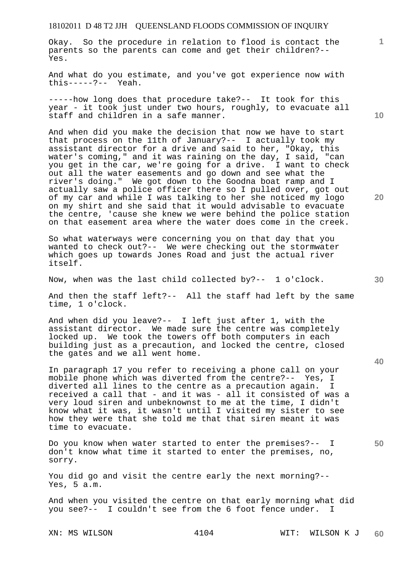Okay. So the procedure in relation to flood is contact the parents so the parents can come and get their children?-- Yes.

And what do you estimate, and you've got experience now with this-----?-- Yeah.

-----how long does that procedure take?-- It took for this year - it took just under two hours, roughly, to evacuate all staff and children in a safe manner.

And when did you make the decision that now we have to start that process on the 11th of January?-- I actually took my assistant director for a drive and said to her, "Okay, this water's coming," and it was raining on the day, I said, "can you get in the car, we're going for a drive. I want to check out all the water easements and go down and see what the river's doing." We got down to the Goodna boat ramp and I actually saw a police officer there so I pulled over, got out of my car and while I was talking to her she noticed my logo on my shirt and she said that it would advisable to evacuate the centre, 'cause she knew we were behind the police station on that easement area where the water does come in the creek.

So what waterways were concerning you on that day that you wanted to check out?-- We were checking out the stormwater which goes up towards Jones Road and just the actual river itself.

Now, when was the last child collected by?-- 1 o'clock.

And then the staff left?-- All the staff had left by the same time, 1 o'clock.

And when did you leave?-- I left just after 1, with the assistant director. We made sure the centre was completely locked up. We took the towers off both computers in each building just as a precaution, and locked the centre, closed the gates and we all went home.

In paragraph 17 you refer to receiving a phone call on your mobile phone which was diverted from the centre?-- Yes, I diverted all lines to the centre as a precaution again. I received a call that - and it was - all it consisted of was a very loud siren and unbeknownst to me at the time, I didn't know what it was, it wasn't until I visited my sister to see how they were that she told me that that siren meant it was time to evacuate.

Do you know when water started to enter the premises?-- I don't know what time it started to enter the premises, no, sorry.

You did go and visit the centre early the next morning?-- Yes, 5 a.m.

And when you visited the centre on that early morning what did you see?-- I couldn't see from the 6 foot fence under. I

**10** 

**1**

**40**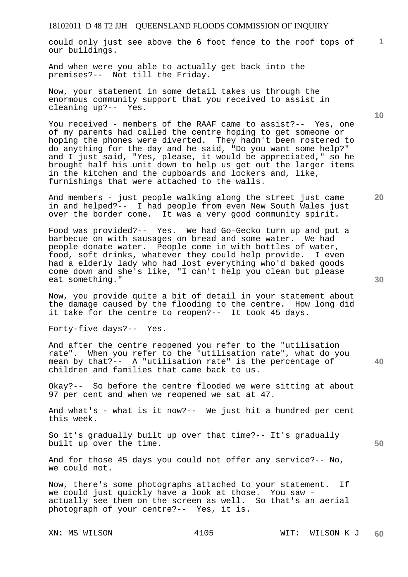could only just see above the 6 foot fence to the roof tops of our buildings.

And when were you able to actually get back into the premises?-- Not till the Friday.

Now, your statement in some detail takes us through the enormous community support that you received to assist in cleaning up?-- Yes.

You received - members of the RAAF came to assist?-- Yes, one of my parents had called the centre hoping to get someone or hoping the phones were diverted. They hadn't been rostered to do anything for the day and he said, "Do you want some help?" and I just said, "Yes, please, it would be appreciated," so he brought half his unit down to help us get out the larger items in the kitchen and the cupboards and lockers and, like, furnishings that were attached to the walls.

And members - just people walking along the street just came in and helped?-- I had people from even New South Wales just over the border come. It was a very good community spirit.

Food was provided?-- Yes. We had Go-Gecko turn up and put a barbecue on with sausages on bread and some water. We had people donate water. People come in with bottles of water, food, soft drinks, whatever they could help provide. I even had a elderly lady who had lost everything who'd baked goods come down and she's like, "I can't help you clean but please eat something."

Now, you provide quite a bit of detail in your statement about the damage caused by the flooding to the centre. How long did it take for the centre to reopen?-- It took 45 days.

Forty-five days?-- Yes.

And after the centre reopened you refer to the "utilisation rate". When you refer to the "utilisation rate", what do you mean by that?-- A "utilisation rate" is the percentage of children and families that came back to us.

Okay?-- So before the centre flooded we were sitting at about 97 per cent and when we reopened we sat at 47.

And what's - what is it now?-- We just hit a hundred per cent this week.

So it's gradually built up over that time?-- It's gradually built up over the time.

And for those 45 days you could not offer any service?-- No, we could not.

Now, there's some photographs attached to your statement. If we could just quickly have a look at those. You saw actually see them on the screen as well. So that's an aerial photograph of your centre?-- Yes, it is.

**20** 

**10** 

**1**

**40**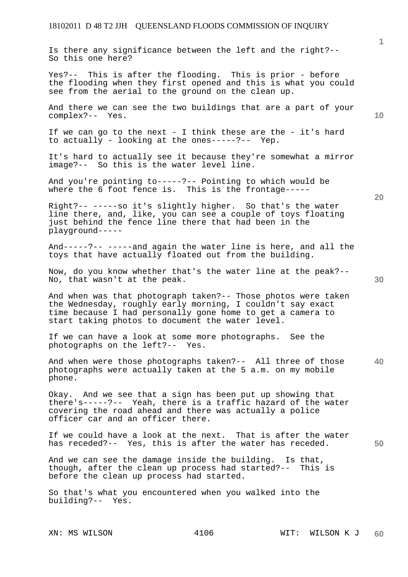Is there any significance between the left and the right?-- So this one here?

Yes?-- This is after the flooding. This is prior - before the flooding when they first opened and this is what you could see from the aerial to the ground on the clean up.

And there we can see the two buildings that are a part of your complex?-- Yes.

If we can go to the next - I think these are the - it's hard to actually - looking at the ones-----?-- Yep.

It's hard to actually see it because they're somewhat a mirror image?-- So this is the water level line.

And you're pointing to-----?-- Pointing to which would be where the 6 foot fence is. This is the frontage-----

Right?-- -----so it's slightly higher. So that's the water line there, and, like, you can see a couple of toys floating just behind the fence line there that had been in the playground-----

And-----?-- -----and again the water line is here, and all the toys that have actually floated out from the building.

Now, do you know whether that's the water line at the peak?-- No, that wasn't at the peak.

And when was that photograph taken?-- Those photos were taken the Wednesday, roughly early morning, I couldn't say exact time because I had personally gone home to get a camera to start taking photos to document the water level.

If we can have a look at some more photographs. See the photographs on the left?-- Yes.

**40**  And when were those photographs taken?-- All three of those photographs were actually taken at the 5 a.m. on my mobile phone.

Okay. And we see that a sign has been put up showing that there's-----?-- Yeah, there is a traffic hazard of the water covering the road ahead and there was actually a police officer car and an officer there.

If we could have a look at the next. That is after the water has receded?-- Yes, this is after the water has receded.

And we can see the damage inside the building. Is that, though, after the clean up process had started?-- This is before the clean up process had started.

So that's what you encountered when you walked into the building?-- Yes.

**1**

**30** 

**50**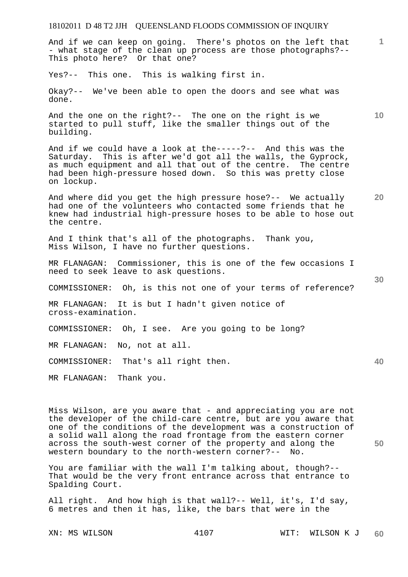And if we can keep on going. There's photos on the left that - what stage of the clean up process are those photographs?-- This photo here? Or that one?

Yes?-- This one. This is walking first in.

Okay?-- We've been able to open the doors and see what was done.

And the one on the right?-- The one on the right is we started to pull stuff, like the smaller things out of the building.

And if we could have a look at the-----?-- And this was the Saturday. This is after we'd got all the walls, the Gyprock, as much equipment and all that out of the centre. The centre had been high-pressure hosed down. So this was pretty close on lockup.

**20**  And where did you get the high pressure hose?-- We actually had one of the volunteers who contacted some friends that he knew had industrial high-pressure hoses to be able to hose out the centre.

And I think that's all of the photographs. Thank you, Miss Wilson, I have no further questions.

MR FLANAGAN: Commissioner, this is one of the few occasions I need to seek leave to ask questions.

COMMISSIONER: Oh, is this not one of your terms of reference?

MR FLANAGAN: It is but I hadn't given notice of cross-examination.

COMMISSIONER: Oh, I see. Are you going to be long?

MR FLANAGAN: No, not at all.

COMMISSIONER: That's all right then.

MR FLANAGAN: Thank you.

Miss Wilson, are you aware that - and appreciating you are not the developer of the child-care centre, but are you aware that one of the conditions of the development was a construction of a solid wall along the road frontage from the eastern corner across the south-west corner of the property and along the western boundary to the north-western corner?-- No.

You are familiar with the wall I'm talking about, though?-- That would be the very front entrance across that entrance to Spalding Court.

All right. And how high is that wall?-- Well, it's, I'd say, 6 metres and then it has, like, the bars that were in the

XN: MS WILSON  $4107$  WIT: WILSON K J **60** 

**1**

**10** 

**30** 

**40**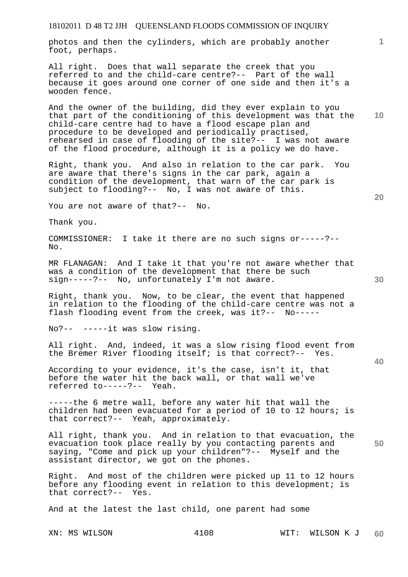photos and then the cylinders, which are probably another foot, perhaps.

All right. Does that wall separate the creek that you referred to and the child-care centre?-- Part of the wall because it goes around one corner of one side and then it's a wooden fence.

And the owner of the building, did they ever explain to you that part of the conditioning of this development was that the child-care centre had to have a flood escape plan and procedure to be developed and periodically practised, rehearsed in case of flooding of the site?-- I was not aware of the flood procedure, although it is a policy we do have.

Right, thank you. And also in relation to the car park. You are aware that there's signs in the car park, again a condition of the development, that warn of the car park is subject to flooding?-- No, I was not aware of this.

You are not aware of that?-- No.

Thank you.

COMMISSIONER: I take it there are no such signs or-----?-- No.

MR FLANAGAN: And I take it that you're not aware whether that was a condition of the development that there be such sign-----?-- No, unfortunately I'm not aware.

Right, thank you. Now, to be clear, the event that happened in relation to the flooding of the child-care centre was not a flash flooding event from the creek, was it?-- No-----

No?-- -----it was slow rising.

All right. And, indeed, it was a slow rising flood event from the Bremer River flooding itself; is that correct?-- Yes.

According to your evidence, it's the case, isn't it, that before the water hit the back wall, or that wall we've referred to-----?-- Yeah.

-----the 6 metre wall, before any water hit that wall the children had been evacuated for a period of 10 to 12 hours; is that correct?-- Yeah, approximately.

**50**  All right, thank you. And in relation to that evacuation, the evacuation took place really by you contacting parents and saying, "Come and pick up your children"?-- Myself and the assistant director, we got on the phones.

Right. And most of the children were picked up 11 to 12 hours before any flooding event in relation to this development; is that correct?-- Yes.

And at the latest the last child, one parent had some

**10** 

**1**

**40**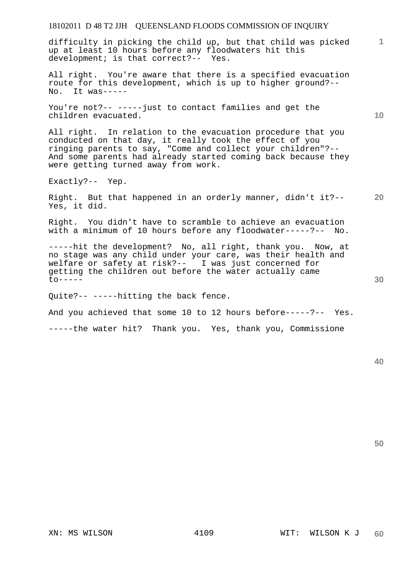difficulty in picking the child up, but that child was picked up at least 10 hours before any floodwaters hit this development; is that correct?-- Yes.

All right. You're aware that there is a specified evacuation route for this development, which is up to higher ground?-- No. It was-----

You're not?-- -----just to contact families and get the children evacuated.

All right. In relation to the evacuation procedure that you conducted on that day, it really took the effect of you ringing parents to say, "Come and collect your children"?-- And some parents had already started coming back because they were getting turned away from work.

Exactly?-- Yep.

Right. But that happened in an orderly manner, didn't it?-- Yes, it did.

Right. You didn't have to scramble to achieve an evacuation with a minimum of 10 hours before any floodwater-----?-- No.

-----hit the development? No, all right, thank you. Now, at no stage was any child under your care, was their health and welfare or safety at risk?-- I was just concerned for getting the children out before the water actually came  $\text{to---}$ 

Quite?-- -----hitting the back fence.

And you achieved that some 10 to 12 hours before-----?-- Yes.

-----the water hit? Thank you. Yes, thank you, Commissione

**50** 

**30** 

**1**

**10**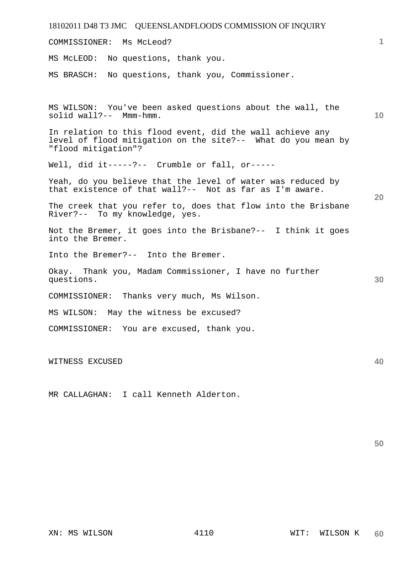| 18102011 D48 T3 JMC QUEENSLANDFLOODS COMMISSION OF INQUIRY                                                                                        |                 |
|---------------------------------------------------------------------------------------------------------------------------------------------------|-----------------|
| Ms McLeod?<br>COMMISSIONER:                                                                                                                       | 1.              |
| MS McLEOD: No questions, thank you.                                                                                                               |                 |
| MS BRASCH: No questions, thank you, Commissioner.                                                                                                 |                 |
| MS WILSON: You've been asked questions about the wall, the<br>solid wall?-- Mmm-hmm.<br>In relation to this flood event, did the wall achieve any | 10 <sup>°</sup> |
| level of flood mitigation on the site?-- What do you mean by<br>"flood mitigation"?                                                               |                 |
| Well, did it-----?-- Crumble or fall, or-----                                                                                                     |                 |
| Yeah, do you believe that the level of water was reduced by<br>that existence of that wall?-- Not as far as I'm aware.                            | 20              |
| The creek that you refer to, does that flow into the Brisbane<br>River?-- To my knowledge, yes.                                                   |                 |
| Not the Bremer, it goes into the Brisbane?-- I think it goes<br>into the Bremer.                                                                  |                 |
| Into the Bremer?-- Into the Bremer.                                                                                                               |                 |
| Okay. Thank you, Madam Commissioner, I have no further<br>questions.                                                                              | 30              |
| COMMISSIONER: Thanks very much, Ms Wilson.                                                                                                        |                 |
| MS WILSON: May the witness be excused?                                                                                                            |                 |
| COMMISSIONER: You are excused, thank you.                                                                                                         |                 |
| WITNESS EXCUSED                                                                                                                                   | 40              |

MR CALLAGHAN: I call Kenneth Alderton.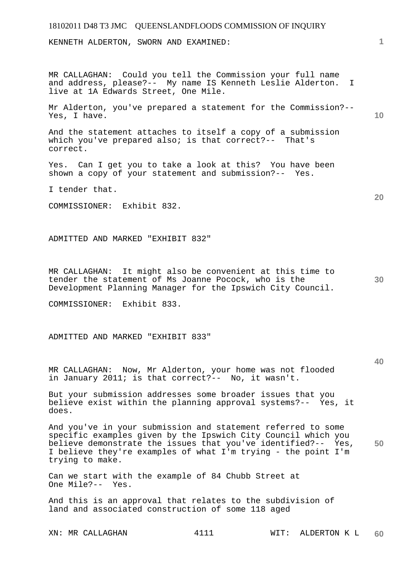KENNETH ALDERTON, SWORN AND EXAMINED:

MR CALLAGHAN: Could you tell the Commission your full name and address, please?-- My name IS Kenneth Leslie Alderton. I live at 1A Edwards Street, One Mile.

Mr Alderton, you've prepared a statement for the Commission?-- Yes, I have.

And the statement attaches to itself a copy of a submission which you've prepared also; is that correct?-- That's correct.

Yes. Can I get you to take a look at this? You have been shown a copy of your statement and submission?-- Yes.

I tender that.

COMMISSIONER: Exhibit 832.

ADMITTED AND MARKED "EXHIBIT 832"

MR CALLAGHAN: It might also be convenient at this time to tender the statement of Ms Joanne Pocock, who is the Development Planning Manager for the Ipswich City Council.

COMMISSIONER: Exhibit 833.

ADMITTED AND MARKED "EXHIBIT 833"

MR CALLAGHAN: Now, Mr Alderton, your home was not flooded in January 2011; is that correct?-- No, it wasn't.

But your submission addresses some broader issues that you believe exist within the planning approval systems?-- Yes, it does.

**50**  And you've in your submission and statement referred to some specific examples given by the Ipswich City Council which you believe demonstrate the issues that you've identified?-- Yes, I believe they're examples of what I'm trying - the point I'm trying to make.

Can we start with the example of 84 Chubb Street at One Mile?-- Yes.

And this is an approval that relates to the subdivision of land and associated construction of some 118 aged

XN: MR CALLAGHAN 4111 WIT: ALDERTON K L **60** 

**40** 

**30** 

**10** 

**20**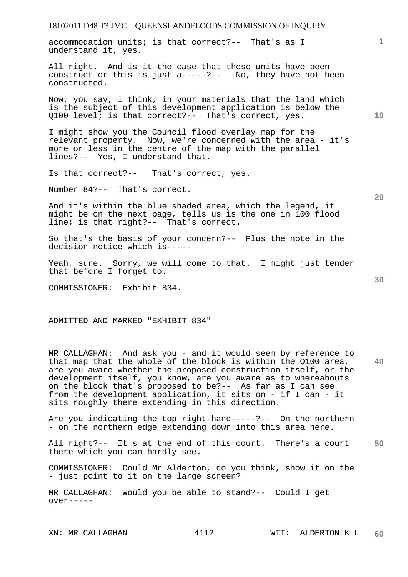18102011 D48 T3 JMC QUEENSLANDFLOODS COMMISSION OF INQUIRY **1 10**  accommodation units; is that correct?-- That's as I understand it, yes. All right. And is it the case that these units have been construct or this is just a-----?-- No, they have not been constructed. Now, you say, I think, in your materials that the land which is the subject of this development application is below the Q100 level; is that correct?-- That's correct, yes. I might show you the Council flood overlay map for the relevant property. Now, we're concerned with the area - it's more or less in the centre of the map with the parallel lines?-- Yes, I understand that.

Is that correct?-- That's correct, yes.

Number 84?-- That's correct.

And it's within the blue shaded area, which the legend, it might be on the next page, tells us is the one in 100 flood line; is that right?-- That's correct.

So that's the basis of your concern?-- Plus the note in the decision notice which is-----

Yeah, sure. Sorry, we will come to that. I might just tender that before I forget to.

COMMISSIONER: Exhibit 834.

ADMITTED AND MARKED "EXHIBIT 834"

**40**  MR CALLAGHAN: And ask you - and it would seem by reference to that map that the whole of the block is within the Q100 area, are you aware whether the proposed construction itself, or the development itself, you know, are you aware as to whereabouts on the block that's proposed to be?-- As far as I can see from the development application, it sits on - if I can - it sits roughly there extending in this direction.

Are you indicating the top right-hand-----?-- On the northern - on the northern edge extending down into this area here.

**50**  All right?-- It's at the end of this court. There's a court there which you can hardly see.

COMMISSIONER: Could Mr Alderton, do you think, show it on the - just point to it on the large screen?

MR CALLAGHAN: Would you be able to stand?-- Could I get over-----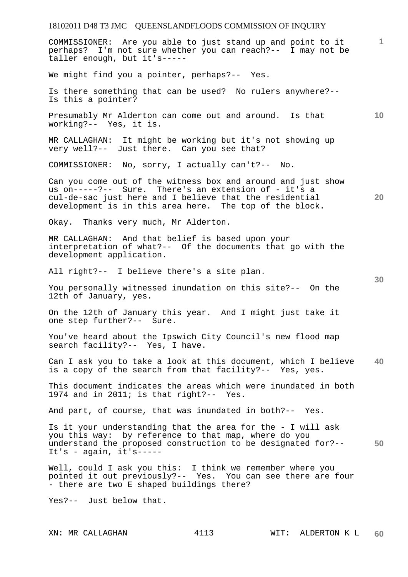COMMISSIONER: Are you able to just stand up and point to it perhaps? I'm not sure whether you can reach?-- I may not be taller enough, but it's-----

We might find you a pointer, perhaps?-- Yes.

Is there something that can be used? No rulers anywhere?-- Is this a pointer?

**10**  Presumably Mr Alderton can come out and around. Is that working?-- Yes, it is.

MR CALLAGHAN: It might be working but it's not showing up very well?-- Just there. Can you see that?

COMMISSIONER: No, sorry, I actually can't?-- No.

Can you come out of the witness box and around and just show us on-----?-- Sure. There's an extension of - it's a cul-de-sac just here and I believe that the residential development is in this area here. The top of the block.

Okay. Thanks very much, Mr Alderton.

MR CALLAGHAN: And that belief is based upon your interpretation of what?-- Of the documents that go with the development application.

All right?-- I believe there's a site plan.

You personally witnessed inundation on this site?-- On the 12th of January, yes.

On the 12th of January this year. And I might just take it one step further?-- Sure.

You've heard about the Ipswich City Council's new flood map search facility?-- Yes, I have.

**40**  Can I ask you to take a look at this document, which I believe is a copy of the search from that facility?-- Yes, yes.

This document indicates the areas which were inundated in both 1974 and in 2011; is that right?-- Yes.

And part, of course, that was inundated in both?-- Yes.

**50**  Is it your understanding that the area for the - I will ask you this way: by reference to that map, where do you understand the proposed construction to be designated for?-- It's -  $aqain$ , it's-----

Well, could I ask you this: I think we remember where you pointed it out previously?-- Yes. You can see there are four - there are two E shaped buildings there?

Yes?-- Just below that.

**1**

**20**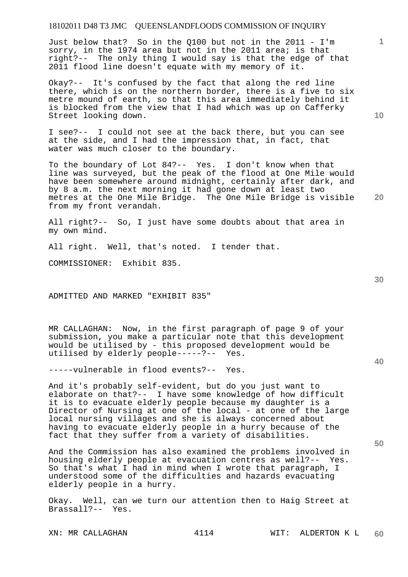Just below that? So in the Q100 but not in the 2011 - I'm sorry, in the 1974 area but not in the 2011 area; is that right?-- The only thing I would say is that the edge of that 2011 flood line doesn't equate with my memory of it.

Okay?-- It's confused by the fact that along the red line there, which is on the northern border, there is a five to six metre mound of earth, so that this area immediately behind it is blocked from the view that I had which was up on Cafferky Street looking down.

I see?-- I could not see at the back there, but you can see at the side, and I had the impression that, in fact, that water was much closer to the boundary.

To the boundary of Lot 84?-- Yes. I don't know when that line was surveyed, but the peak of the flood at One Mile would have been somewhere around midnight, certainly after dark, and by 8 a.m. the next morning it had gone down at least two metres at the One Mile Bridge. The One Mile Bridge is visible from my front verandah.

All right?-- So, I just have some doubts about that area in my own mind.

All right. Well, that's noted. I tender that.

COMMISSIONER: Exhibit 835.

ADMITTED AND MARKED "EXHIBIT 835"

MR CALLAGHAN: Now, in the first paragraph of page 9 of your submission, you make a particular note that this development would be utilised by - this proposed development would be utilised by elderly people-----?-- Yes.

-----vulnerable in flood events?-- Yes.

And it's probably self-evident, but do you just want to elaborate on that?-- I have some knowledge of how difficult it is to evacuate elderly people because my daughter is a Director of Nursing at one of the local - at one of the large local nursing villages and she is always concerned about having to evacuate elderly people in a hurry because of the fact that they suffer from a variety of disabilities.

And the Commission has also examined the problems involved in housing elderly people at evacuation centres as well?-- Yes. So that's what I had in mind when I wrote that paragraph, I understood some of the difficulties and hazards evacuating elderly people in a hurry.

Okay. Well, can we turn our attention then to Haig Street at Brassall?-- Yes.

**40** 

**50** 

**20** 

**10**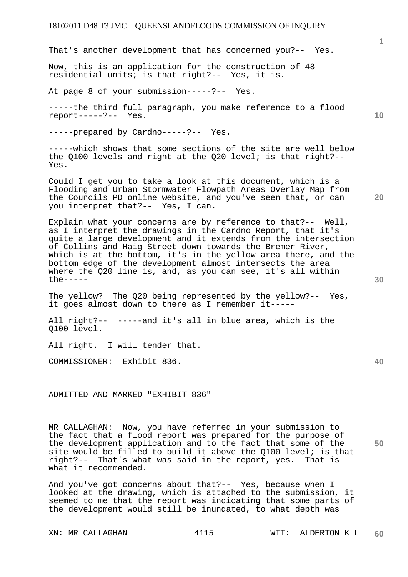That's another development that has concerned you?-- Yes.

Now, this is an application for the construction of 48 residential units; is that right?-- Yes, it is.

At page 8 of your submission-----?-- Yes.

-----the third full paragraph, you make reference to a flood report-----?-- Yes.

-----prepared by Cardno-----?-- Yes.

-----which shows that some sections of the site are well below the Q100 levels and right at the Q20 level; is that right?-- Yes.

Could I get you to take a look at this document, which is a Flooding and Urban Stormwater Flowpath Areas Overlay Map from the Councils PD online website, and you've seen that, or can you interpret that?-- Yes, I can.

Explain what your concerns are by reference to that?-- Well, as I interpret the drawings in the Cardno Report, that it's quite a large development and it extends from the intersection of Collins and Haig Street down towards the Bremer River, which is at the bottom, it's in the yellow area there, and the bottom edge of the development almost intersects the area where the Q20 line is, and, as you can see, it's all within the-----

The yellow? The Q20 being represented by the yellow?-- Yes, it goes almost down to there as I remember it-----

All right?-- -----and it's all in blue area, which is the Q100 level.

All right. I will tender that.

COMMISSIONER: Exhibit 836.

ADMITTED AND MARKED "EXHIBIT 836"

**50**  MR CALLAGHAN: Now, you have referred in your submission to the fact that a flood report was prepared for the purpose of the development application and to the fact that some of the site would be filled to build it above the Q100 level; is that right?-- That's what was said in the report, yes. That is what it recommended.

And you've got concerns about that?-- Yes, because when I looked at the drawing, which is attached to the submission, it seemed to me that the report was indicating that some parts of the development would still be inundated, to what depth was

**30** 

**20** 

**40** 

**10**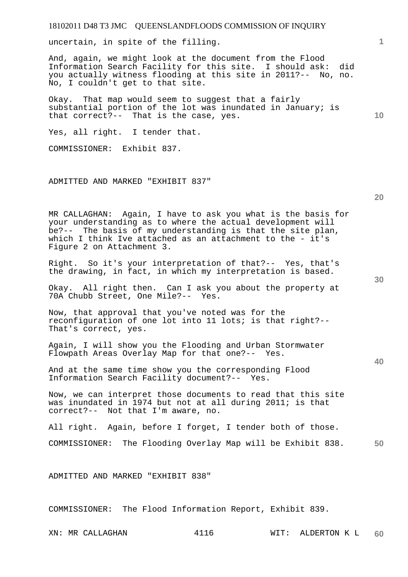| 18102011 D48 T3 JMC QUEENSLANDFLOODS COMMISSION OF INQUIRY                                                                                                                                                                                                                         |                 |
|------------------------------------------------------------------------------------------------------------------------------------------------------------------------------------------------------------------------------------------------------------------------------------|-----------------|
| uncertain, in spite of the filling.                                                                                                                                                                                                                                                | $\mathbf{1}$    |
| And, again, we might look at the document from the Flood<br>Information Search Facility for this site. I should ask: did<br>you actually witness flooding at this site in 2011?-- No, no.<br>No, I couldn't get to that site.                                                      |                 |
| Okay. That map would seem to suggest that a fairly<br>substantial portion of the lot was inundated in January; is<br>that correct?-- That is the case, yes.                                                                                                                        | 10 <sup>°</sup> |
| Yes, all right. I tender that.                                                                                                                                                                                                                                                     |                 |
| COMMISSIONER: Exhibit 837.                                                                                                                                                                                                                                                         |                 |
| ADMITTED AND MARKED "EXHIBIT 837"                                                                                                                                                                                                                                                  |                 |
|                                                                                                                                                                                                                                                                                    | 20              |
| MR CALLAGHAN: Again, I have to ask you what is the basis for<br>your understanding as to where the actual development will<br>be?-- The basis of my understanding is that the site plan,<br>which I think Ive attached as an attachment to the - it's<br>Figure 2 on Attachment 3. |                 |
| Right. So it's your interpretation of that?-- Yes, that's<br>the drawing, in fact, in which my interpretation is based.                                                                                                                                                            | 30              |
| Okay. All right then. Can I ask you about the property at<br>70A Chubb Street, One Mile?-- Yes.                                                                                                                                                                                    |                 |
| Now, that approval that you've noted was for the<br>reconfiguration of one lot into 11 lots; is that right?--<br>That's correct, yes.                                                                                                                                              |                 |
| Again, I will show you the Flooding and Urban Stormwater<br>Flowpath Areas Overlay Map for that one?-- Yes.                                                                                                                                                                        | 40              |
| And at the same time show you the corresponding Flood<br>Information Search Facility document?-- Yes.                                                                                                                                                                              |                 |
| Now, we can interpret those documents to read that this site<br>was inundated in 1974 but not at all during 2011; is that<br>correct?-- Not that I'm aware, no.                                                                                                                    |                 |
| All right. Again, before I forget, I tender both of those.                                                                                                                                                                                                                         |                 |
| The Flooding Overlay Map will be Exhibit 838.<br>COMMISSIONER:                                                                                                                                                                                                                     | 50              |
| ADMITTED AND MARKED "EXHIBIT 838"                                                                                                                                                                                                                                                  |                 |
| COMMISSIONER: The Flood Information Report, Exhibit 839.                                                                                                                                                                                                                           |                 |

XN: MR CALLAGHAN 4116 WIT: ALDERTON K L **60**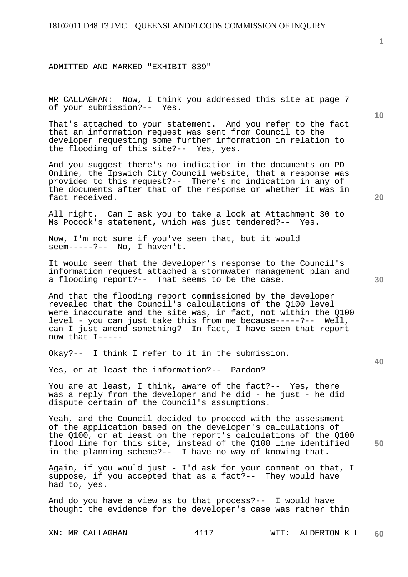ADMITTED AND MARKED "EXHIBIT 839"

MR CALLAGHAN: Now, I think you addressed this site at page 7 of your submission?-- Yes.

That's attached to your statement. And you refer to the fact that an information request was sent from Council to the developer requesting some further information in relation to the flooding of this site?-- Yes, yes.

And you suggest there's no indication in the documents on PD Online, the Ipswich City Council website, that a response was provided to this request?-- There's no indication in any of the documents after that of the response or whether it was in fact received.

All right. Can I ask you to take a look at Attachment 30 to Ms Pocock's statement, which was just tendered?-- Yes.

Now, I'm not sure if you've seen that, but it would seem-----?-- No, I haven't.

It would seem that the developer's response to the Council's information request attached a stormwater management plan and a flooding report?-- That seems to be the case.

And that the flooding report commissioned by the developer revealed that the Council's calculations of the Q100 level were inaccurate and the site was, in fact, not within the Q100 level - you can just take this from me because-----?-- Well, can I just amend something? In fact, I have seen that report now that I-----

Okay?-- I think I refer to it in the submission.

Yes, or at least the information?-- Pardon?

You are at least, I think, aware of the fact?-- Yes, there was a reply from the developer and he did - he just - he did dispute certain of the Council's assumptions.

Yeah, and the Council decided to proceed with the assessment of the application based on the developer's calculations of the Q100, or at least on the report's calculations of the Q100 flood line for this site, instead of the Q100 line identified in the planning scheme?-- I have no way of knowing that.

Again, if you would just - I'd ask for your comment on that, I suppose, if you accepted that as a fact?-- They would have had to, yes.

And do you have a view as to that process?-- I would have thought the evidence for the developer's case was rather thin

**1**

**20** 

**40** 

**50**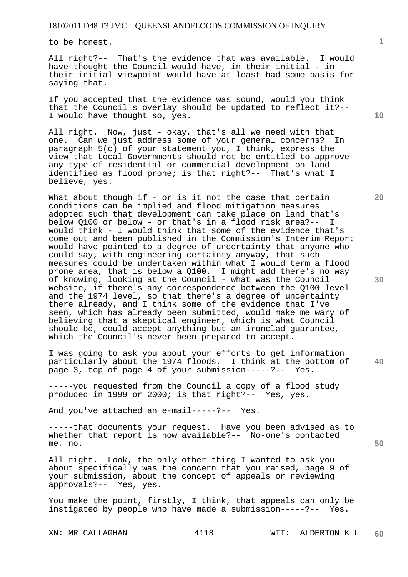to be honest.

All right?-- That's the evidence that was available. I would have thought the Council would have, in their initial - in their initial viewpoint would have at least had some basis for saying that.

If you accepted that the evidence was sound, would you think that the Council's overlay should be updated to reflect it?-- I would have thought so, yes.

All right. Now, just - okay, that's all we need with that one. Can we just address some of your general concerns? In paragraph  $5(c)$  of your statement you, I think, express the view that Local Governments should not be entitled to approve any type of residential or commercial development on land identified as flood prone; is that right?-- That's what I believe, yes.

What about though if - or is it not the case that certain conditions can be implied and flood mitigation measures adopted such that development can take place on land that's below Q100 or below - or that's in a flood risk area?-- I would think - I would think that some of the evidence that's come out and been published in the Commission's Interim Report would have pointed to a degree of uncertainty that anyone who could say, with engineering certainty anyway, that such measures could be undertaken within what I would term a flood prone area, that is below a Q100. I might add there's no way of knowing, looking at the Council - what was the Council website, if there's any correspondence between the Q100 level and the 1974 level, so that there's a degree of uncertainty there already, and I think some of the evidence that I've seen, which has already been submitted, would make me wary of believing that a skeptical engineer, which is what Council should be, could accept anything but an ironclad guarantee, which the Council's never been prepared to accept.

I was going to ask you about your efforts to get information particularly about the 1974 floods. I think at the bottom of page 3, top of page 4 of your submission-----?-- Yes.

-----you requested from the Council a copy of a flood study produced in 1999 or 2000; is that right?-- Yes, yes.

And you've attached an e-mail-----?-- Yes.

-----that documents your request. Have you been advised as to whether that report is now available?-- No-one's contacted me, no.

All right. Look, the only other thing I wanted to ask you about specifically was the concern that you raised, page 9 of your submission, about the concept of appeals or reviewing approvals?-- Yes, yes.

You make the point, firstly, I think, that appeals can only be instigated by people who have made a submission-----?-- Yes.

**10** 

**1**

**20** 

**30** 

**50**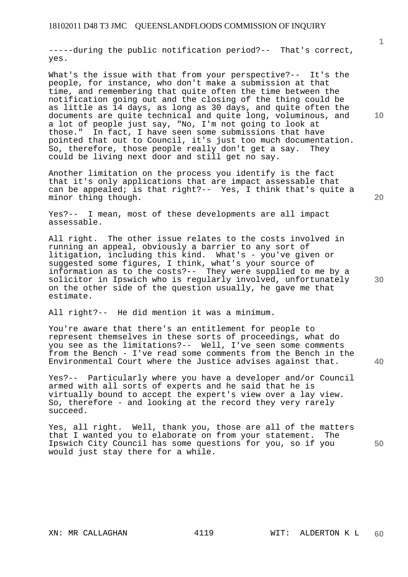-----during the public notification period?-- That's correct, yes.

What's the issue with that from your perspective?-- It's the people, for instance, who don't make a submission at that time, and remembering that quite often the time between the notification going out and the closing of the thing could be as little as 14 days, as long as 30 days, and quite often the documents are quite technical and quite long, voluminous, and a lot of people just say, "No, I'm not going to look at those." In fact, I have seen some submissions that have pointed that out to Council, it's just too much documentation. So, therefore, those people really don't get a say. They could be living next door and still get no say.

Another limitation on the process you identify is the fact that it's only applications that are impact assessable that can be appealed; is that right?-- Yes, I think that's quite a minor thing though.

Yes?-- I mean, most of these developments are all impact assessable.

All right. The other issue relates to the costs involved in running an appeal, obviously a barrier to any sort of litigation, including this kind. What's - you've given or suggested some figures, I think, what's your source of information as to the costs?-- They were supplied to me by a solicitor in Ipswich who is regularly involved, unfortunately on the other side of the question usually, he gave me that estimate.

All right?-- He did mention it was a minimum.

You're aware that there's an entitlement for people to represent themselves in these sorts of proceedings, what do you see as the limitations?-- Well, I've seen some comments from the Bench - I've read some comments from the Bench in the Environmental Court where the Justice advises against that.

Yes?-- Particularly where you have a developer and/or Council armed with all sorts of experts and he said that he is virtually bound to accept the expert's view over a lay view. So, therefore - and looking at the record they very rarely succeed.

**50**  Yes, all right. Well, thank you, those are all of the matters that I wanted you to elaborate on from your statement. The Ipswich City Council has some questions for you, so if you would just stay there for a while.

**10** 

**20** 

**1**

**40**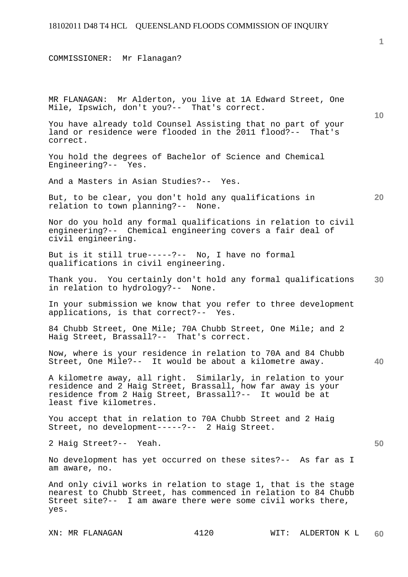COMMISSIONER: Mr Flanagan?

**10 20 30 40 50**  MR FLANAGAN: Mr Alderton, you live at 1A Edward Street, One Mile, Ipswich, don't you?-- That's correct. You have already told Counsel Assisting that no part of your land or residence were flooded in the 2011 flood?-- That's correct. You hold the degrees of Bachelor of Science and Chemical Engineering?-- Yes. And a Masters in Asian Studies?-- Yes. But, to be clear, you don't hold any qualifications in relation to town planning?-- None. Nor do you hold any formal qualifications in relation to civil engineering?-- Chemical engineering covers a fair deal of civil engineering. But is it still true-----?-- No, I have no formal qualifications in civil engineering. Thank you. You certainly don't hold any formal qualifications in relation to hydrology?-- None. In your submission we know that you refer to three development applications, is that correct?-- Yes. 84 Chubb Street, One Mile; 70A Chubb Street, One Mile; and 2 Haig Street, Brassall?-- That's correct. Now, where is your residence in relation to 70A and 84 Chubb Street, One Mile?-- It would be about a kilometre away. A kilometre away, all right. Similarly, in relation to your residence and 2 Haig Street, Brassall, how far away is your residence from 2 Haig Street, Brassall?-- It would be at least five kilometres. You accept that in relation to 70A Chubb Street and 2 Haig Street, no development-----?-- 2 Haig Street. 2 Haig Street?-- Yeah. No development has yet occurred on these sites?-- As far as I am aware, no. And only civil works in relation to stage 1, that is the stage nearest to Chubb Street, has commenced in relation to 84 Chubb Street site?-- I am aware there were some civil works there, yes.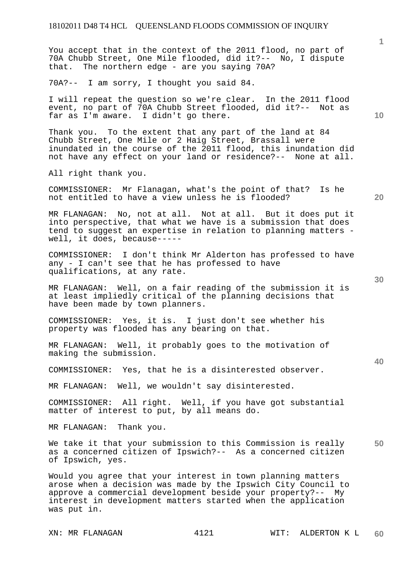You accept that in the context of the 2011 flood, no part of 70A Chubb Street, One Mile flooded, did it?-- No, I dispute that. The northern edge - are you saying 70A?

70A?-- I am sorry, I thought you said 84.

I will repeat the question so we're clear. In the 2011 flood event, no part of 70A Chubb Street flooded, did it?-- Not as far as I'm aware. I didn't go there.

Thank you. To the extent that any part of the land at 84 Chubb Street, One Mile or 2 Haig Street, Brassall were inundated in the course of the 2011 flood, this inundation did not have any effect on your land or residence?-- None at all.

All right thank you.

COMMISSIONER: Mr Flanagan, what's the point of that? Is he not entitled to have a view unless he is flooded?

MR FLANAGAN: No, not at all. Not at all. But it does put it into perspective, that what we have is a submission that does tend to suggest an expertise in relation to planning matters well, it does, because-----

COMMISSIONER: I don't think Mr Alderton has professed to have any - I can't see that he has professed to have qualifications, at any rate.

MR FLANAGAN: Well, on a fair reading of the submission it is at least impliedly critical of the planning decisions that have been made by town planners.

COMMISSIONER: Yes, it is. I just don't see whether his property was flooded has any bearing on that.

MR FLANAGAN: Well, it probably goes to the motivation of making the submission.

COMMISSIONER: Yes, that he is a disinterested observer.

MR FLANAGAN: Well, we wouldn't say disinterested.

COMMISSIONER: All right. Well, if you have got substantial matter of interest to put, by all means do.

MR FLANAGAN: Thank you.

**50**  We take it that your submission to this Commission is really as a concerned citizen of Ipswich?-- As a concerned citizen of Ipswich, yes.

Would you agree that your interest in town planning matters arose when a decision was made by the Ipswich City Council to approve a commercial development beside your property?-- My interest in development matters started when the application was put in.

**10** 

**1**

**30**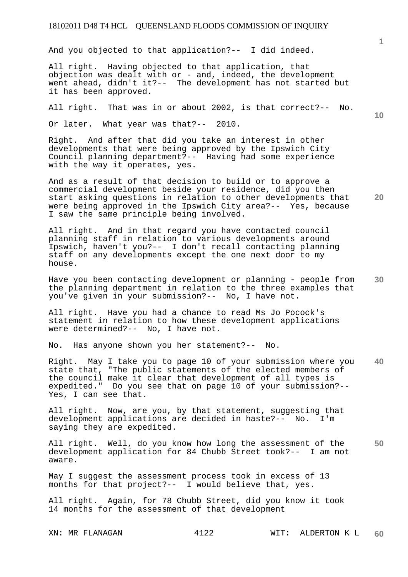And you objected to that application?-- I did indeed.

All right. Having objected to that application, that objection was dealt with  $or - and$ , indeed, the development went ahead, didn't it?-- The development has not started but it has been approved.

All right. That was in or about 2002, is that correct?-- No.

Or later. What year was that?-- 2010.

Right. And after that did you take an interest in other developments that were being approved by the Ipswich City Council planning department?-- Having had some experience with the way it operates, yes.

And as a result of that decision to build or to approve a commercial development beside your residence, did you then start asking questions in relation to other developments that were being approved in the Ipswich City area?-- Yes, because I saw the same principle being involved.

All right. And in that regard you have contacted council planning staff in relation to various developments around Ipswich, haven't you?-- I don't recall contacting planning staff on any developments except the one next door to my house.

**30**  Have you been contacting development or planning - people from the planning department in relation to the three examples that you've given in your submission?-- No, I have not.

All right. Have you had a chance to read Ms Jo Pocock's statement in relation to how these development applications were determined?-- No, I have not.

No. Has anyone shown you her statement?-- No.

**40**  Right. May I take you to page 10 of your submission where you state that, "The public statements of the elected members of the council make it clear that development of all types is expedited." Do you see that on page 10 of your submission?-- Yes, I can see that.

All right. Now, are you, by that statement, suggesting that development applications are decided in haste?-- No. I'm saying they are expedited.

**50**  All right. Well, do you know how long the assessment of the development application for 84 Chubb Street took?-- I am not aware.

May I suggest the assessment process took in excess of 13 months for that project?-- I would believe that, yes.

All right. Again, for 78 Chubb Street, did you know it took 14 months for the assessment of that development

**10** 

**1**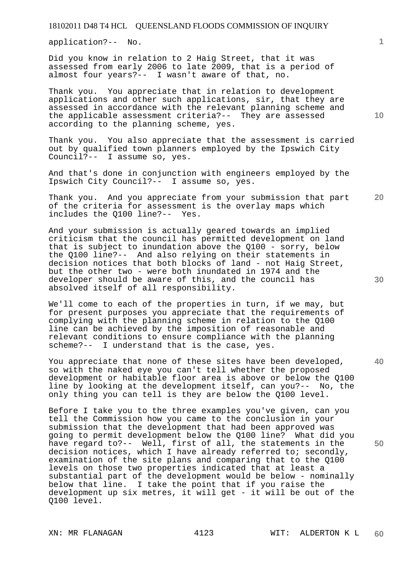application?-- No.

Did you know in relation to 2 Haig Street, that it was assessed from early 2006 to late 2009, that is a period of almost four years?-- I wasn't aware of that, no.

Thank you. You appreciate that in relation to development applications and other such applications, sir, that they are assessed in accordance with the relevant planning scheme and the applicable assessment criteria?-- They are assessed according to the planning scheme, yes.

Thank you. You also appreciate that the assessment is carried out by qualified town planners employed by the Ipswich City Council?-- I assume so, yes.

And that's done in conjunction with engineers employed by the Ipswich City Council?-- I assume so, yes.

**20**  Thank you. And you appreciate from your submission that part of the criteria for assessment is the overlay maps which includes the Q100 line?-- Yes.

And your submission is actually geared towards an implied criticism that the council has permitted development on land that is subject to inundation above the Q100 - sorry, below the Q100 line?-- And also relying on their statements in decision notices that both blocks of land - not Haig Street, but the other two - were both inundated in 1974 and the developer should be aware of this, and the council has absolved itself of all responsibility.

We'll come to each of the properties in turn, if we may, but for present purposes you appreciate that the requirements of complying with the planning scheme in relation to the Q100 line can be achieved by the imposition of reasonable and relevant conditions to ensure compliance with the planning scheme?-- I understand that is the case, yes.

You appreciate that none of these sites have been developed, so with the naked eye you can't tell whether the proposed development or habitable floor area is above or below the Q100 line by looking at the development itself, can you?-- No, the only thing you can tell is they are below the Q100 level.

Before I take you to the three examples you've given, can you tell the Commission how you came to the conclusion in your submission that the development that had been approved was going to permit development below the Q100 line? What did you have regard to?-- Well, first of all, the statements in the decision notices, which I have already referred to; secondly, examination of the site plans and comparing that to the Q100 levels on those two properties indicated that at least a substantial part of the development would be below - nominally below that line. I take the point that if you raise the development up six metres, it will get - it will be out of the Q100 level.

**10** 

**1**

**40** 

**50**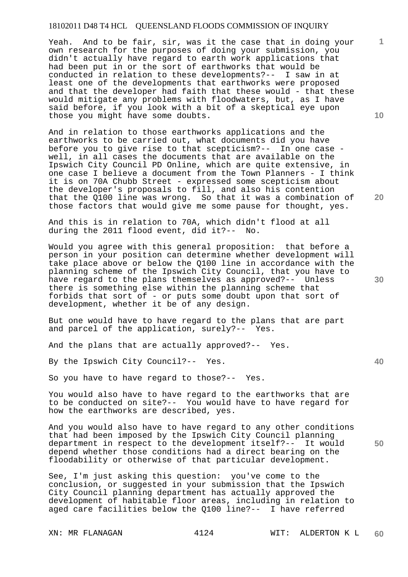Yeah. And to be fair, sir, was it the case that in doing your own research for the purposes of doing your submission, you didn't actually have regard to earth work applications that had been put in or the sort of earthworks that would be conducted in relation to these developments?-- I saw in at least one of the developments that earthworks were proposed and that the developer had faith that these would - that these would mitigate any problems with floodwaters, but, as I have said before, if you look with a bit of a skeptical eye upon those you might have some doubts.

And in relation to those earthworks applications and the earthworks to be carried out, what documents did you have before you to give rise to that scepticism?-- In one case well, in all cases the documents that are available on the Ipswich City Council PD Online, which are quite extensive, in one case I believe a document from the Town Planners - I think it is on 70A Chubb Street - expressed some scepticism about the developer's proposals to fill, and also his contention that the Q100 line was wrong. So that it was a combination of those factors that would give me some pause for thought, yes.

And this is in relation to 70A, which didn't flood at all during the 2011 flood event, did it?-- No.

Would you agree with this general proposition: that before a person in your position can determine whether development will take place above or below the Q100 line in accordance with the planning scheme of the Ipswich City Council, that you have to have regard to the plans themselves as approved?-- Unless there is something else within the planning scheme that forbids that sort of - or puts some doubt upon that sort of development, whether it be of any design.

But one would have to have regard to the plans that are part and parcel of the application, surely?-- Yes.

And the plans that are actually approved?-- Yes.

By the Ipswich City Council?-- Yes.

So you have to have regard to those?-- Yes.

You would also have to have regard to the earthworks that are to be conducted on site?-- You would have to have regard for how the earthworks are described, yes.

And you would also have to have regard to any other conditions that had been imposed by the Ipswich City Council planning department in respect to the development itself?-- It would depend whether those conditions had a direct bearing on the floodability or otherwise of that particular development.

See, I'm just asking this question: you've come to the conclusion, or suggested in your submission that the Ipswich City Council planning department has actually approved the development of habitable floor areas, including in relation to aged care facilities below the Q100 line?-- I have referred

**10** 

**1**

**40**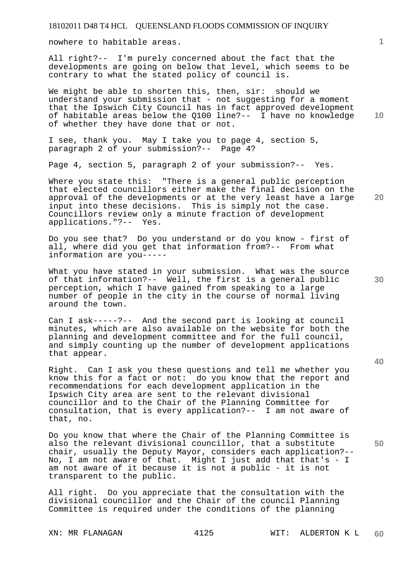nowhere to habitable areas.

All right?-- I'm purely concerned about the fact that the developments are going on below that level, which seems to be contrary to what the stated policy of council is.

**10**  We might be able to shorten this, then, sir: should we understand your submission that - not suggesting for a moment that the Ipswich City Council has in fact approved development of habitable areas below the Q100 line?-- I have no knowledge of whether they have done that or not.

I see, thank you. May I take you to page 4, section 5, paragraph 2 of your submission?-- Page 4?

Page 4, section 5, paragraph 2 of your submission?-- Yes.

Where you state this: "There is a general public perception that elected councillors either make the final decision on the approval of the developments or at the very least have a large input into these decisions. This is simply not the case. Councillors review only a minute fraction of development applications."?-- Yes.

Do you see that? Do you understand or do you know - first of all, where did you get that information from?-- From what information are you-----

What you have stated in your submission. What was the source of that information?-- Well, the first is a general public perception, which I have gained from speaking to a large number of people in the city in the course of normal living around the town.

Can I ask-----?-- And the second part is looking at council minutes, which are also available on the website for both the planning and development committee and for the full council, and simply counting up the number of development applications that appear.

Right. Can I ask you these questions and tell me whether you know this for a fact or not: do you know that the report and recommendations for each development application in the Ipswich City area are sent to the relevant divisional councillor and to the Chair of the Planning Committee for consultation, that is every application?-- I am not aware of that, no.

Do you know that where the Chair of the Planning Committee is also the relevant divisional councillor, that a substitute chair, usually the Deputy Mayor, considers each application?-- No, I am not aware of that. Might I just add that that's - I am not aware of it because it is not a public - it is not transparent to the public.

All right. Do you appreciate that the consultation with the divisional councillor and the Chair of the council Planning Committee is required under the conditions of the planning

**1**

**30** 

**20**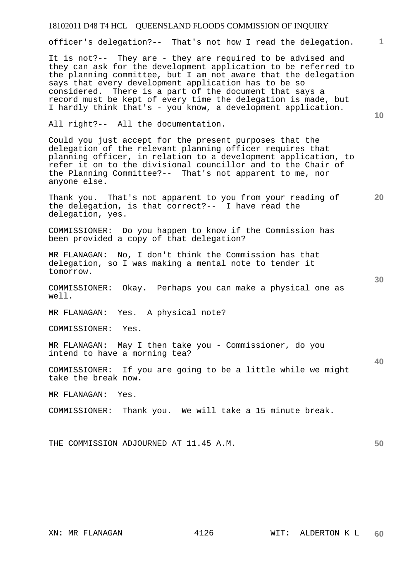officer's delegation?-- That's not how I read the delegation.

It is not?-- They are - they are required to be advised and they can ask for the development application to be referred to the planning committee, but I am not aware that the delegation says that every development application has to be so considered. There is a part of the document that says a record must be kept of every time the delegation is made, but I hardly think that's - you know, a development application.

All right?-- All the documentation.

Could you just accept for the present purposes that the delegation of the relevant planning officer requires that planning officer, in relation to a development application, to refer it on to the divisional councillor and to the Chair of the Planning Committee?-- That's not apparent to me, nor anyone else.

Thank you. That's not apparent to you from your reading of the delegation, is that correct?-- I have read the delegation, yes.

COMMISSIONER: Do you happen to know if the Commission has been provided a copy of that delegation?

MR FLANAGAN: No, I don't think the Commission has that delegation, so I was making a mental note to tender it tomorrow.

COMMISSIONER: Okay. Perhaps you can make a physical one as well.

MR FLANAGAN: Yes. A physical note?

COMMISSIONER: Yes.

MR FLANAGAN: May I then take you - Commissioner, do you intend to have a morning tea?

COMMISSIONER: If you are going to be a little while we might take the break now.

MR FLANAGAN: Yes.

COMMISSIONER: Thank you. We will take a 15 minute break.

THE COMMISSION ADJOURNED AT 11.45 A.M.

**10** 

**1**

**30** 

**40** 

**50**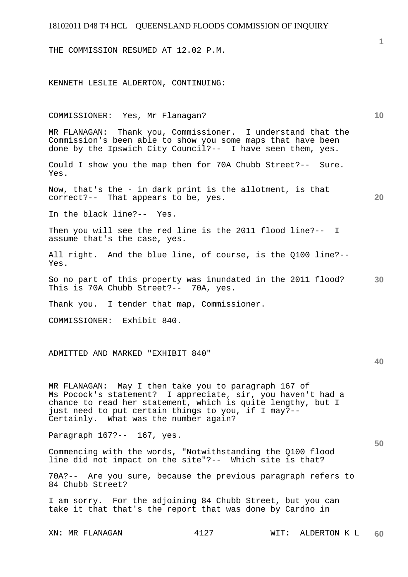THE COMMISSION RESUMED AT 12.02 P.M.

KENNETH LESLIE ALDERTON, CONTINUING:

| COMMISSIONER: Yes, Mr Flanagan?                                                                                                                                                                                                                                                    |      |      |              | 10 |
|------------------------------------------------------------------------------------------------------------------------------------------------------------------------------------------------------------------------------------------------------------------------------------|------|------|--------------|----|
| MR FLANAGAN: Thank you, Commissioner. I understand that the<br>Commission's been able to show you some maps that have been<br>done by the Ipswich City Council?-- I have seen them, yes.                                                                                           |      |      |              |    |
| Could I show you the map then for 70A Chubb Street?-- Sure.<br>Yes.                                                                                                                                                                                                                |      |      |              |    |
| Now, that's the - in dark print is the allotment, is that<br>correct?-- That appears to be, yes.                                                                                                                                                                                   |      |      |              | 20 |
| In the black line?-- Yes.                                                                                                                                                                                                                                                          |      |      |              |    |
| Then you will see the red line is the 2011 flood line?-- I<br>assume that's the case, yes.                                                                                                                                                                                         |      |      |              |    |
| All right. And the blue line, of course, is the Q100 line?--<br>Yes.                                                                                                                                                                                                               |      |      |              |    |
| So no part of this property was inundated in the 2011 flood?<br>This is 70A Chubb Street?-- 70A, yes.                                                                                                                                                                              |      |      |              | 30 |
| Thank you. I tender that map, Commissioner.                                                                                                                                                                                                                                        |      |      |              |    |
| COMMISSIONER: Exhibit 840.                                                                                                                                                                                                                                                         |      |      |              |    |
|                                                                                                                                                                                                                                                                                    |      |      |              |    |
| ADMITTED AND MARKED "EXHIBIT 840"                                                                                                                                                                                                                                                  |      |      |              | 40 |
|                                                                                                                                                                                                                                                                                    |      |      |              |    |
| MR FLANAGAN: May I then take you to paragraph 167 of<br>Ms Pocock's statement? I appreciate, sir, you haven't had a<br>chance to read her statement, which is quite lengthy, but I<br>just need to put certain things to you, if I may?--<br>Certainly. What was the number again? |      |      |              |    |
| Paragraph 167?-- 167, yes.                                                                                                                                                                                                                                                         |      |      |              |    |
| Commencing with the words, "Notwithstanding the Q100 flood<br>line did not impact on the site"?-- Which site is that?                                                                                                                                                              |      |      |              | 50 |
| 70A?-- Are you sure, because the previous paragraph refers to<br>84 Chubb Street?                                                                                                                                                                                                  |      |      |              |    |
| I am sorry. For the adjoining 84 Chubb Street, but you can<br>take it that that's the report that was done by Cardno in                                                                                                                                                            |      |      |              |    |
| XN: MR FLANAGAN                                                                                                                                                                                                                                                                    | 4127 | WIT: | ALDERTON K L | 60 |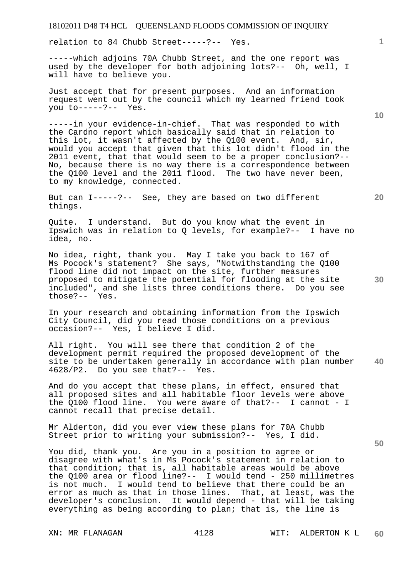relation to 84 Chubb Street-----?-- Yes.

-----which adjoins 70A Chubb Street, and the one report was used by the developer for both adjoining lots?-- Oh, well, I will have to believe you.

Just accept that for present purposes. And an information request went out by the council which my learned friend took you to-----?-- Yes.

-----in your evidence-in-chief. That was responded to with the Cardno report which basically said that in relation to this lot, it wasn't affected by the Q100 event. And, sir, would you accept that given that this lot didn't flood in the 2011 event, that that would seem to be a proper conclusion?-- No, because there is no way there is a correspondence between the Q100 level and the 2011 flood. The two have never been, to my knowledge, connected.

But can I-----?-- See, they are based on two different things.

Quite. I understand. But do you know what the event in Ipswich was in relation to Q levels, for example?-- I have no idea, no.

No idea, right, thank you. May I take you back to 167 of Ms Pocock's statement? She says, "Notwithstanding the Q100 flood line did not impact on the site, further measures proposed to mitigate the potential for flooding at the site included", and she lists three conditions there. Do you see those?-- Yes.

In your research and obtaining information from the Ipswich City Council, did you read those conditions on a previous occasion?-- Yes, I believe I did.

**40**  All right. You will see there that condition 2 of the development permit required the proposed development of the site to be undertaken generally in accordance with plan number 4628/P2. Do you see that?-- Yes.

And do you accept that these plans, in effect, ensured that all proposed sites and all habitable floor levels were above the Q100 flood line. You were aware of that?-- I cannot - I cannot recall that precise detail.

Mr Alderton, did you ever view these plans for 70A Chubb Street prior to writing your submission?-- Yes, I did.

You did, thank you. Are you in a position to agree or disagree with what's in Ms Pocock's statement in relation to that condition; that is, all habitable areas would be above the Q100 area or flood line?-- I would tend - 250 millimetres is not much. I would tend to believe that there could be an error as much as that in those lines. That, at least, was the developer's conclusion. It would depend - that will be taking everything as being according to plan; that is, the line is

**10** 

**20** 

**1**

**30**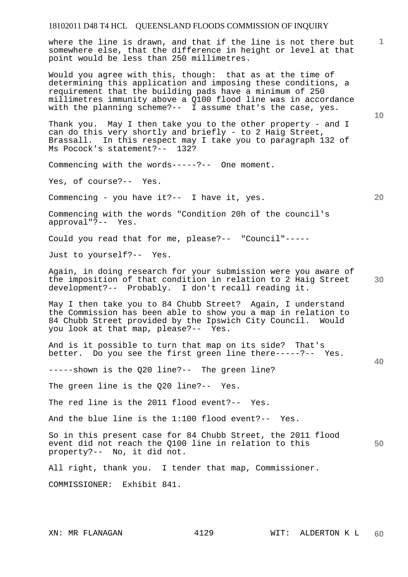where the line is drawn, and that if the line is not there but somewhere else, that the difference in height or level at that point would be less than 250 millimetres.

Would you agree with this, though: that as at the time of determining this application and imposing these conditions, a requirement that the building pads have a minimum of 250 millimetres immunity above a Q100 flood line was in accordance with the planning scheme?-- I assume that's the case, yes.

Thank you. May I then take you to the other property - and I can do this very shortly and briefly - to 2 Haig Street, Brassall. In this respect may I take you to paragraph 132 of Ms Pocock's statement?-- 132?

Commencing with the words-----?-- One moment.

Yes, of course?-- Yes.

Commencing - you have it?-- I have it, yes.

Commencing with the words "Condition 20h of the council's approval"?-- Yes.

Could you read that for me, please?-- "Council"-----

Just to yourself?-- Yes.

**30**  Again, in doing research for your submission were you aware of the imposition of that condition in relation to 2 Haig Street development?-- Probably. I don't recall reading it.

May I then take you to 84 Chubb Street? Again, I understand the Commission has been able to show you a map in relation to 84 Chubb Street provided by the Ipswich City Council. Would you look at that map, please?-- Yes.

And is it possible to turn that map on its side? That's better. Do you see the first green line there-----?-- Yes.

-----shown is the Q20 line?-- The green line?

The green line is the Q20 line?-- Yes.

The red line is the 2011 flood event?-- Yes.

And the blue line is the 1:100 flood event?-- Yes.

**50**  So in this present case for 84 Chubb Street, the 2011 flood event did not reach the Q100 line in relation to this property?-- No, it did not.

All right, thank you. I tender that map, Commissioner.

COMMISSIONER: Exhibit 841.

**10** 

**1**

**20**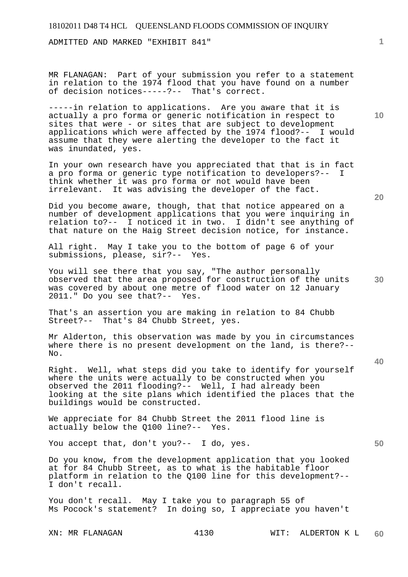ADMITTED AND MARKED "EXHIBIT 841"

MR FLANAGAN: Part of your submission you refer to a statement in relation to the 1974 flood that you have found on a number of decision notices-----?-- That's correct.

-----in relation to applications. Are you aware that it is actually a pro forma or generic notification in respect to sites that were - or sites that are subject to development applications which were affected by the 1974 flood?-- I would assume that they were alerting the developer to the fact it was inundated, yes.

In your own research have you appreciated that that is in fact a pro forma or generic type notification to developers?-- I think whether it was pro forma or not would have been irrelevant. It was advising the developer of the fact.

Did you become aware, though, that that notice appeared on a number of development applications that you were inquiring in relation to?-- I noticed it in two. I didn't see anything of that nature on the Haig Street decision notice, for instance.

All right. May I take you to the bottom of page 6 of your submissions, please, sir?-- Yes.

You will see there that you say, "The author personally observed that the area proposed for construction of the units was covered by about one metre of flood water on 12 January 2011." Do you see that?-- Yes.

That's an assertion you are making in relation to 84 Chubb Street?-- That's 84 Chubb Street, yes.

Mr Alderton, this observation was made by you in circumstances where there is no present development on the land, is there?-- No.

Right. Well, what steps did you take to identify for yourself where the units were actually to be constructed when you observed the 2011 flooding?-- Well, I had already been looking at the site plans which identified the places that the buildings would be constructed.

We appreciate for 84 Chubb Street the 2011 flood line is actually below the Q100 line?-- Yes.

You accept that, don't you?-- I do, yes.

Do you know, from the development application that you looked at for 84 Chubb Street, as to what is the habitable floor platform in relation to the Q100 line for this development?-- I don't recall.

You don't recall. May I take you to paragraph 55 of Ms Pocock's statement? In doing so, I appreciate you haven't

**20** 

**10** 

**30** 

**40**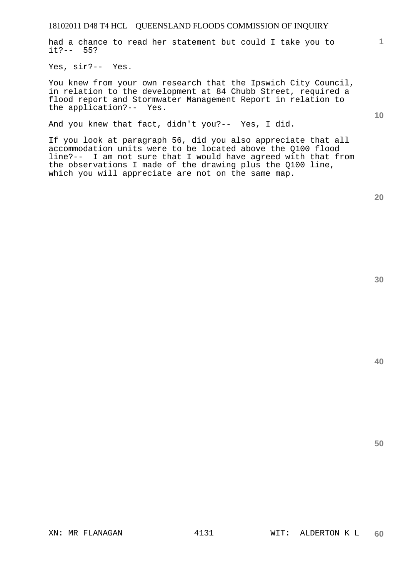had a chance to read her statement but could I take you to it?-- 55?

Yes, sir?-- Yes.

You knew from your own research that the Ipswich City Council, in relation to the development at 84 Chubb Street, required a flood report and Stormwater Management Report in relation to the application?-- Yes.

And you knew that fact, didn't you?-- Yes, I did.

If you look at paragraph 56, did you also appreciate that all accommodation units were to be located above the Q100 flood line?-- I am not sure that I would have agreed with that from the observations I made of the drawing plus the Q100 line, which you will appreciate are not on the same map.

**40** 

**50** 

**1**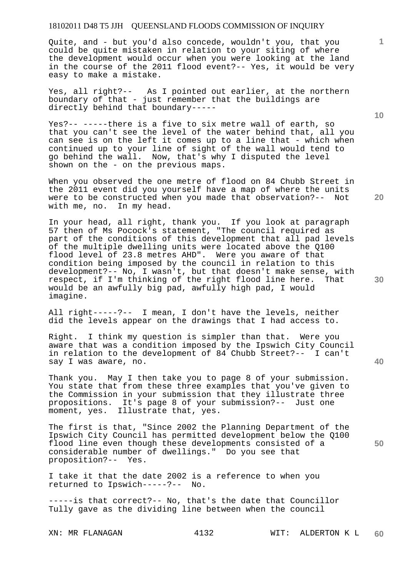Quite, and - but you'd also concede, wouldn't you, that you could be quite mistaken in relation to your siting of where the development would occur when you were looking at the land in the course of the 2011 flood event?-- Yes, it would be very easy to make a mistake.

Yes, all right?-- As I pointed out earlier, at the northern boundary of that - just remember that the buildings are directly behind that boundary-----

Yes?-- -----there is a five to six metre wall of earth, so that you can't see the level of the water behind that, all you can see is on the left it comes up to a line that - which when continued up to your line of sight of the wall would tend to go behind the wall. Now, that's why I disputed the level shown on the - on the previous maps.

When you observed the one metre of flood on 84 Chubb Street in the 2011 event did you yourself have a map of where the units were to be constructed when you made that observation?-- Not with me, no. In my head.

In your head, all right, thank you. If you look at paragraph 57 then of Ms Pocock's statement, "The council required as part of the conditions of this development that all pad levels of the multiple dwelling units were located above the Q100 flood level of 23.8 metres AHD". Were you aware of that condition being imposed by the council in relation to this development?-- No, I wasn't, but that doesn't make sense, with respect, if I'm thinking of the right flood line here. That would be an awfully big pad, awfully high pad, I would imagine.

All right-----?-- I mean, I don't have the levels, neither did the levels appear on the drawings that I had access to.

Right. I think my question is simpler than that. Were you aware that was a condition imposed by the Ipswich City Council in relation to the development of 84 Chubb Street?-- I can't say I was aware, no.

Thank you. May I then take you to page 8 of your submission. You state that from these three examples that you've given to the Commission in your submission that they illustrate three propositions. It's page 8 of your submission?-- Just one moment, yes. Illustrate that, yes.

The first is that, "Since 2002 the Planning Department of the Ipswich City Council has permitted development below the Q100 flood line even though these developments consisted of a considerable number of dwellings." Do you see that proposition?-- Yes.

I take it that the date 2002 is a reference to when you returned to Ipswich-----?-- No.

-----is that correct?-- No, that's the date that Councillor Tully gave as the dividing line between when the council

**10** 

**1**

**40**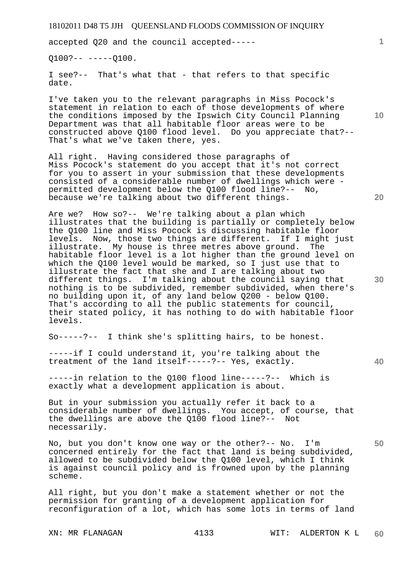accepted Q20 and the council accepted-----

 $0100?-- ----0100.$ 

I see?-- That's what that - that refers to that specific date.

I've taken you to the relevant paragraphs in Miss Pocock's statement in relation to each of those developments of where the conditions imposed by the Ipswich City Council Planning Department was that all habitable floor areas were to be constructed above Q100 flood level. Do you appreciate that?-- That's what we've taken there, yes.

All right. Having considered those paragraphs of Miss Pocock's statement do you accept that it's not correct for you to assert in your submission that these developments consisted of a considerable number of dwellings which were permitted development below the Q100 flood line?-- No, because we're talking about two different things.

Are we? How so?-- We're talking about a plan which illustrates that the building is partially or completely below the Q100 line and Miss Pocock is discussing habitable floor levels. Now, those two things are different. If I might just illustrate. My house is three metres above ground. The habitable floor level is a lot higher than the ground level on which the Q100 level would be marked, so I just use that to illustrate the fact that she and I are talking about two different things. I'm talking about the council saying that nothing is to be subdivided, remember subdivided, when there's no building upon it, of any land below Q200 - below Q100. That's according to all the public statements for council, their stated policy, it has nothing to do with habitable floor levels.

So-----?-- I think she's splitting hairs, to be honest.

-----if I could understand it, you're talking about the treatment of the land itself-----?-- Yes, exactly.

-----in relation to the Q100 flood line-----?-- Which is exactly what a development application is about.

But in your submission you actually refer it back to a considerable number of dwellings. You accept, of course, that the dwellings are above the Q100 flood line?-- Not necessarily.

No, but you don't know one way or the other?-- No. I'm concerned entirely for the fact that land is being subdivided, allowed to be subdivided below the Q100 level, which I think is against council policy and is frowned upon by the planning scheme.

All right, but you don't make a statement whether or not the permission for granting of a development application for reconfiguration of a lot, which has some lots in terms of land

**1**

**20** 

**30** 

**40** 

**50**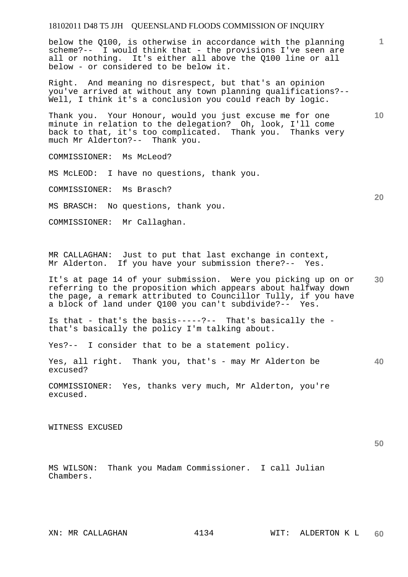below the Q100, is otherwise in accordance with the planning scheme?-- I would think that - the provisions I've seen are all or nothing. It's either all above the Q100 line or all below - or considered to be below it.

Right. And meaning no disrespect, but that's an opinion you've arrived at without any town planning qualifications?-- Well, I think it's a conclusion you could reach by logic.

Thank you. Your Honour, would you just excuse me for one minute in relation to the delegation? Oh, look, I'll come back to that, it's too complicated. Thank you. Thanks very much Mr Alderton?-- Thank you.

COMMISSIONER: Ms McLeod?

MS McLEOD: I have no questions, thank you.

COMMISSIONER: Ms Brasch?

MS BRASCH: No questions, thank you.

COMMISSIONER: Mr Callaghan.

MR CALLAGHAN: Just to put that last exchange in context, Mr Alderton. If you have your submission there?-- Yes.

**30**  It's at page 14 of your submission. Were you picking up on or referring to the proposition which appears about halfway down the page, a remark attributed to Councillor Tully, if you have a block of land under Q100 you can't subdivide?-- Yes.

Is that - that's the basis-----?-- That's basically the that's basically the policy I'm talking about.

Yes?-- I consider that to be a statement policy.

Yes, all right. Thank you, that's - may Mr Alderton be excused?

COMMISSIONER: Yes, thanks very much, Mr Alderton, you're excused.

WITNESS EXCUSED

**50** 

**40** 

MS WILSON: Thank you Madam Commissioner. I call Julian Chambers.

**10** 

**1**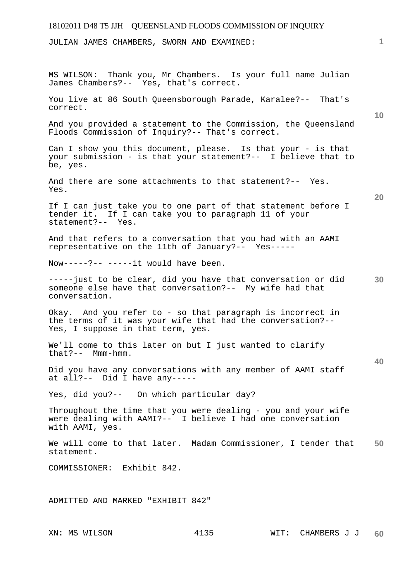JULIAN JAMES CHAMBERS, SWORN AND EXAMINED:

**10 20 30 40 50**  MS WILSON: Thank you, Mr Chambers. Is your full name Julian James Chambers?-- Yes, that's correct. You live at 86 South Queensborough Parade, Karalee?-- That's correct. And you provided a statement to the Commission, the Queensland Floods Commission of Inquiry?-- That's correct. Can I show you this document, please. Is that your - is that your submission - is that your statement?-- I believe that to be, yes. And there are some attachments to that statement?-- Yes. Yes. If I can just take you to one part of that statement before I tender it. If I can take you to paragraph 11 of your statement?-- Yes. And that refers to a conversation that you had with an AAMI representative on the 11th of January?-- Yes----- Now-----?-- -----it would have been. -----just to be clear, did you have that conversation or did someone else have that conversation?-- My wife had that conversation. Okay. And you refer to - so that paragraph is incorrect in the terms of it was your wife that had the conversation?-- Yes, I suppose in that term, yes. We'll come to this later on but I just wanted to clarify that?-- Mmm-hmm. Did you have any conversations with any member of AAMI staff at all?-- Did I have any----- Yes, did you?-- On which particular day? Throughout the time that you were dealing - you and your wife were dealing with AAMI?-- I believe I had one conversation with AAMI, yes. We will come to that later. Madam Commissioner, I tender that statement. COMMISSIONER: Exhibit 842. ADMITTED AND MARKED "EXHIBIT 842"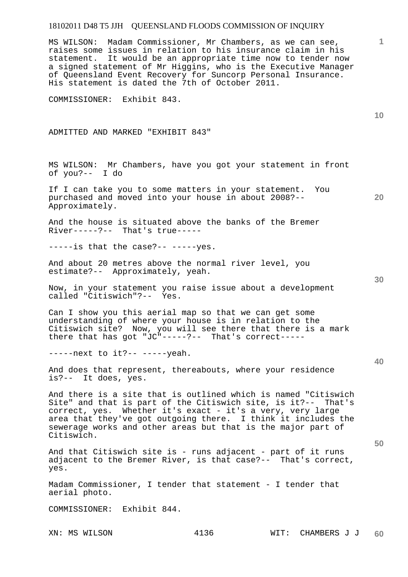MS WILSON: Madam Commissioner, Mr Chambers, as we can see, raises some issues in relation to his insurance claim in his statement. It would be an appropriate time now to tender now a signed statement of Mr Higgins, who is the Executive Manager of Queensland Event Recovery for Suncorp Personal Insurance. His statement is dated the 7th of October 2011.

COMMISSIONER: Exhibit 843.

ADMITTED AND MARKED "EXHIBIT 843"

MS WILSON: Mr Chambers, have you got your statement in front of you?-- I do

If I can take you to some matters in your statement. You purchased and moved into your house in about 2008?-- Approximately.

And the house is situated above the banks of the Bremer River-----?-- That's true-----

 $---is$  that the case?--  $---yes$ .

And about 20 metres above the normal river level, you estimate?-- Approximately, yeah.

Now, in your statement you raise issue about a development called "Citiswich"?-- Yes.

Can I show you this aerial map so that we can get some understanding of where your house is in relation to the Citiswich site? Now, you will see there that there is a mark there that has got "JC"-----?-- That's correct-----

-----next to it?-- -----yeah.

And does that represent, thereabouts, where your residence is?-- It does, yes.

And there is a site that is outlined which is named "Citiswich Site" and that is part of the Citiswich site, is it?-- That's correct, yes. Whether it's exact - it's a very, very large area that they've got outgoing there. I think it includes the sewerage works and other areas but that is the major part of Citiswich.

And that Citiswich site is - runs adjacent - part of it runs adjacent to the Bremer River, is that case?-- That's correct, yes.

Madam Commissioner, I tender that statement - I tender that aerial photo.

COMMISSIONER: Exhibit 844.

**10** 

**1**

**20** 

**30** 

**40**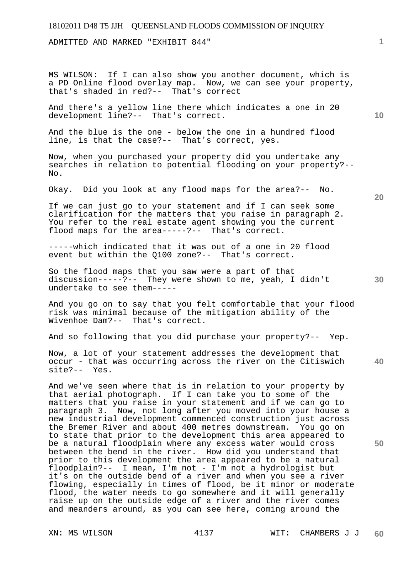ADMITTED AND MARKED "EXHIBIT 844"

MS WILSON: If I can also show you another document, which is a PD Online flood overlay map. Now, we can see your property, that's shaded in red?-- That's correct

And there's a yellow line there which indicates a one in 20 development line?-- That's correct.

And the blue is the one - below the one in a hundred flood line, is that the case?-- That's correct, yes.

Now, when you purchased your property did you undertake any searches in relation to potential flooding on your property?-- No.

Okay. Did you look at any flood maps for the area?-- No.

If we can just go to your statement and if I can seek some clarification for the matters that you raise in paragraph 2. You refer to the real estate agent showing you the current flood maps for the area-----?-- That's correct.

-----which indicated that it was out of a one in 20 flood event but within the Q100 zone?-- That's correct.

So the flood maps that you saw were a part of that discussion-----?-- They were shown to me, yeah, I didn't undertake to see them-----

And you go on to say that you felt comfortable that your flood risk was minimal because of the mitigation ability of the Wivenhoe Dam?-- That's correct.

And so following that you did purchase your property?-- Yep.

Now, a lot of your statement addresses the development that occur - that was occurring across the river on the Citiswich site?-- Yes.

And we've seen where that is in relation to your property by that aerial photograph. If I can take you to some of the matters that you raise in your statement and if we can go to paragraph 3. Now, not long after you moved into your house a new industrial development commenced construction just across the Bremer River and about 400 metres downstream. You go on to state that prior to the development this area appeared to be a natural floodplain where any excess water would cross between the bend in the river. How did you understand that prior to this development the area appeared to be a natural floodplain?-- I mean, I'm not - I'm not a hydrologist but it's on the outside bend of a river and when you see a river flowing, especially in times of flood, be it minor or moderate flood, the water needs to go somewhere and it will generally raise up on the outside edge of a river and the river comes and meanders around, as you can see here, coming around the

**20** 

**10** 

**1**

**40** 

**30**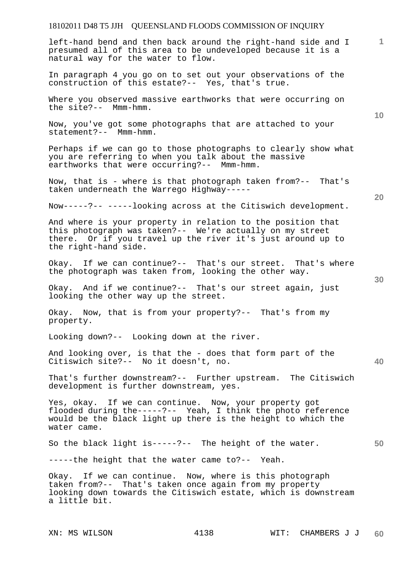left-hand bend and then back around the right-hand side and I presumed all of this area to be undeveloped because it is a natural way for the water to flow.

In paragraph 4 you go on to set out your observations of the construction of this estate?-- Yes, that's true.

Where you observed massive earthworks that were occurring on the site?-- Mmm-hmm.

Now, you've got some photographs that are attached to your statement?-- Mmm-hmm.

Perhaps if we can go to those photographs to clearly show what you are referring to when you talk about the massive earthworks that were occurring?-- Mmm-hmm.

Now, that is - where is that photograph taken from?-- That's taken underneath the Warrego Highway-----

Now-----?-- -----looking across at the Citiswich development.

And where is your property in relation to the position that this photograph was taken?-- We're actually on my street there. Or if you travel up the river it's just around up to the right-hand side.

Okay. If we can continue?-- That's our street. That's where the photograph was taken from, looking the other way.

Okay. And if we continue?-- That's our street again, just looking the other way up the street.

Okay. Now, that is from your property?-- That's from my property.

Looking down?-- Looking down at the river.

And looking over, is that the - does that form part of the Citiswich site?-- No it doesn't, no.

That's further downstream?-- Further upstream. The Citiswich development is further downstream, yes.

Yes, okay. If we can continue. Now, your property got flooded during the-----?-- Yeah, I think the photo reference would be the black light up there is the height to which the water came.

So the black light is-----?-- The height of the water.

-----the height that the water came to?-- Yeah.

Okay. If we can continue. Now, where is this photograph taken from?-- That's taken once again from my property looking down towards the Citiswich estate, which is downstream a little bit.

**40** 

**50** 

**20** 

**10**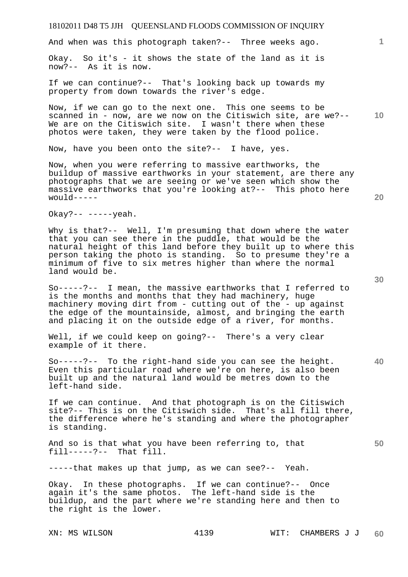And when was this photograph taken?-- Three weeks ago.

Okay. So it's - it shows the state of the land as it is now?-- As it is now.

If we can continue?-- That's looking back up towards my property from down towards the river's edge.

Now, if we can go to the next one. This one seems to be scanned in - now, are we now on the Citiswich site, are we?-- We are on the Citiswich site. I wasn't there when these photos were taken, they were taken by the flood police.

Now, have you been onto the site?-- I have, yes.

Now, when you were referring to massive earthworks, the buildup of massive earthworks in your statement, are there any photographs that we are seeing or we've seen which show the massive earthworks that you're looking at?-- This photo here would-----

Okay?--  $---$ yeah.

Why is that?-- Well, I'm presuming that down where the water that you can see there in the puddle, that would be the natural height of this land before they built up to where this person taking the photo is standing. So to presume they're a minimum of five to six metres higher than where the normal land would be.

So-----?-- I mean, the massive earthworks that I referred to is the months and months that they had machinery, huge machinery moving dirt from - cutting out of the - up against the edge of the mountainside, almost, and bringing the earth and placing it on the outside edge of a river, for months.

Well, if we could keep on going?-- There's a very clear example of it there.

So-----?-- To the right-hand side you can see the height. Even this particular road where we're on here, is also been built up and the natural land would be metres down to the left-hand side.

If we can continue. And that photograph is on the Citiswich site?-- This is on the Citiswich side. That's all fill there, the difference where he's standing and where the photographer is standing.

And so is that what you have been referring to, that fill-----?-- That fill.

-----that makes up that jump, as we can see?-- Yeah.

Okay. In these photographs. If we can continue?-- Once again it's the same photos. The left-hand side is the buildup, and the part where we're standing here and then to the right is the lower.

**30** 

**20** 

**40** 

**50** 

**10**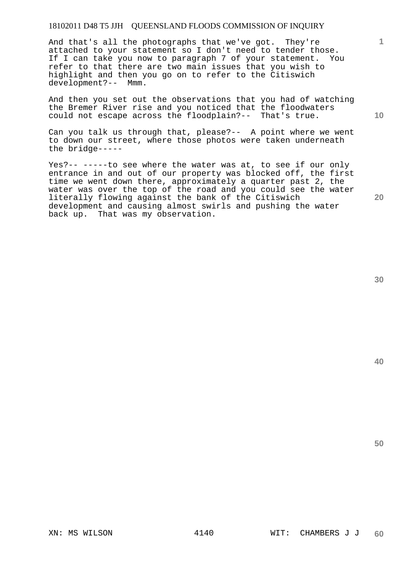And that's all the photographs that we've got. They're attached to your statement so I don't need to tender those. If I can take you now to paragraph 7 of your statement. You refer to that there are two main issues that you wish to highlight and then you go on to refer to the Citiswich development?-- Mmm.

And then you set out the observations that you had of watching the Bremer River rise and you noticed that the floodwaters could not escape across the floodplain?-- That's true.

Can you talk us through that, please?-- A point where we went to down our street, where those photos were taken underneath the bridge-----

Yes?-- -----to see where the water was at, to see if our only entrance in and out of our property was blocked off, the first time we went down there, approximately a quarter past 2, the water was over the top of the road and you could see the water literally flowing against the bank of the Citiswich development and causing almost swirls and pushing the water back up. That was my observation.

**40** 

**50** 

**20** 

**1**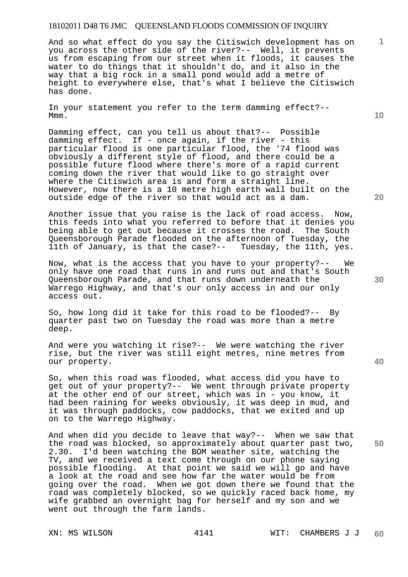And so what effect do you say the Citiswich development has on you across the other side of the river?-- Well, it prevents us from escaping from our street when it floods, it causes the water to do things that it shouldn't do, and it also in the way that a big rock in a small pond would add a metre of height to everywhere else, that's what I believe the Citiswich has done.

In your statement you refer to the term damming effect?-- Mmm.

Damming effect, can you tell us about that?-- Possible damming effect. If - once again, if the river - this particular flood is one particular flood, the '74 flood was obviously a different style of flood, and there could be a possible future flood where there's more of a rapid current coming down the river that would like to go straight over where the Citiswich area is and form a straight line. However, now there is a 10 metre high earth wall built on the outside edge of the river so that would act as a dam.

Another issue that you raise is the lack of road access. Now, this feeds into what you referred to before that it denies you being able to get out because it crosses the road. The South Queensborough Parade flooded on the afternoon of Tuesday, the 11th, yes. 11th of January, is that the case?--

Now, what is the access that you have to your property?-- We only have one road that runs in and runs out and that's South Queensborough Parade, and that runs down underneath the Warrego Highway, and that's our only access in and our only access out.

So, how long did it take for this road to be flooded?-- By quarter past two on Tuesday the road was more than a metre deep.

And were you watching it rise?-- We were watching the river rise, but the river was still eight metres, nine metres from our property.

So, when this road was flooded, what access did you have to get out of your property?-- We went through private property at the other end of our street, which was in - you know, it had been raining for weeks obviously, it was deep in mud, and it was through paddocks, cow paddocks, that we exited and up on to the Warrego Highway.

And when did you decide to leave that way?-- When we saw that the road was blocked, so approximately about quarter past two, 2.30. I'd been watching the BOM weather site, watching the TV, and we received a text come through on our phone saying possible flooding. At that point we said we will go and have a look at the road and see how far the water would be from going over the road. When we got down there we found that the road was completely blocked, so we quickly raced back home, my wife grabbed an overnight bag for herself and my son and we went out through the farm lands.

**10** 

**1**

**20** 

**30** 

**40**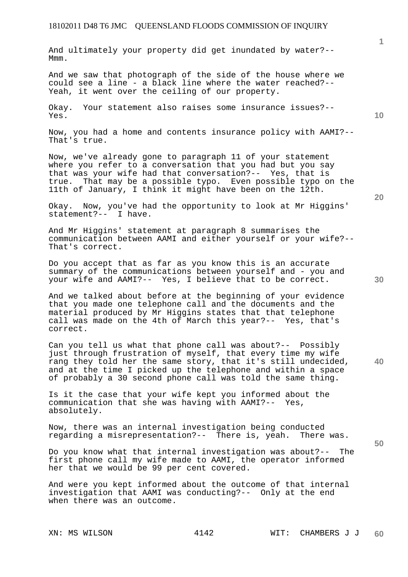And ultimately your property did get inundated by water?-- Mmm.

And we saw that photograph of the side of the house where we could see a line - a black line where the water reached?-- Yeah, it went over the ceiling of our property.

Okay. Your statement also raises some insurance issues?-- Yes.

Now, you had a home and contents insurance policy with AAMI?-- That's true.

Now, we've already gone to paragraph 11 of your statement where you refer to a conversation that you had but you say that was your wife had that conversation?-- Yes, that is true. That may be a possible typo. Even possible typo on the 11th of January, I think it might have been on the 12th.

Okay. Now, you've had the opportunity to look at Mr Higgins' statement?-- I have.

And Mr Higgins' statement at paragraph 8 summarises the communication between AAMI and either yourself or your wife?-- That's correct.

Do you accept that as far as you know this is an accurate summary of the communications between yourself and - you and your wife and AAMI?-- Yes, I believe that to be correct.

And we talked about before at the beginning of your evidence that you made one telephone call and the documents and the material produced by Mr Higgins states that that telephone call was made on the 4th of March this year?-- Yes, that's correct.

**40**  Can you tell us what that phone call was about?-- Possibly just through frustration of myself, that every time my wife rang they told her the same story, that it's still undecided, and at the time I picked up the telephone and within a space of probably a 30 second phone call was told the same thing.

Is it the case that your wife kept you informed about the communication that she was having with AAMI?-- Yes, absolutely.

Now, there was an internal investigation being conducted regarding a misrepresentation?-- There is, yeah. There was.

Do you know what that internal investigation was about?-- The first phone call my wife made to AAMI, the operator informed her that we would be 99 per cent covered.

And were you kept informed about the outcome of that internal investigation that AAMI was conducting?-- Only at the end when there was an outcome.

**10** 

**1**

**30** 

**20**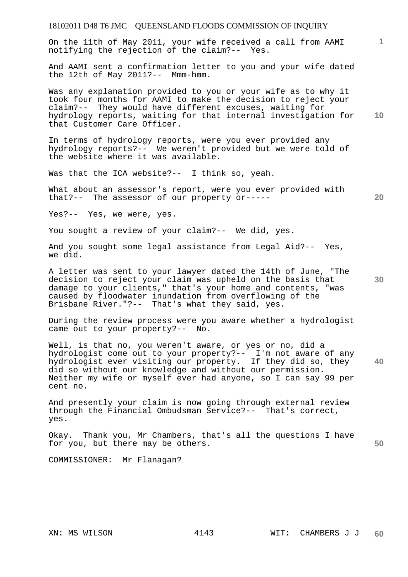On the 11th of May 2011, your wife received a call from AAMI notifying the rejection of the claim?-- Yes.

And AAMI sent a confirmation letter to you and your wife dated the 12th of May 2011?-- Mmm-hmm.

**10**  Was any explanation provided to you or your wife as to why it took four months for AAMI to make the decision to reject your claim?-- They would have different excuses, waiting for hydrology reports, waiting for that internal investigation for that Customer Care Officer.

In terms of hydrology reports, were you ever provided any hydrology reports?-- We weren't provided but we were told of the website where it was available.

Was that the ICA website?-- I think so, yeah.

What about an assessor's report, were you ever provided with that?-- The assessor of our property or-----

Yes?-- Yes, we were, yes.

You sought a review of your claim?-- We did, yes.

And you sought some legal assistance from Legal Aid?-- Yes, we did.

A letter was sent to your lawyer dated the 14th of June, "The decision to reject your claim was upheld on the basis that damage to your clients," that's your home and contents, "was caused by floodwater inundation from overflowing of the Brisbane River."?-- That's what they said, yes.

During the review process were you aware whether a hydrologist came out to your property?-- No.

**40**  Well, is that no, you weren't aware, or yes or no, did a hydrologist come out to your property?-- I'm not aware of any hydrologist ever visiting our property. If they did so, they did so without our knowledge and without our permission. Neither my wife or myself ever had anyone, so I can say 99 per cent no.

And presently your claim is now going through external review through the Financial Ombudsman Service?-- That's correct, yes.

**50**  Okay. Thank you, Mr Chambers, that's all the questions I have for you, but there may be others.

COMMISSIONER: Mr Flanagan?

**1**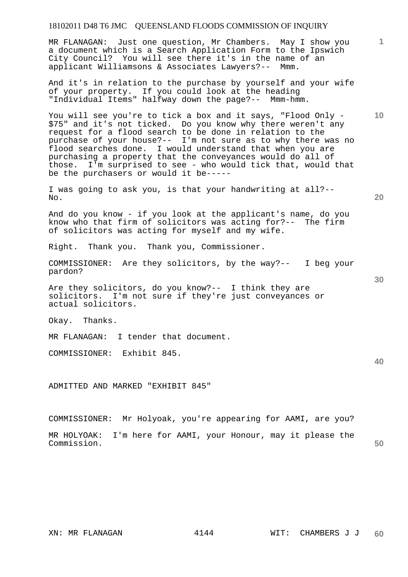MR FLANAGAN: Just one question, Mr Chambers. May I show you a document which is a Search Application Form to the Ipswich City Council? You will see there it's in the name of an applicant Williamsons & Associates Lawyers?-- Mmm.

And it's in relation to the purchase by yourself and your wife of your property. If you could look at the heading "Individual Items" halfway down the page?-- Mmm-hmm.

You will see you're to tick a box and it says, "Flood Only - \$75" and it's not ticked. Do you know why there weren't any request for a flood search to be done in relation to the purchase of your house?-- I'm not sure as to why there was no flood searches done. I would understand that when you are purchasing a property that the conveyances would do all of those. I'm surprised to see - who would tick that, would that be the purchasers or would it be-----

I was going to ask you, is that your handwriting at all?-- No.

And do you know - if you look at the applicant's name, do you know who that firm of solicitors was acting for?-- The firm of solicitors was acting for myself and my wife.

Right. Thank you. Thank you, Commissioner.

COMMISSIONER: Are they solicitors, by the way?-- I beg your pardon?

Are they solicitors, do you know?-- I think they are solicitors. I'm not sure if they're just conveyances or actual solicitors.

Okay. Thanks.

MR FLANAGAN: I tender that document.

COMMISSIONER: Exhibit 845.

ADMITTED AND MARKED "EXHIBIT 845"

COMMISSIONER: Mr Holyoak, you're appearing for AAMI, are you?

| MR HOLYOAK: I'm here for AAMI, your Honour, may it please the |  |  |  |  |    |
|---------------------------------------------------------------|--|--|--|--|----|
| Commission.                                                   |  |  |  |  | 50 |

**10** 

**20** 

**1**

**30**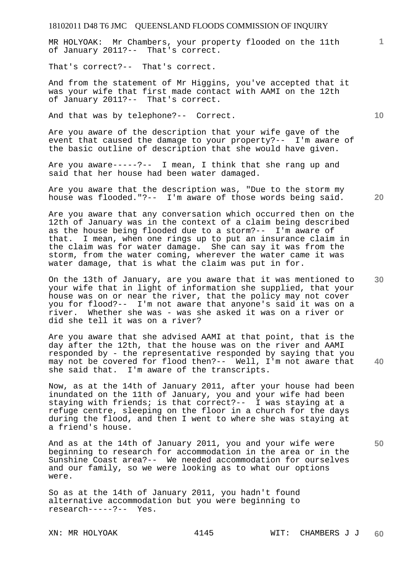MR HOLYOAK: Mr Chambers, your property flooded on the 11th of January 2011?-- That's correct.

That's correct?-- That's correct.

And from the statement of Mr Higgins, you've accepted that it was your wife that first made contact with AAMI on the 12th of January 2011?-- That's correct.

And that was by telephone?-- Correct.

Are you aware of the description that your wife gave of the event that caused the damage to your property?-- I'm aware of the basic outline of description that she would have given.

Are you aware-----?-- I mean, I think that she rang up and said that her house had been water damaged.

Are you aware that the description was, "Due to the storm my house was flooded."?-- I'm aware of those words being said.

Are you aware that any conversation which occurred then on the 12th of January was in the context of a claim being described as the house being flooded due to a storm?-- I'm aware of that. I mean, when one rings up to put an insurance claim in the claim was for water damage. She can say it was from the storm, from the water coming, wherever the water came it was water damage, that is what the claim was put in for.

On the 13th of January, are you aware that it was mentioned to your wife that in light of information she supplied, that your house was on or near the river, that the policy may not cover you for flood?-- I'm not aware that anyone's said it was on a river. Whether she was - was she asked it was on a river or did she tell it was on a river?

Are you aware that she advised AAMI at that point, that is the day after the 12th, that the house was on the river and AAMI responded by - the representative responded by saying that you may not be covered for flood then?-- Well, I'm not aware that she said that. I'm aware of the transcripts.

Now, as at the 14th of January 2011, after your house had been inundated on the 11th of January, you and your wife had been staying with friends; is that correct?-- I was staying at a refuge centre, sleeping on the floor in a church for the days during the flood, and then I went to where she was staying at a friend's house.

And as at the 14th of January 2011, you and your wife were beginning to research for accommodation in the area or in the Sunshine Coast area?-- We needed accommodation for ourselves and our family, so we were looking as to what our options were.

So as at the 14th of January 2011, you hadn't found alternative accommodation but you were beginning to research-----?-- Yes.

**20** 

**10** 

**1**

**30** 

**50**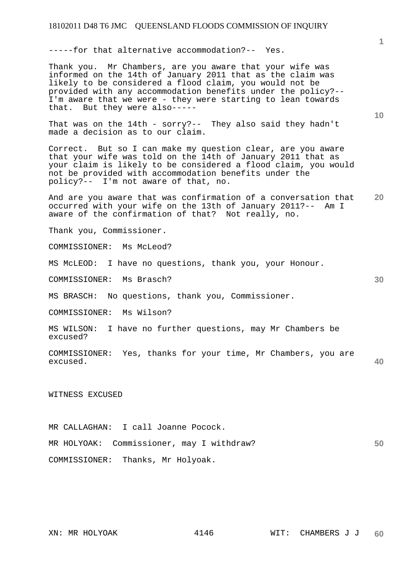-----for that alternative accommodation?-- Yes.

Thank you. Mr Chambers, are you aware that your wife was informed on the 14th of January 2011 that as the claim was likely to be considered a flood claim, you would not be provided with any accommodation benefits under the policy?-- I'm aware that we were - they were starting to lean towards that. But they were also-----

That was on the 14th - sorry?-- They also said they hadn't made a decision as to our claim.

Correct. But so I can make my question clear, are you aware that your wife was told on the 14th of January 2011 that as your claim is likely to be considered a flood claim, you would not be provided with accommodation benefits under the policy?-- I'm not aware of that, no.

**20**  And are you aware that was confirmation of a conversation that occurred with your wife on the 13th of January 2011?-- Am I aware of the confirmation of that? Not really, no.

Thank you, Commissioner.

COMMISSIONER: Ms McLeod?

MS McLEOD: I have no questions, thank you, your Honour.

COMMISSIONER: Ms Brasch?

MS BRASCH: No questions, thank you, Commissioner.

COMMISSIONER: Ms Wilson?

MS WILSON: I have no further questions, may Mr Chambers be excused?

```
40 
COMMISSIONER: Yes, thanks for your time, Mr Chambers, you are 
excused.
```
WITNESS EXCUSED

**50**  MR CALLAGHAN: I call Joanne Pocock. MR HOLYOAK: Commissioner, may I withdraw? COMMISSIONER: Thanks, Mr Holyoak.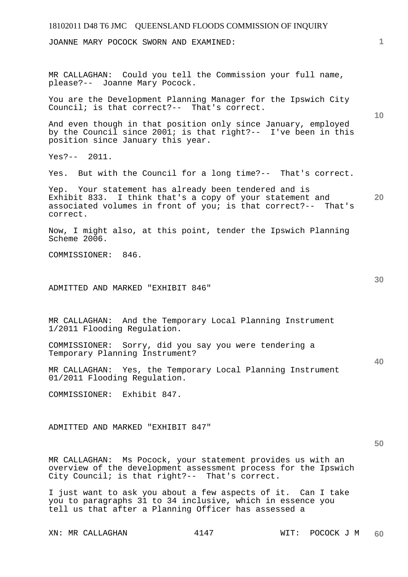# 18102011 D48 T6 JMC QUEENSLAND FLOODS COMMISSION OF INQUIRY **1 10 20 30 40 50**  JOANNE MARY POCOCK SWORN AND EXAMINED: MR CALLAGHAN: Could you tell the Commission your full name, please?-- Joanne Mary Pocock. You are the Development Planning Manager for the Ipswich City Council; is that correct?-- That's correct. And even though in that position only since January, employed by the Council since 2001; is that right?-- I've been in this position since January this year. Yes?-- 2011. Yes. But with the Council for a long time?-- That's correct. Yep. Your statement has already been tendered and is Exhibit 833. I think that's a copy of your statement and associated volumes in front of you; is that correct?-- That's correct. Now, I might also, at this point, tender the Ipswich Planning Scheme 2006. COMMISSIONER: 846. ADMITTED AND MARKED "EXHIBIT 846" MR CALLAGHAN: And the Temporary Local Planning Instrument 1/2011 Flooding Regulation. COMMISSIONER: Sorry, did you say you were tendering a Temporary Planning Instrument? MR CALLAGHAN: Yes, the Temporary Local Planning Instrument 01/2011 Flooding Regulation. COMMISSIONER: Exhibit 847. ADMITTED AND MARKED "EXHIBIT 847" MR CALLAGHAN: Ms Pocock, your statement provides us with an overview of the development assessment process for the Ipswich City Council; is that right?-- That's correct.

I just want to ask you about a few aspects of it. Can I take you to paragraphs 31 to 34 inclusive, which in essence you tell us that after a Planning Officer has assessed a

XN: MR CALLAGHAN 4147 WIT: POCOCK J M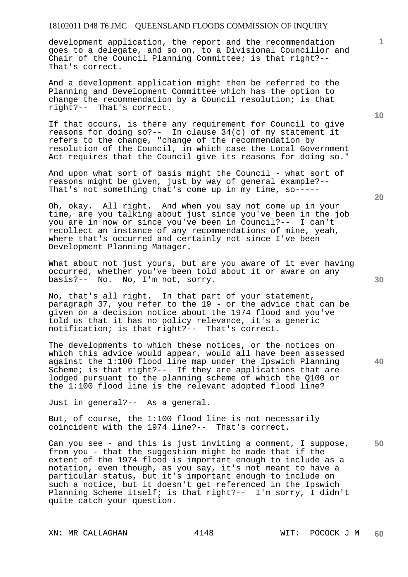development application, the report and the recommendation goes to a delegate, and so on, to a Divisional Councillor and Chair of the Council Planning Committee; is that right?-- That's correct.

And a development application might then be referred to the Planning and Development Committee which has the option to change the recommendation by a Council resolution; is that right?-- That's correct.

If that occurs, is there any requirement for Council to give reasons for doing  $so? --$  In clause  $34(c)$  of my statement it refers to the change, "change of the recommendation by resolution of the Council, in which case the Local Government Act requires that the Council give its reasons for doing so."

And upon what sort of basis might the Council - what sort of reasons might be given, just by way of general example?-- That's not something that's come up in my time, so-----

Oh, okay. All right. And when you say not come up in your time, are you talking about just since you've been in the job you are in now or since you've been in Council?-- I can't recollect an instance of any recommendations of mine, yeah, where that's occurred and certainly not since I've been Development Planning Manager.

What about not just yours, but are you aware of it ever having occurred, whether you've been told about it or aware on any basis?-- No. No, I'm not, sorry.

No, that's all right. In that part of your statement, paragraph 37, you refer to the 19 - or the advice that can be given on a decision notice about the 1974 flood and you've told us that it has no policy relevance, it's a generic notification; is that right?-- That's correct.

The developments to which these notices, or the notices on which this advice would appear, would all have been assessed against the 1:100 flood line map under the Ipswich Planning Scheme; is that right?-- If they are applications that are lodged pursuant to the planning scheme of which the Q100 or the 1:100 flood line is the relevant adopted flood line?

Just in general?-- As a general.

But, of course, the 1:100 flood line is not necessarily coincident with the 1974 line?-- That's correct.

**50**  Can you see - and this is just inviting a comment, I suppose, from you - that the suggestion might be made that if the extent of the 1974 flood is important enough to include as a notation, even though, as you say, it's not meant to have a particular status, but it's important enough to include on such a notice, but it doesn't get referenced in the Ipswich Planning Scheme itself; is that right?-- I'm sorry, I didn't quite catch your question.

**20** 

**10** 

**1**

**40**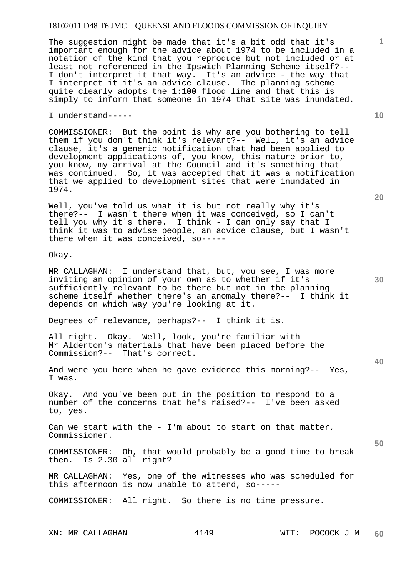The suggestion might be made that it's a bit odd that it's important enough for the advice about 1974 to be included in a notation of the kind that you reproduce but not included or at least not referenced in the Ipswich Planning Scheme itself?-- I don't interpret it that way. It's an advice - the way that I interpret it it's an advice clause. The planning scheme quite clearly adopts the 1:100 flood line and that this is simply to inform that someone in 1974 that site was inundated.

I understand-----

COMMISSIONER: But the point is why are you bothering to tell them if you don't think it's relevant?-- Well, it's an advice clause, it's a generic notification that had been applied to development applications of, you know, this nature prior to, you know, my arrival at the Council and it's something that was continued. So, it was accepted that it was a notification that we applied to development sites that were inundated in 1974.

Well, you've told us what it is but not really why it's there?-- I wasn't there when it was conceived, so I can't tell you why it's there. I think - I can only say that I think it was to advise people, an advice clause, but I wasn't there when it was conceived, so-----

Okay.

MR CALLAGHAN: I understand that, but, you see, I was more inviting an opinion of your own as to whether if it's sufficiently relevant to be there but not in the planning scheme itself whether there's an anomaly there?-- I think it depends on which way you're looking at it.

Degrees of relevance, perhaps?-- I think it is.

All right. Okay. Well, look, you're familiar with Mr Alderton's materials that have been placed before the Commission?-- That's correct.

And were you here when he gave evidence this morning?-- Yes, I was.

Okay. And you've been put in the position to respond to a number of the concerns that he's raised?-- I've been asked to, yes.

Can we start with the  $-$  I'm about to start on that matter, Commissioner.

COMMISSIONER: Oh, that would probably be a good time to break then. Is 2.30 all right?

MR CALLAGHAN: Yes, one of the witnesses who was scheduled for this afternoon is now unable to attend, so-----

COMMISSIONER: All right. So there is no time pressure.

**10** 

**20** 

**1**

**30** 

**40**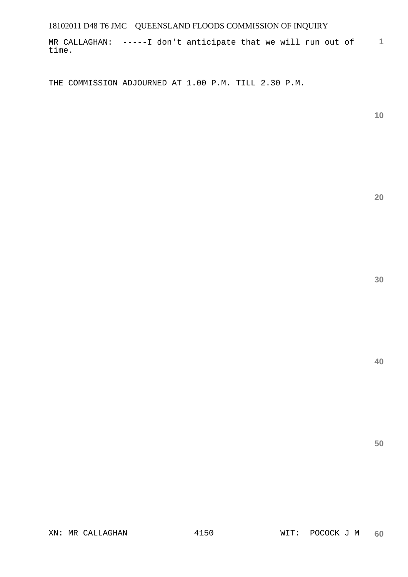**1** MR CALLAGHAN: -----I don't anticipate that we will run out of time.

THE COMMISSION ADJOURNED AT 1.00 P.M. TILL 2.30 P.M.

**10** 

**20**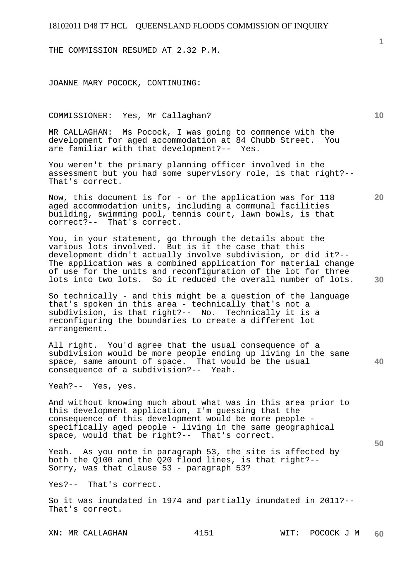THE COMMISSION RESUMED AT 2.32 P.M.

JOANNE MARY POCOCK, CONTINUING:

#### COMMISSIONER: Yes, Mr Callaghan?

MR CALLAGHAN: Ms Pocock, I was going to commence with the development for aged accommodation at 84 Chubb Street. You are familiar with that development?-- Yes.

You weren't the primary planning officer involved in the assessment but you had some supervisory role, is that right?-- That's correct.

Now, this document is for - or the application was for 118 aged accommodation units, including a communal facilities building, swimming pool, tennis court, lawn bowls, is that correct?-- That's correct.

You, in your statement, go through the details about the various lots involved. But is it the case that this development didn't actually involve subdivision, or did it?-- The application was a combined application for material change of use for the units and reconfiguration of the lot for three lots into two lots. So it reduced the overall number of lots.

So technically - and this might be a question of the language that's spoken in this area - technically that's not a subdivision, is that right?-- No. Technically it is a reconfiguring the boundaries to create a different lot arrangement.

All right. You'd agree that the usual consequence of a subdivision would be more people ending up living in the same space, same amount of space. That would be the usual consequence of a subdivision?-- Yeah.

Yeah?-- Yes, yes.

And without knowing much about what was in this area prior to this development application, I'm guessing that the consequence of this development would be more people specifically aged people - living in the same geographical space, would that be right?-- That's correct.

Yeah. As you note in paragraph 53, the site is affected by both the Q100 and the Q20 flood lines, is that right?-- Sorry, was that clause 53 - paragraph 53?

Yes?-- That's correct.

So it was inundated in 1974 and partially inundated in 2011?-- That's correct.

XN: MR CALLAGHAN 4151 WIT: POCOCK J M

**1**

**10** 

**20** 

**30** 

**50**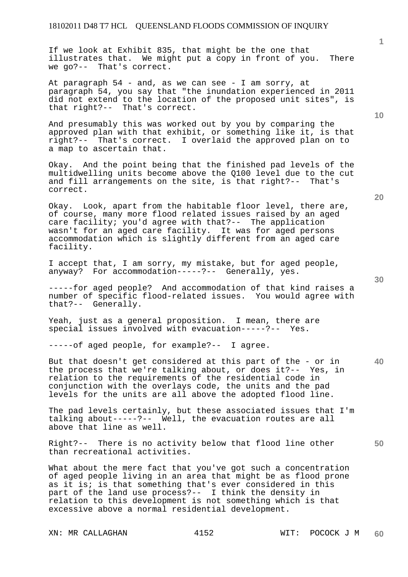If we look at Exhibit 835, that might be the one that illustrates that. We might put a copy in front of you. There we go?-- That's correct.

At paragraph 54 - and, as we can see - I am sorry, at paragraph 54, you say that "the inundation experienced in 2011 did not extend to the location of the proposed unit sites", is that right?-- That's correct.

And presumably this was worked out by you by comparing the approved plan with that exhibit, or something like it, is that right?-- That's correct. I overlaid the approved plan on to a map to ascertain that.

Okay. And the point being that the finished pad levels of the multidwelling units become above the Q100 level due to the cut and fill arrangements on the site, is that right?-- That's correct.

Okay. Look, apart from the habitable floor level, there are, of course, many more flood related issues raised by an aged care facility; you'd agree with that?-- The application wasn't for an aged care facility. It was for aged persons accommodation which is slightly different from an aged care facility.

I accept that, I am sorry, my mistake, but for aged people, anyway? For accommodation-----?-- Generally, yes.

-----for aged people? And accommodation of that kind raises a number of specific flood-related issues. You would agree with that?-- Generally.

Yeah, just as a general proposition. I mean, there are special issues involved with evacuation-----?-- Yes.

-----of aged people, for example?-- I agree.

**40**  But that doesn't get considered at this part of the - or in the process that we're talking about, or does it?-- Yes, in relation to the requirements of the residential code in conjunction with the overlays code, the units and the pad levels for the units are all above the adopted flood line.

The pad levels certainly, but these associated issues that I'm talking about-----?-- Well, the evacuation routes are all above that line as well.

Right?-- There is no activity below that flood line other than recreational activities.

What about the mere fact that you've got such a concentration of aged people living in an area that might be as flood prone as it is; is that something that's ever considered in this part of the land use process?-- I think the density in relation to this development is not something which is that excessive above a normal residential development.

XN: MR CALLAGHAN 4152 WIT: POCOCK J M

**20** 

**50** 

**30** 

**10**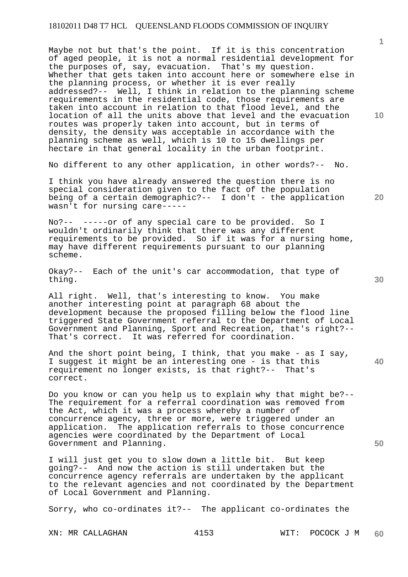Maybe not but that's the point. If it is this concentration of aged people, it is not a normal residential development for the purposes of, say, evacuation. That's my question. Whether that gets taken into account here or somewhere else in the planning process, or whether it is ever really addressed?-- Well, I think in relation to the planning scheme requirements in the residential code, those requirements are taken into account in relation to that flood level, and the location of all the units above that level and the evacuation routes was properly taken into account, but in terms of density, the density was acceptable in accordance with the planning scheme as well, which is 10 to 15 dwellings per hectare in that general locality in the urban footprint.

No different to any other application, in other words?-- No.

I think you have already answered the question there is no special consideration given to the fact of the population being of a certain demographic?-- I don't - the application wasn't for nursing care-----

No?-- -----or of any special care to be provided. So I wouldn't ordinarily think that there was any different requirements to be provided. So if it was for a nursing home, may have different requirements pursuant to our planning scheme.

Okay?-- Each of the unit's car accommodation, that type of thing.

All right. Well, that's interesting to know. You make another interesting point at paragraph 68 about the development because the proposed filling below the flood line triggered State Government referral to the Department of Local Government and Planning, Sport and Recreation, that's right?--<br>That's correct. It was referred for coordination. It was referred for coordination.

And the short point being, I think, that you make - as I say, I suggest it might be an interesting one - is that this requirement no longer exists, is that right?-- That's correct.

Do you know or can you help us to explain why that might be?-- The requirement for a referral coordination was removed from the Act, which it was a process whereby a number of concurrence agency, three or more, were triggered under an application. The application referrals to those concurrence agencies were coordinated by the Department of Local Government and Planning.

I will just get you to slow down a little bit. But keep going?-- And now the action is still undertaken but the concurrence agency referrals are undertaken by the applicant to the relevant agencies and not coordinated by the Department of Local Government and Planning.

Sorry, who co-ordinates it?-- The applicant co-ordinates the

**1**

**20** 

**30** 

**40**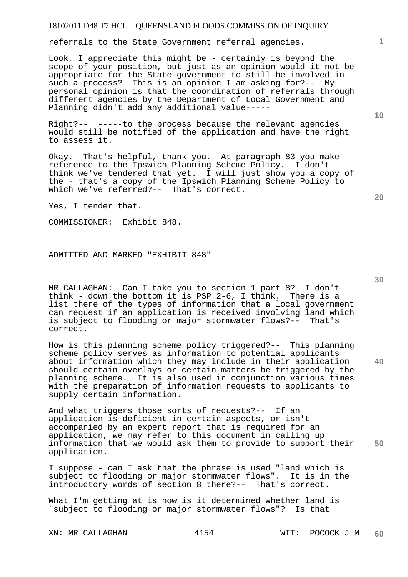referrals to the State Government referral agencies.

Look, I appreciate this might be - certainly is beyond the scope of your position, but just as an opinion would it not be appropriate for the State government to still be involved in such a process? This is an opinion I am asking for?-- My personal opinion is that the coordination of referrals through different agencies by the Department of Local Government and Planning didn't add any additional value-----

Right?-- -----to the process because the relevant agencies would still be notified of the application and have the right to assess it.

Okay. That's helpful, thank you. At paragraph 83 you make reference to the Ipswich Planning Scheme Policy. I don't think we've tendered that yet. I will just show you a copy of the - that's a copy of the Ipswich Planning Scheme Policy to which we've referred?-- That's correct.

Yes, I tender that.

COMMISSIONER: Exhibit 848.

ADMITTED AND MARKED "EXHIBIT 848"

MR CALLAGHAN: Can I take you to section 1 part 8? I don't think - down the bottom it is PSP 2-6, I think. There is a list there of the types of information that a local government can request if an application is received involving land which is subject to flooding or major stormwater flows?-- That's correct.

**40**  How is this planning scheme policy triggered?-- This planning scheme policy serves as information to potential applicants about information which they may include in their application should certain overlays or certain matters be triggered by the planning scheme. It is also used in conjunction various times with the preparation of information requests to applicants to supply certain information.

**50**  And what triggers those sorts of requests?-- If an application is deficient in certain aspects, or isn't accompanied by an expert report that is required for an application, we may refer to this document in calling up information that we would ask them to provide to support their application.

I suppose - can I ask that the phrase is used "land which is subject to flooding or major stormwater flows". It is in the introductory words of section 8 there?-- That's correct.

What I'm getting at is how is it determined whether land is "subject to flooding or major stormwater flows"? Is that

**10** 

**20** 

**1**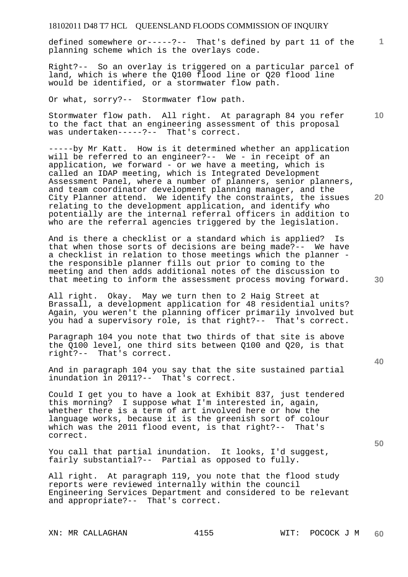defined somewhere or-----?-- That's defined by part 11 of the planning scheme which is the overlays code.

Right?-- So an overlay is triggered on a particular parcel of land, which is where the Q100 flood line or Q20 flood line would be identified, or a stormwater flow path.

Or what, sorry?-- Stormwater flow path.

Stormwater flow path. All right. At paragraph 84 you refer to the fact that an engineering assessment of this proposal was undertaken-----?-- That's correct.

-----by Mr Katt. How is it determined whether an application will be referred to an engineer?-- We - in receipt of an application, we forward - or we have a meeting, which is called an IDAP meeting, which is Integrated Development Assessment Panel, where a number of planners, senior planners, and team coordinator development planning manager, and the City Planner attend. We identify the constraints, the issues relating to the development application, and identify who potentially are the internal referral officers in addition to who are the referral agencies triggered by the legislation.

And is there a checklist or a standard which is applied? Is that when those sorts of decisions are being made?-- We have a checklist in relation to those meetings which the planner the responsible planner fills out prior to coming to the meeting and then adds additional notes of the discussion to that meeting to inform the assessment process moving forward.

All right. Okay. May we turn then to 2 Haig Street at Brassall, a development application for 48 residential units? Again, you weren't the planning officer primarily involved but you had a supervisory role, is that right?-- That's correct.

Paragraph 104 you note that two thirds of that site is above the Q100 level, one third sits between Q100 and Q20, is that right?-- That's correct.

And in paragraph 104 you say that the site sustained partial inundation in 2011?-- That's correct.

Could I get you to have a look at Exhibit 837, just tendered this morning? I suppose what I'm interested in, again, whether there is a term of art involved here or how the language works, because it is the greenish sort of colour which was the 2011 flood event, is that right?-- That's correct.

You call that partial inundation. It looks, I'd suggest, fairly substantial?-- Partial as opposed to fully.

All right. At paragraph 119, you note that the flood study reports were reviewed internally within the council Engineering Services Department and considered to be relevant and appropriate?-- That's correct.

XN: MR CALLAGHAN 4155 WIT: POCOCK J M

**10** 

**1**

**20** 

**30**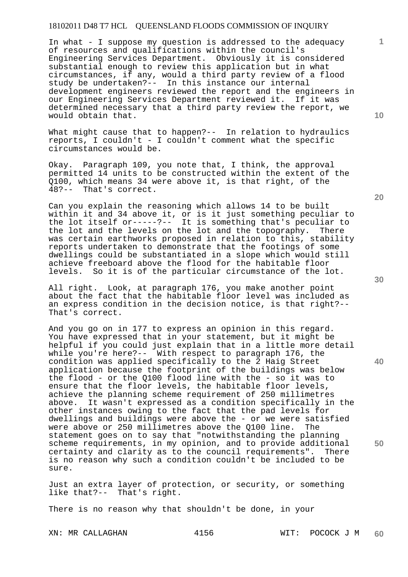In what - I suppose my question is addressed to the adequacy of resources and qualifications within the council's Engineering Services Department. Obviously it is considered substantial enough to review this application but in what circumstances, if any, would a third party review of a flood study be undertaken?-- In this instance our internal development engineers reviewed the report and the engineers in our Engineering Services Department reviewed it. If it was determined necessary that a third party review the report, we would obtain that.

What might cause that to happen?-- In relation to hydraulics reports, I couldn't - I couldn't comment what the specific circumstances would be.

Okay. Paragraph 109, you note that, I think, the approval permitted 14 units to be constructed within the extent of the Q100, which means 34 were above it, is that right, of the 48?-- That's correct. That's correct.

Can you explain the reasoning which allows 14 to be built within it and 34 above it, or is it just something peculiar to the lot itself or-----?-- It is something that's peculiar to the lot and the levels on the lot and the topography. There was certain earthworks proposed in relation to this, stability reports undertaken to demonstrate that the footings of some dwellings could be substantiated in a slope which would still achieve freeboard above the flood for the habitable floor levels. So it is of the particular circumstance of the lot.

All right. Look, at paragraph 176, you make another point about the fact that the habitable floor level was included as an express condition in the decision notice, is that right?-- That's correct.

And you go on in 177 to express an opinion in this regard. You have expressed that in your statement, but it might be helpful if you could just explain that in a little more detail while you're here?-- With respect to paragraph 176, the condition was applied specifically to the 2 Haig Street application because the footprint of the buildings was below the flood - or the Q100 flood line with the - so it was to ensure that the floor levels, the habitable floor levels, achieve the planning scheme requirement of 250 millimetres above. It wasn't expressed as a condition specifically in the other instances owing to the fact that the pad levels for dwellings and buildings were above the - or we were satisfied were above or 250 millimetres above the Q100 line. The statement goes on to say that "notwithstanding the planning scheme requirements, in my opinion, and to provide additional certainty and clarity as to the council requirements". There is no reason why such a condition couldn't be included to be sure.

Just an extra layer of protection, or security, or something like that?-- That's right.

There is no reason why that shouldn't be done, in your

**20** 

**30** 

**40** 

**50** 

**10**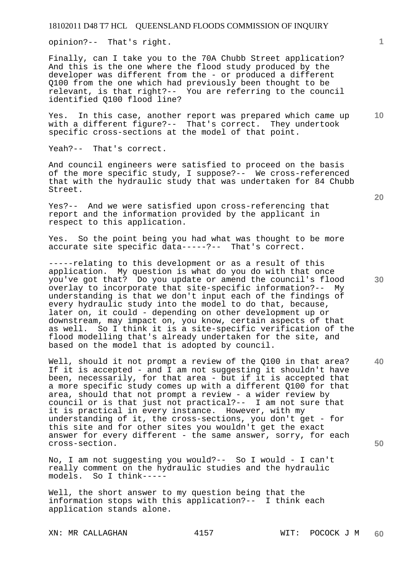opinion?-- That's right.

Finally, can I take you to the 70A Chubb Street application? And this is the one where the flood study produced by the developer was different from the - or produced a different Q100 from the one which had previously been thought to be relevant, is that right?-- You are referring to the council identified Q100 flood line?

Yes. In this case, another report was prepared which came up with a different figure?-- That's correct. They undertook specific cross-sections at the model of that point.

Yeah?-- That's correct.

And council engineers were satisfied to proceed on the basis of the more specific study, I suppose?-- We cross-referenced that with the hydraulic study that was undertaken for 84 Chubb Street.

Yes?-- And we were satisfied upon cross-referencing that report and the information provided by the applicant in respect to this application.

Yes. So the point being you had what was thought to be more accurate site specific data-----?-- That's correct.

-----relating to this development or as a result of this application. My question is what do you do with that once you've got that? Do you update or amend the council's flood overlay to incorporate that site-specific information?-- My understanding is that we don't input each of the findings of every hydraulic study into the model to do that, because, later on, it could - depending on other development up or downstream, may impact on, you know, certain aspects of that as well. So I think it is a site-specific verification of the flood modelling that's already undertaken for the site, and based on the model that is adopted by council.

Well, should it not prompt a review of the Q100 in that area? If it is accepted - and I am not suggesting it shouldn't have been, necessarily, for that area - but if it is accepted that a more specific study comes up with a different Q100 for that area, should that not prompt a review - a wider review by council or is that just not practical?-- I am not sure that it is practical in every instance. However, with my understanding of it, the cross-sections, you don't get - for this site and for other sites you wouldn't get the exact answer for every different - the same answer, sorry, for each cross-section.

No, I am not suggesting you would?-- So I would - I can't really comment on the hydraulic studies and the hydraulic models. So I think-----

Well, the short answer to my question being that the information stops with this application?-- I think each application stands alone.

XN: MR CALLAGHAN 4157 WIT: POCOCK J M

**20** 

**10** 

**1**

**40**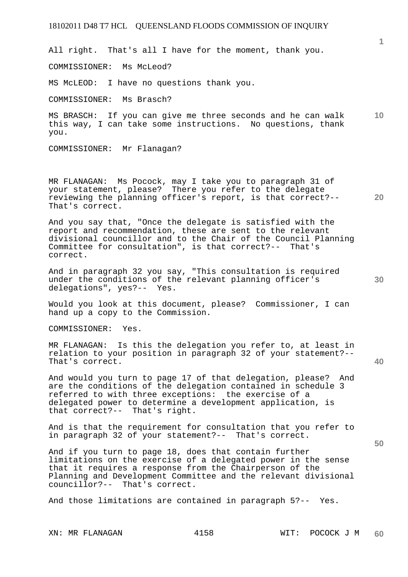All right. That's all I have for the moment, thank you.

COMMISSIONER: Ms McLeod?

MS McLEOD: I have no questions thank you.

COMMISSIONER: Ms Brasch?

**10**  MS BRASCH: If you can give me three seconds and he can walk this way, I can take some instructions. No questions, thank you.

COMMISSIONER: Mr Flanagan?

MR FLANAGAN: Ms Pocock, may I take you to paragraph 31 of your statement, please? There you refer to the delegate reviewing the planning officer's report, is that correct?-- That's correct.

And you say that, "Once the delegate is satisfied with the report and recommendation, these are sent to the relevant divisional councillor and to the Chair of the Council Planning Committee for consultation", is that correct?-- That's correct.

And in paragraph 32 you say, "This consultation is required under the conditions of the relevant planning officer's delegations", yes?-- Yes.

Would you look at this document, please? Commissioner, I can hand up a copy to the Commission.

COMMISSIONER: Yes.

MR FLANAGAN: Is this the delegation you refer to, at least in relation to your position in paragraph 32 of your statement?-- That's correct.

And would you turn to page 17 of that delegation, please? And are the conditions of the delegation contained in schedule 3 referred to with three exceptions: the exercise of a delegated power to determine a development application, is that correct?-- That's right.

And is that the requirement for consultation that you refer to in paragraph 32 of your statement?-- That's correct.

And if you turn to page 18, does that contain further limitations on the exercise of a delegated power in the sense that it requires a response from the Chairperson of the Planning and Development Committee and the relevant divisional councillor?-- That's correct.

And those limitations are contained in paragraph 5?-- Yes.

**1**

**20** 

**30** 

**40**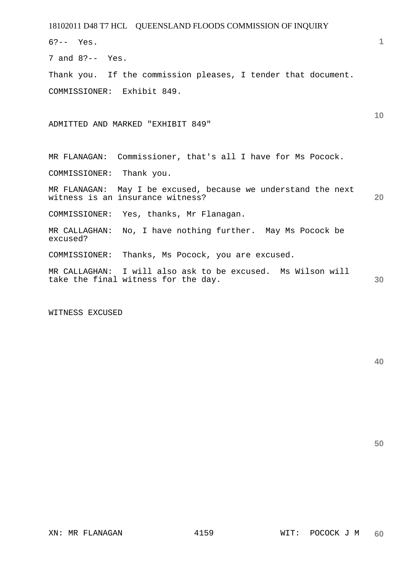| 18102011 D48 T7 HCL QUEENSLAND FLOODS COMMISSION OF INQUIRY                                        |    |
|----------------------------------------------------------------------------------------------------|----|
| $6? -- Yes.$                                                                                       | 1  |
| 7 and $8? -- Yes.$                                                                                 |    |
| Thank you. If the commission pleases, I tender that document.                                      |    |
| COMMISSIONER: Exhibit 849.                                                                         |    |
| ADMITTED AND MARKED "EXHIBIT 849"                                                                  | 10 |
| MR FLANAGAN: Commissioner, that's all I have for Ms Pocock.                                        |    |
| COMMISSIONER: Thank you.                                                                           |    |
| MR FLANAGAN: May I be excused, because we understand the next<br>witness is an insurance witness?  | 20 |
| COMMISSIONER: Yes, thanks, Mr Flanagan.                                                            |    |
| MR CALLAGHAN:<br>No, I have nothing further. May Ms Pocock be<br>excused?                          |    |
| COMMISSIONER:<br>Thanks, Ms Pocock, you are excused.                                               |    |
| MR CALLAGHAN: I will also ask to be excused. Ms Wilson will<br>take the final witness for the day. | 30 |

WITNESS EXCUSED

**40**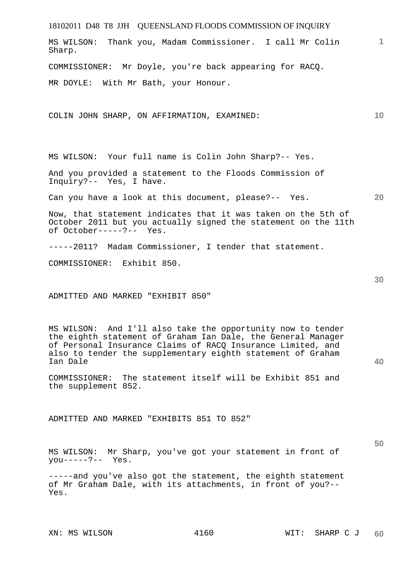| 18102011 D48 T8 JJH QUEENSLAND FLOODS COMMISSION OF INQUIRY                                                                                                                                                                                                           |                 |
|-----------------------------------------------------------------------------------------------------------------------------------------------------------------------------------------------------------------------------------------------------------------------|-----------------|
| MS WILSON: Thank you, Madam Commissioner. I call Mr Colin<br>Sharp.                                                                                                                                                                                                   | $\mathbf{1}$    |
| COMMISSIONER: Mr Doyle, you're back appearing for RACQ.                                                                                                                                                                                                               |                 |
| MR DOYLE: With Mr Bath, your Honour.                                                                                                                                                                                                                                  |                 |
| COLIN JOHN SHARP, ON AFFIRMATION, EXAMINED:                                                                                                                                                                                                                           | 10 <sup>°</sup> |
| MS WILSON: Your full name is Colin John Sharp?-- Yes.                                                                                                                                                                                                                 |                 |
| And you provided a statement to the Floods Commission of<br>Inquiry?-- Yes, I have.                                                                                                                                                                                   |                 |
| Can you have a look at this document, please?-- Yes.                                                                                                                                                                                                                  | <b>20</b>       |
| Now, that statement indicates that it was taken on the 5th of<br>October 2011 but you actually signed the statement on the 11th<br>of October-----?-- Yes.                                                                                                            |                 |
| -----2011? Madam Commissioner, I tender that statement.                                                                                                                                                                                                               |                 |
| COMMISSIONER: Exhibit 850.                                                                                                                                                                                                                                            |                 |
| ADMITTED AND MARKED "EXHIBIT 850"                                                                                                                                                                                                                                     | 30              |
| MS WILSON: And I'll also take the opportunity now to tender<br>the eighth statement of Graham Ian Dale, the General Manager<br>of Personal Insurance Claims of RACQ Insurance Limited, and<br>also to tender the supplementary eighth statement of Graham<br>Ian Dale | 40              |
| COMMISSIONER: The statement itself will be Exhibit 851 and<br>the supplement 852.                                                                                                                                                                                     |                 |
| ADMITTED AND MARKED "EXHIBITS 851 TO 852"                                                                                                                                                                                                                             |                 |
| MS WILSON: Mr Sharp, you've got your statement in front of<br>$you---?--- Yes.$                                                                                                                                                                                       | 50              |
| -----and you've also got the statement, the eighth statement<br>of Mr Graham Dale, with its attachments, in front of you?--<br>Yes.                                                                                                                                   |                 |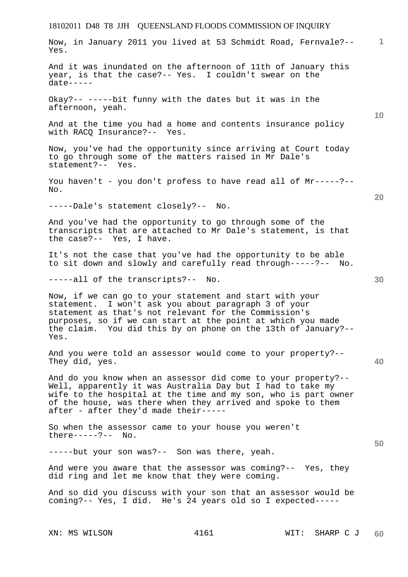# 18102011 D48 T8 JJH QUEENSLAND FLOODS COMMISSION OF INQUIRY XN: MS WILSON  $4161$  WIT: SHARP C J **1 10 20 30 40 50 60**  Now, in January 2011 you lived at 53 Schmidt Road, Fernvale?-- Yes. And it was inundated on the afternoon of 11th of January this year, is that the case?-- Yes. I couldn't swear on the date----- Okay?-- -----bit funny with the dates but it was in the afternoon, yeah. And at the time you had a home and contents insurance policy with RACO Insurance?-- Yes. Now, you've had the opportunity since arriving at Court today to go through some of the matters raised in Mr Dale's statement?-- Yes. You haven't - you don't profess to have read all of Mr-----?--No. -----Dale's statement closely?-- No. And you've had the opportunity to go through some of the transcripts that are attached to Mr Dale's statement, is that the case?-- Yes, I have. It's not the case that you've had the opportunity to be able to sit down and slowly and carefully read through-----?-- No. -----all of the transcripts?-- No. Now, if we can go to your statement and start with your statement. I won't ask you about paragraph 3 of your statement as that's not relevant for the Commission's purposes, so if we can start at the point at which you made the claim. You did this by on phone on the 13th of January?-- Yes. And you were told an assessor would come to your property?-- They did, yes. And do you know when an assessor did come to your property?-- Well, apparently it was Australia Day but I had to take my wife to the hospital at the time and my son, who is part owner of the house, was there when they arrived and spoke to them after - after they'd made their----- So when the assessor came to your house you weren't there-----?-- No. -----but your son was?-- Son was there, yeah. And were you aware that the assessor was coming?-- Yes, they did ring and let me know that they were coming. And so did you discuss with your son that an assessor would be coming?-- Yes, I did. He's 24 years old so I expected-----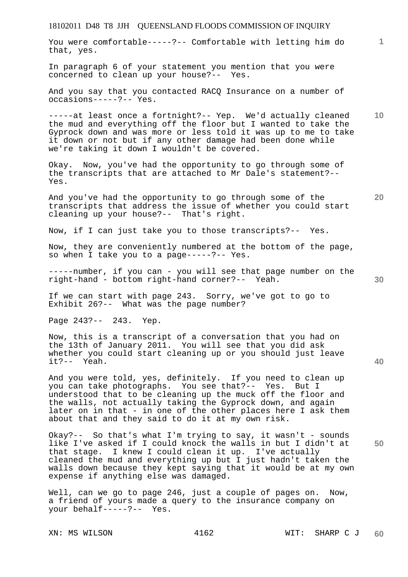You were comfortable-----?-- Comfortable with letting him do that, yes.

In paragraph 6 of your statement you mention that you were concerned to clean up your house?-- Yes.

And you say that you contacted RACQ Insurance on a number of occasions-----?-- Yes.

**10**  -----at least once a fortnight?-- Yep. We'd actually cleaned the mud and everything off the floor but I wanted to take the Gyprock down and was more or less told it was up to me to take it down or not but if any other damage had been done while we're taking it down I wouldn't be covered.

Okay. Now, you've had the opportunity to go through some of the transcripts that are attached to Mr Dale's statement?-- Yes.

And you've had the opportunity to go through some of the transcripts that address the issue of whether you could start cleaning up your house?-- That's right.

Now, if I can just take you to those transcripts?-- Yes.

Now, they are conveniently numbered at the bottom of the page, so when I take you to a page-----?-- Yes.

-----number, if you can - you will see that page number on the right-hand - bottom right-hand corner?-- Yeah.

If we can start with page 243. Sorry, we've got to go to Exhibit 26?-- What was the page number?

Page 243?-- 243. Yep.

Now, this is a transcript of a conversation that you had on the 13th of January 2011. You will see that you did ask whether you could start cleaning up or you should just leave it?-- Yeah.

And you were told, yes, definitely. If you need to clean up you can take photographs. You see that?-- Yes. But I understood that to be cleaning up the muck off the floor and the walls, not actually taking the Gyprock down, and again later on in that - in one of the other places here I ask them about that and they said to do it at my own risk.

Okay?-- So that's what I'm trying to say, it wasn't - sounds like I've asked if I could knock the walls in but I didn't at that stage. I knew I could clean it up. I've actually cleaned the mud and everything up but I just hadn't taken the walls down because they kept saying that it would be at my own expense if anything else was damaged.

Well, can we go to page 246, just a couple of pages on. Now, a friend of yours made a query to the insurance company on your behalf-----?-- Yes.

**20** 

**1**

**30**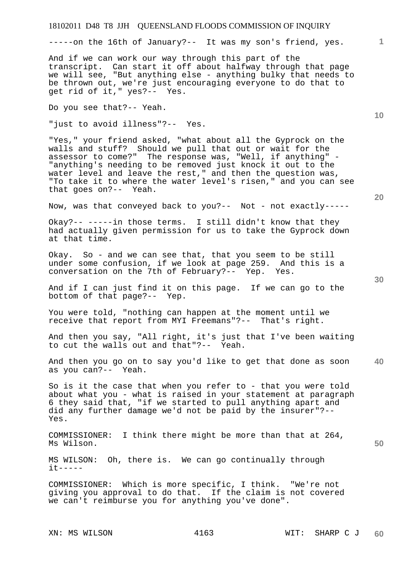-----on the 16th of January?-- It was my son's friend, yes.

And if we can work our way through this part of the transcript. Can start it off about halfway through that page we will see, "But anything else - anything bulky that needs to be thrown out, we're just encouraging everyone to do that to get rid of it," yes?-- Yes.

Do you see that?-- Yeah.

"just to avoid illness"?-- Yes.

"Yes," your friend asked, "what about all the Gyprock on the walls and stuff? Should we pull that out or wait for the assessor to come?" The response was, "Well, if anything" - "anything's needing to be removed just knock it out to the water level and leave the rest," and then the question was, "To take it to where the water level's risen," and you can see that goes on?-- Yeah.

Now, was that conveyed back to you?-- Not - not exactly-----

Okay?-- -----in those terms. I still didn't know that they had actually given permission for us to take the Gyprock down at that time.

Okay. So - and we can see that, that you seem to be still under some confusion, if we look at page 259. And this is a conversation on the 7th of February?-- Yep. Yes.

And if I can just find it on this page. If we can go to the bottom of that page?-- Yep.

You were told, "nothing can happen at the moment until we receive that report from MYI Freemans"?-- That's right.

And then you say, "All right, it's just that I've been waiting to cut the walls out and that"?-- Yeah.

**40**  And then you go on to say you'd like to get that done as soon as you can?-- Yeah.

So is it the case that when you refer to - that you were told about what you - what is raised in your statement at paragraph 6 they said that, "if we started to pull anything apart and did any further damage we'd not be paid by the insurer"?-- Yes.

COMMISSIONER: I think there might be more than that at 264, Ms Wilson.

MS WILSON: Oh, there is. We can go continually through it-----

COMMISSIONER: Which is more specific, I think. "We're not giving you approval to do that. If the claim is not covered we can't reimburse you for anything you've done".

**20** 

**10** 

**1**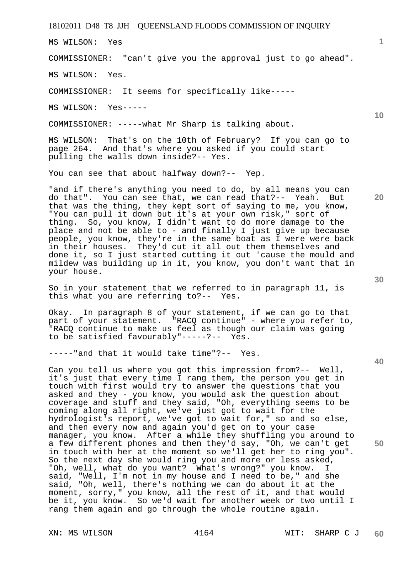MS WILSON: Yes

COMMISSIONER: "can't give you the approval just to go ahead".

MS WILSON: Yes.

COMMISSIONER: It seems for specifically like-----

MS WILSON: Yes-----

COMMISSIONER: -----what Mr Sharp is talking about.

MS WILSON: That's on the 10th of February? If you can go to page 264. And that's where you asked if you could start pulling the walls down inside?-- Yes.

You can see that about halfway down?-- Yep.

"and if there's anything you need to do, by all means you can do that". You can see that, we can read that?-- Yeah. But that was the thing, they kept sort of saying to me, you know, "You can pull it down but it's at your own risk," sort of thing. So, you know, I didn't want to do more damage to the place and not be able to - and finally I just give up because people, you know, they're in the same boat as I were were back in their houses. They'd cut it all out them themselves and done it, so I just started cutting it out 'cause the mould and mildew was building up in it, you know, you don't want that in your house.

So in your statement that we referred to in paragraph 11, is this what you are referring to?-- Yes.

Okay. In paragraph 8 of your statement, if we can go to that part of your statement. "RACO continue" - where you refer to, "RACQ continue to make us feel as though our claim was going to be satisfied favourably"-----?-- Yes.

-----"and that it would take time"?-- Yes.

Can you tell us where you got this impression from?-- Well, it's just that every time I rang them, the person you get in touch with first would try to answer the questions that you asked and they - you know, you would ask the question about coverage and stuff and they said, "Oh, everything seems to be coming along all right, we've just got to wait for the hydrologist's report, we've got to wait for," so and so else, and then every now and again you'd get on to your case manager, you know. After a while they shuffling you around to a few different phones and then they'd say, "Oh, we can't get in touch with her at the moment so we'll get her to ring you". So the next day she would ring you and more or less asked, "Oh, well, what do you want? What's wrong?" you know. I said, "Well, I'm not in my house and I need to be," and she said, "Oh, well, there's nothing we can do about it at the moment, sorry," you know, all the rest of it, and that would be it, you know. So we'd wait for another week or two until I rang them again and go through the whole routine again.

**30** 

**20** 

**40** 

**50** 

**10**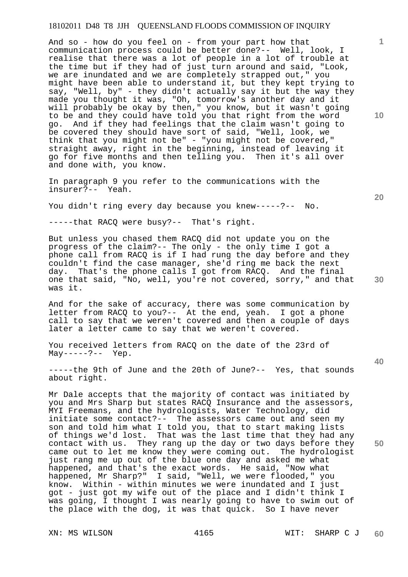And so - how do you feel on - from your part how that communication process could be better done?-- Well, look, I realise that there was a lot of people in a lot of trouble at the time but if they had of just turn around and said, "Look, we are inundated and we are completely strapped out," you might have been able to understand it, but they kept trying to say, "Well, by" - they didn't actually say it but the way they made you thought it was, "Oh, tomorrow's another day and it will probably be okay by then," you know, but it wasn't going to be and they could have told you that right from the word go. And if they had feelings that the claim wasn't going to be covered they should have sort of said, "Well, look, we think that you might not be" - "you might not be covered," straight away, right in the beginning, instead of leaving it go for five months and then telling you. Then it's all over and done with, you know.

In paragraph 9 you refer to the communications with the insurer?-- Yeah.

You didn't ring every day because you knew-----?-- No.

-----that RACQ were busy?-- That's right.

But unless you chased them RACQ did not update you on the progress of the claim?-- The only - the only time I got a phone call from RACQ is if I had rung the day before and they couldn't find the case manager, she'd ring me back the next day. That's the phone calls I got from RACQ. And the final one that said, "No, well, you're not covered, sorry," and that was it.

And for the sake of accuracy, there was some communication by letter from RACQ to you?-- At the end, yeah. I got a phone call to say that we weren't covered and then a couple of days later a letter came to say that we weren't covered.

You received letters from RACQ on the date of the 23rd of  $May-----?--- Yep.$ 

-----the 9th of June and the 20th of June?-- Yes, that sounds about right.

Mr Dale accepts that the majority of contact was initiated by you and Mrs Sharp but states RACQ Insurance and the assessors, MYI Freemans, and the hydrologists, Water Technology, did initiate some contact?-- The assessors came out and seen my son and told him what I told you, that to start making lists of things we'd lost. That was the last time that they had any contact with us. They rang up the day or two days before they came out to let me know they were coming out. The hydrologist just rang me up out of the blue one day and asked me what happened, and that's the exact words. He said, "Now what happened, Mr Sharp?" I said, "Well, we were flooded," you know. Within - within minutes we were inundated and I just got - just got my wife out of the place and I didn't think I was going, I thought I was nearly going to have to swim out of the place with the dog, it was that quick. So I have never

**20** 

**40** 

**50** 

**10**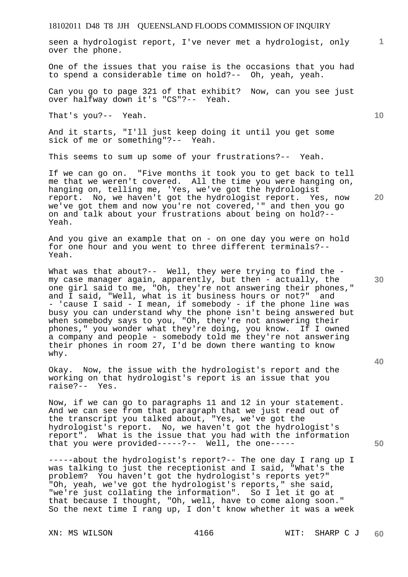seen a hydrologist report, I've never met a hydrologist, only over the phone.

One of the issues that you raise is the occasions that you had to spend a considerable time on hold?-- Oh, yeah, yeah.

Can you go to page 321 of that exhibit? Now, can you see just over halfway down it's "CS"?-- Yeah.

That's you?-- Yeah.

And it starts, "I'll just keep doing it until you get some sick of me or something"?-- Yeah.

This seems to sum up some of your frustrations?-- Yeah.

If we can go on. "Five months it took you to get back to tell me that we weren't covered. All the time you were hanging on, hanging on, telling me, 'Yes, we've got the hydrologist report. No, we haven't got the hydrologist report. Yes, now we've got them and now you're not covered,'" and then you go on and talk about your frustrations about being on hold?-- Yeah.

And you give an example that on - on one day you were on hold for one hour and you went to three different terminals?-- Yeah.

What was that about?-- Well, they were trying to find the my case manager again, apparently, but then - actually, the one girl said to me, "Oh, they're not answering their phones," and I said, "Well, what is it business hours or not?" and - 'cause I said - I mean, if somebody - if the phone line was busy you can understand why the phone isn't being answered but when somebody says to you, "Oh, they're not answering their phones," you wonder what they're doing, you know. If I owned a company and people - somebody told me they're not answering their phones in room 27, I'd be down there wanting to know why.

Okay. Now, the issue with the hydrologist's report and the working on that hydrologist's report is an issue that you raise?-- Yes.

Now, if we can go to paragraphs 11 and 12 in your statement. And we can see from that paragraph that we just read out of the transcript you talked about, "Yes, we've got the hydrologist's report. No, we haven't got the hydrologist's report". What is the issue that you had with the information that you were provided-----?-- Well, the one-----

-----about the hydrologist's report?-- The one day I rang up I was talking to just the receptionist and I said, "What's the problem? You haven't got the hydrologist's reports yet?" "Oh, yeah, we've got the hydrologist's reports," she said, "we're just collating the information". So I let it go at that because I thought, "Oh, well, have to come along soon." So the next time I rang up, I don't know whether it was a week

**10** 

**20** 

**1**

**30** 

**40**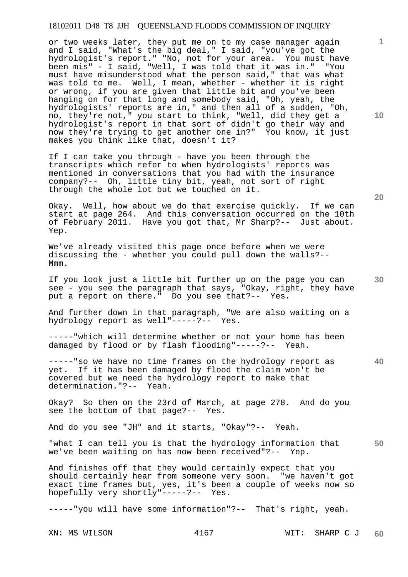or two weeks later, they put me on to my case manager again and I said, "What's the big deal," I said, "you've got the hydrologist's report." "No, not for your area. You must have been mis" - I said, "Well, I was told that it was in." "You must have misunderstood what the person said," that was what was told to me. Well, I mean, whether - whether it is right or wrong, if you are given that little bit and you've been hanging on for that long and somebody said, "Oh, yeah, the hydrologists' reports are in," and then all of a sudden, "Oh, no, they're not," you start to think, "Well, did they get a hydrologist's report in that sort of didn't go their way and now they're trying to get another one in?" You know, it just makes you think like that, doesn't it?

If I can take you through - have you been through the transcripts which refer to when hydrologists' reports was mentioned in conversations that you had with the insurance company?-- Oh, little tiny bit, yeah, not sort of right through the whole lot but we touched on it.

Okay. Well, how about we do that exercise quickly. If we can start at page 264. And this conversation occurred on the 10th of February 2011. Have you got that, Mr Sharp?-- Just about. Yep.

We've already visited this page once before when we were discussing the - whether you could pull down the walls?-- Mmm.

If you look just a little bit further up on the page you can see - you see the paragraph that says, "Okay, right, they have put a report on there." Do you see that?-- Yes.

And further down in that paragraph, "We are also waiting on a hydrology report as well"-----?-- Yes.

-----"which will determine whether or not your home has been damaged by flood or by flash flooding"-----?-- Yeah.

**40**  -----"so we have no time frames on the hydrology report as yet. If it has been damaged by flood the claim won't be covered but we need the hydrology report to make that determination."?-- Yeah.

Okay? So then on the 23rd of March, at page 278. And do you see the bottom of that page?-- Yes.

And do you see "JH" and it starts, "Okay"?-- Yeah.

**50**  "what I can tell you is that the hydrology information that we've been waiting on has now been received"?-- Yep.

And finishes off that they would certainly expect that you should certainly hear from someone very soon. "we haven't got exact time frames but, yes, it's been a couple of weeks now so hopefully very shortly"-----?-- Yes.

-----"you will have some information"?-- That's right, yeah.

**10** 

**1**

**30**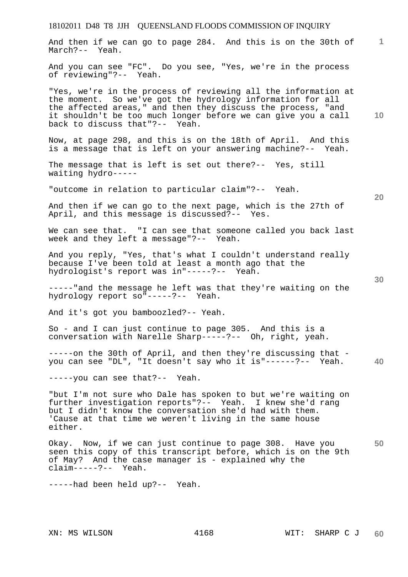# 18102011 D48 T8 JJH QUEENSLAND FLOODS COMMISSION OF INQUIRY **1 10 20 30 40 50**  And then if we can go to page 284. And this is on the 30th of March?-- Yeah. And you can see "FC". Do you see, "Yes, we're in the process of reviewing"?-- Yeah. "Yes, we're in the process of reviewing all the information at the moment. So we've got the hydrology information for all the affected areas," and then they discuss the process, "and it shouldn't be too much longer before we can give you a call back to discuss that"?-- Yeah. Now, at page 298, and this is on the 18th of April. And this is a message that is left on your answering machine?-- Yeah. The message that is left is set out there?-- Yes, still waiting hydro----- "outcome in relation to particular claim"?-- Yeah. And then if we can go to the next page, which is the 27th of April, and this message is discussed?-- Yes. We can see that. "I can see that someone called you back last week and they left a message"?-- Yeah. And you reply, "Yes, that's what I couldn't understand really because I've been told at least a month ago that the hydrologist's report was in"-----?-- Yeah. -----"and the message he left was that they're waiting on the hydrology report so"-----?-- Yeah. And it's got you bamboozled?-- Yeah. So - and I can just continue to page 305. And this is a conversation with Narelle Sharp-----?-- Oh, right, yeah. -----on the 30th of April, and then they're discussing that you can see "DL", "It doesn't say who it is"------?-- Yeah. -----you can see that?-- Yeah. "but I'm not sure who Dale has spoken to but we're waiting on further investigation reports"?-- Yeah. I knew she'd rang but I didn't know the conversation she'd had with them. 'Cause at that time we weren't living in the same house either. Okay. Now, if we can just continue to page 308. Have you seen this copy of this transcript before, which is on the 9th of May? And the case manager is - explained why the claim-----?-- Yeah. -----had been held up?-- Yeah.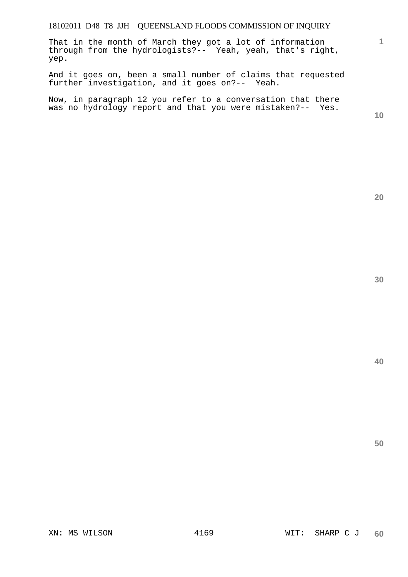That in the month of March they got a lot of information through from the hydrologists?-- Yeah, yeah, that's right, yep.

And it goes on, been a small number of claims that requested further investigation, and it goes on?-- Yeah.

Now, in paragraph 12 you refer to a conversation that there was no hydrology report and that you were mistaken?-- Yes.

**10** 

**1**

**40**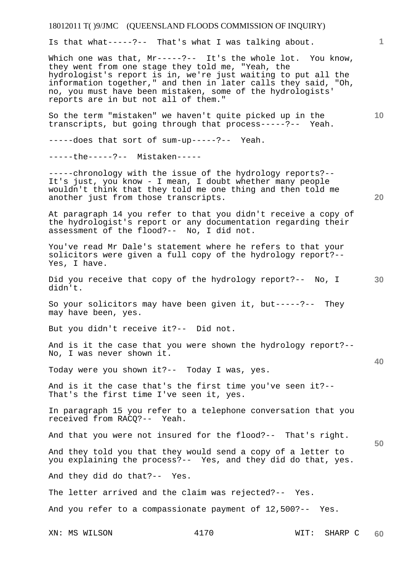Is that what-----?-- That's what I was talking about.

Which one was that, Mr-----?-- It's the whole lot. You know, they went from one stage they told me, "Yeah, the hydrologist's report is in, we're just waiting to put all the information together," and then in later calls they said, "Oh, no, you must have been mistaken, some of the hydrologists' reports are in but not all of them."

So the term "mistaken" we haven't quite picked up in the transcripts, but going through that process-----?-- Yeah.

-----does that sort of sum-up-----?-- Yeah.

-----the-----?-- Mistaken-----

-----chronology with the issue of the hydrology reports?-- It's just, you know - I mean, I doubt whether many people wouldn't think that they told me one thing and then told me another just from those transcripts.

At paragraph 14 you refer to that you didn't receive a copy of the hydrologist's report or any documentation regarding their assessment of the flood?-- No, I did not.

You've read Mr Dale's statement where he refers to that your solicitors were given a full copy of the hydrology report?-- Yes, I have.

**30**  Did you receive that copy of the hydrology report?-- No, I didn't.

So your solicitors may have been given it, but-----?-- They may have been, yes.

But you didn't receive it?-- Did not.

And is it the case that you were shown the hydrology report?-- No, I was never shown it.

Today were you shown it?-- Today I was, yes.

And is it the case that's the first time you've seen it?-- That's the first time I've seen it, yes.

In paragraph 15 you refer to a telephone conversation that you received from RACQ?-- Yeah.

And that you were not insured for the flood?-- That's right.

And they told you that they would send a copy of a letter to you explaining the process?-- Yes, and they did do that, yes.

And they did do that?-- Yes.

The letter arrived and the claim was rejected?-- Yes.

And you refer to a compassionate payment of 12,500?-- Yes.

**20** 

**40** 

**50**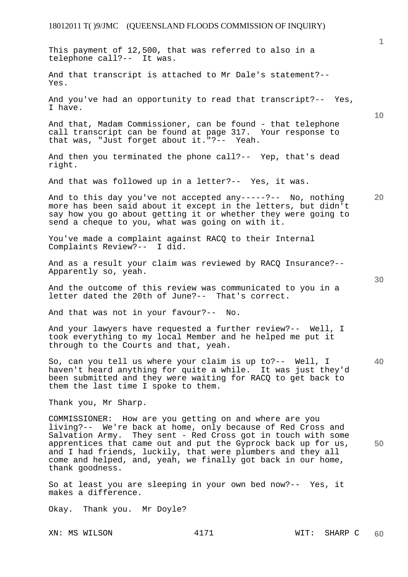XN: MS WILSON 4171 WIT: SHARP C **1 10 20 30 40 50 60**  This payment of 12,500, that was referred to also in a telephone call?-- It was. And that transcript is attached to Mr Dale's statement?-- Yes. And you've had an opportunity to read that transcript?-- Yes, I have. And that, Madam Commissioner, can be found - that telephone call transcript can be found at page 317. Your response to that was, "Just forget about it."?-- Yeah. And then you terminated the phone call?-- Yep, that's dead right. And that was followed up in a letter?-- Yes, it was. And to this day you've not accepted any-----?-- No, nothing more has been said about it except in the letters, but didn't say how you go about getting it or whether they were going to send a cheque to you, what was going on with it. You've made a complaint against RACQ to their Internal Complaints Review?-- I did. And as a result your claim was reviewed by RACQ Insurance?-- Apparently so, yeah. And the outcome of this review was communicated to you in a letter dated the 20th of June?-- That's correct. And that was not in your favour?-- No. And your lawyers have requested a further review?-- Well, I took everything to my local Member and he helped me put it through to the Courts and that, yeah. So, can you tell us where your claim is up to?-- Well, I haven't heard anything for quite a while. It was just they'd been submitted and they were waiting for RACQ to get back to them the last time I spoke to them. Thank you, Mr Sharp. COMMISSIONER: How are you getting on and where are you living?-- We're back at home, only because of Red Cross and Salvation Army. They sent - Red Cross got in touch with some apprentices that came out and put the Gyprock back up for us, and I had friends, luckily, that were plumbers and they all come and helped, and, yeah, we finally got back in our home, thank goodness. So at least you are sleeping in your own bed now?-- Yes, it makes a difference. Okay. Thank you. Mr Doyle?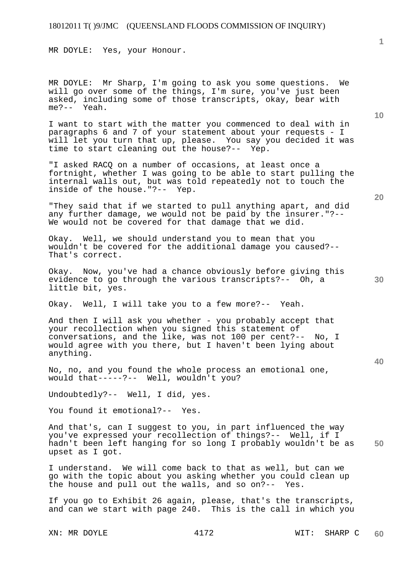MR DOYLE: Yes, your Honour.

MR DOYLE: Mr Sharp, I'm going to ask you some questions. We will go over some of the things, I'm sure, you've just been asked, including some of those transcripts, okay, bear with me?-- Yeah.

I want to start with the matter you commenced to deal with in paragraphs 6 and 7 of your statement about your requests - I will let you turn that up, please. You say you decided it was time to start cleaning out the house?-- Yep.

"I asked RACQ on a number of occasions, at least once a fortnight, whether I was going to be able to start pulling the internal walls out, but was told repeatedly not to touch the inside of the house."?-- Yep.

"They said that if we started to pull anything apart, and did any further damage, we would not be paid by the insurer."?-- We would not be covered for that damage that we did.

Okay. Well, we should understand you to mean that you wouldn't be covered for the additional damage you caused?-- That's correct.

Okay. Now, you've had a chance obviously before giving this evidence to go through the various transcripts?-- Oh, a little bit, yes.

Okay. Well, I will take you to a few more?-- Yeah.

And then I will ask you whether - you probably accept that your recollection when you signed this statement of conversations, and the like, was not 100 per cent?-- No, I would agree with you there, but I haven't been lying about anything.

No, no, and you found the whole process an emotional one, would that-----?-- Well, wouldn't you?

Undoubtedly?-- Well, I did, yes.

You found it emotional?-- Yes.

**50**  And that's, can I suggest to you, in part influenced the way you've expressed your recollection of things?-- Well, if I hadn't been left hanging for so long I probably wouldn't be as upset as I got.

I understand. We will come back to that as well, but can we go with the topic about you asking whether you could clean up the house and pull out the walls, and so on?-- Yes.

If you go to Exhibit 26 again, please, that's the transcripts, and can we start with page 240. This is the call in which you

**10** 

**20**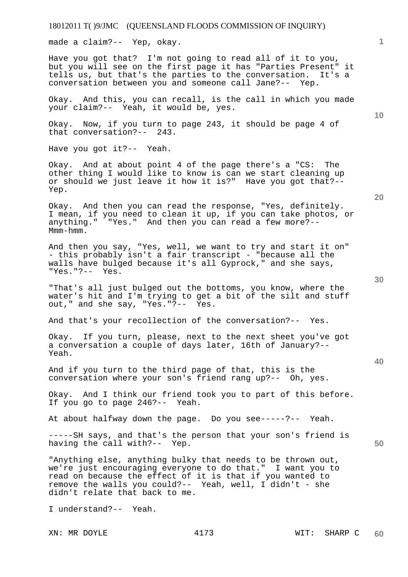made a claim?-- Yep, okay.

Have you got that? I'm not going to read all of it to you, but you will see on the first page it has "Parties Present" it tells us, but that's the parties to the conversation. It's a conversation between you and someone call Jane?-- Yep.

Okay. And this, you can recall, is the call in which you made your claim?-- Yeah, it would be, yes.

Okay. Now, if you turn to page 243, it should be page 4 of that conversation?-- 243.

Have you got it?-- Yeah.

Okay. And at about point 4 of the page there's a "CS: The other thing I would like to know is can we start cleaning up or should we just leave it how it is?" Have you got that?-- Yep.

Okay. And then you can read the response, "Yes, definitely. I mean, if you need to clean it up, if you can take photos, or<br>anything." "Yes." And then you can read a few more?--"Yes." And then you can read a few more?--Mmm-hmm.

And then you say, "Yes, well, we want to try and start it on" - this probably isn't a fair transcript - "because all the walls have bulged because it's all Gyprock," and she says, "Yes."?-- Yes.

"That's all just bulged out the bottoms, you know, where the water's hit and I'm trying to get a bit of the silt and stuff out," and she say, "Yes."?-- Yes.

And that's your recollection of the conversation?-- Yes.

Okay. If you turn, please, next to the next sheet you've got a conversation a couple of days later, 16th of January?-- Yeah.

And if you turn to the third page of that, this is the conversation where your son's friend rang up?-- Oh, yes.

Okay. And I think our friend took you to part of this before. If you go to page 246?-- Yeah.

At about halfway down the page. Do you see-----?-- Yeah.

-----SH says, and that's the person that your son's friend is having the call with?-- Yep.

"Anything else, anything bulky that needs to be thrown out, we're just encouraging everyone to do that." I want you to read on because the effect of it is that if you wanted to remove the walls you could?-- Yeah, well, I didn't - she didn't relate that back to me.

I understand?-- Yeah.

**1**

**50**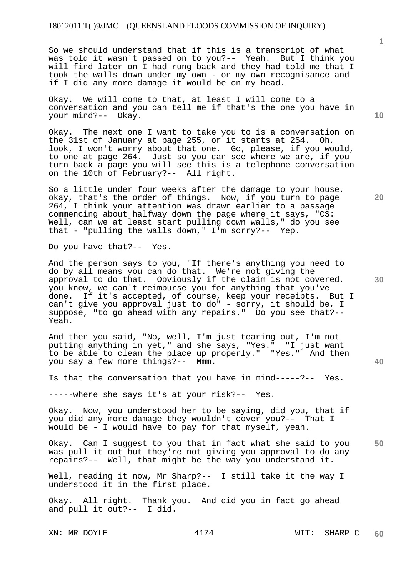So we should understand that if this is a transcript of what was told it wasn't passed on to you?-- Yeah. But I think you will find later on I had rung back and they had told me that I took the walls down under my own - on my own recognisance and if I did any more damage it would be on my head.

Okay. We will come to that, at least I will come to a conversation and you can tell me if that's the one you have in your mind?-- Okay.

Okay. The next one I want to take you to is a conversation on the 31st of January at page 255, or it starts at 254. Oh, look, I won't worry about that one. Go, please, if you would, to one at page 264. Just so you can see where we are, if you turn back a page you will see this is a telephone conversation on the 10th of February?-- All right.

So a little under four weeks after the damage to your house, okay, that's the order of things. Now, if you turn to page 264, I think your attention was drawn earlier to a passage commencing about halfway down the page where it says, "CS: Well, can we at least start pulling down walls," do you see that - "pulling the walls down," I'm sorry?-- Yep.

Do you have that?-- Yes.

And the person says to you, "If there's anything you need to do by all means you can do that. We're not giving the approval to do that. Obviously if the claim is not covered, you know, we can't reimburse you for anything that you've done. If it's accepted, of course, keep your receipts. But I can't give you approval just to do" - sorry, it should be, I suppose, "to go ahead with any repairs." Do you see that?-- Yeah.

And then you said, "No, well, I'm just tearing out, I'm not putting anything in yet," and she says, "Yes." "I just want to be able to clean the place up properly." "Yes." And then you say a few more things?-- Mmm.

Is that the conversation that you have in mind-----?-- Yes.

-----where she says it's at your risk?-- Yes.

Okay. Now, you understood her to be saying, did you, that if you did any more damage they wouldn't cover you?-- That I would be - I would have to pay for that myself, yeah.

**50**  Okay. Can I suggest to you that in fact what she said to you was pull it out but they're not giving you approval to do any repairs?-- Well, that might be the way you understand it.

Well, reading it now, Mr Sharp?-- I still take it the way I understood it in the first place.

Okay. All right. Thank you. And did you in fact go ahead and pull it out?-- I did.

XN: MR DOYLE  $4174$  WIT: SHARP C **60** 

**40** 

**20** 

**10**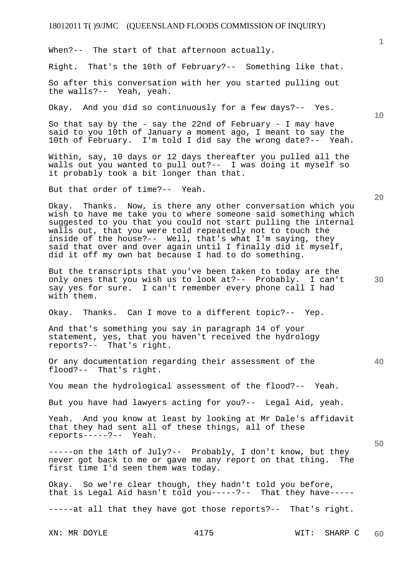When?-- The start of that afternoon actually.

Right. That's the 10th of February?-- Something like that.

So after this conversation with her you started pulling out the walls?-- Yeah, yeah.

Okay. And you did so continuously for a few days?-- Yes.

So that say by the - say the 22nd of February - I may have said to you 10th of January a moment ago, I meant to say the 10th of February. I'm told I did say the wrong date?-- Yeah.

Within, say, 10 days or 12 days thereafter you pulled all the walls out you wanted to pull out?-- I was doing it myself so it probably took a bit longer than that.

But that order of time?-- Yeah.

Okay. Thanks. Now, is there any other conversation which you wish to have me take you to where someone said something which suqqested to you that you could not start pulling the internal walls out, that you were told repeatedly not to touch the inside of the house?-- Well, that's what I'm saying, they said that over and over again until I finally did it myself, did it off my own bat because I had to do something.

But the transcripts that you've been taken to today are the only ones that you wish us to look at?-- Probably. I can't say yes for sure. I can't remember every phone call I had with them.

Okay. Thanks. Can I move to a different topic?-- Yep.

And that's something you say in paragraph 14 of your statement, yes, that you haven't received the hydrology reports?-- That's right.

Or any documentation regarding their assessment of the flood?-- That's right.

You mean the hydrological assessment of the flood?-- Yeah.

But you have had lawyers acting for you?-- Legal Aid, yeah.

Yeah. And you know at least by looking at Mr Dale's affidavit that they had sent all of these things, all of these reports-----?-- Yeah.

-----on the 14th of July?-- Probably, I don't know, but they never got back to me or gave me any report on that thing. The first time I'd seen them was today.

Okay. So we're clear though, they hadn't told you before, that is Legal Aid hasn't told you-----?-- That they have-----

-----at all that they have got those reports?-- That's right.

XN: MR DOYLE 4175 WIT: SHARP C **60** 

**20** 

**30** 

**40** 

**50** 

**10**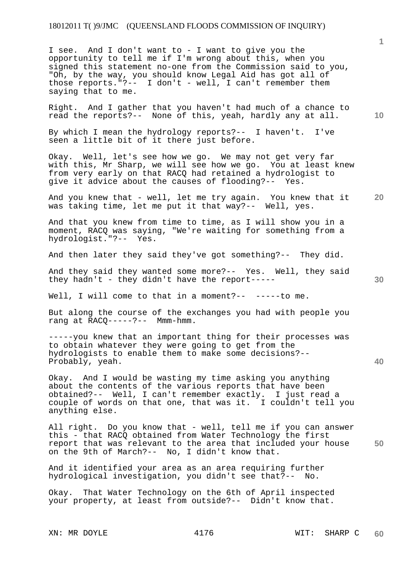I see. And I don't want to - I want to give you the opportunity to tell me if I'm wrong about this, when you signed this statement no-one from the Commission said to you, "Oh, by the way, you should know Legal Aid has got all of those reports."?-- I don't - well, I can't remember them saying that to me.

Right. And I gather that you haven't had much of a chance to read the reports?-- None of this, yeah, hardly any at all.

By which I mean the hydrology reports?-- I haven't. I've seen a little bit of it there just before.

Okay. Well, let's see how we go. We may not get very far with this, Mr Sharp, we will see how we go. You at least knew from very early on that RACQ had retained a hydrologist to give it advice about the causes of flooding?-- Yes.

**20**  And you knew that - well, let me try again. You knew that it was taking time, let me put it that way?-- Well, yes.

And that you knew from time to time, as I will show you in a moment, RACQ was saying, "We're waiting for something from a hydrologist."?-- Yes.

And then later they said they've got something?-- They did.

And they said they wanted some more?-- Yes. Well, they said they hadn't - they didn't have the report-----

Well, I will come to that in a moment?-- -----to me.

But along the course of the exchanges you had with people you rang at RACQ-----?-- Mmm-hmm.

-----you knew that an important thing for their processes was to obtain whatever they were going to get from the hydrologists to enable them to make some decisions?-- Probably, yeah.

Okay. And I would be wasting my time asking you anything about the contents of the various reports that have been obtained?-- Well, I can't remember exactly. I just read a couple of words on that one, that was it. I couldn't tell you anything else.

**50**  All right. Do you know that - well, tell me if you can answer this - that RACQ obtained from Water Technology the first report that was relevant to the area that included your house on the 9th of March?-- No, I didn't know that.

And it identified your area as an area requiring further hydrological investigation, you didn't see that?-- No.

Okay. That Water Technology on the 6th of April inspected your property, at least from outside?-- Didn't know that.

**30** 

**40**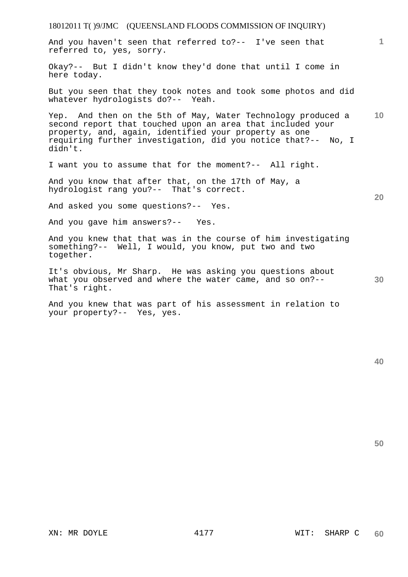18012011 T( )9/JMC (QUEENSLAND FLOODS COMMISSION OF INQUIRY) **1 10 20 30**  And you haven't seen that referred to?-- I've seen that referred to, yes, sorry. Okay?-- But I didn't know they'd done that until I come in here today. But you seen that they took notes and took some photos and did whatever hydrologists do?-- Yeah. Yep. And then on the 5th of May, Water Technology produced a second report that touched upon an area that included your property, and, again, identified your property as one requiring further investigation, did you notice that?-- No, I didn't. I want you to assume that for the moment?-- All right. And you know that after that, on the 17th of May, a hydrologist rang you?-- That's correct. And asked you some questions?-- Yes. And you gave him answers?-- Yes. And you knew that that was in the course of him investigating something?-- Well, I would, you know, put two and two together. It's obvious, Mr Sharp. He was asking you questions about what you observed and where the water came, and so on?--That's right. And you knew that was part of his assessment in relation to your property?-- Yes, yes.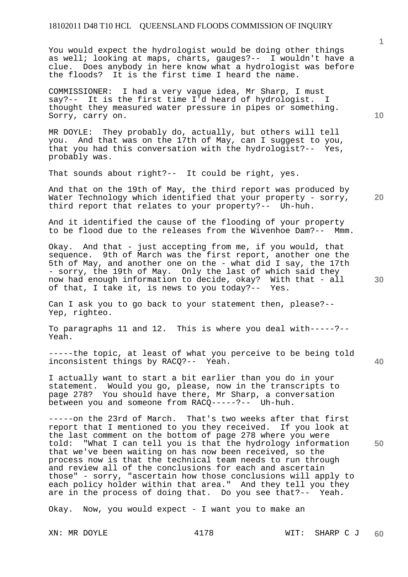You would expect the hydrologist would be doing other things as well; looking at maps, charts, gauges?-- I wouldn't have a clue. Does anybody in here know what a hydrologist was before<br>the floods? It is the first time I heard the name. It is the first time I heard the name.

COMMISSIONER: I had a very vague idea, Mr Sharp, I must say?-- It is the first time I'd heard of hydrologist. I thought they measured water pressure in pipes or something. Sorry, carry on.

MR DOYLE: They probably do, actually, but others will tell you. And that was on the 17th of May, can I suggest to you, that you had this conversation with the hydrologist?-- Yes, probably was.

That sounds about right?-- It could be right, yes.

And that on the 19th of May, the third report was produced by Water Technology which identified that your property - sorry, third report that relates to your property?-- Uh-huh.

And it identified the cause of the flooding of your property to be flood due to the releases from the Wivenhoe Dam?-- Mmm.

Okay. And that - just accepting from me, if you would, that sequence. 9th of March was the first report, another one the 5th of May, and another one on the - what did I say, the 17th - sorry, the 19th of May. Only the last of which said they now had enough information to decide, okay? With that - all of that, I take it, is news to you today?-- Yes.

Can I ask you to go back to your statement then, please?-- Yep, righteo.

To paragraphs 11 and 12. This is where you deal with-----?-- Yeah.

-----the topic, at least of what you perceive to be being told inconsistent things by RACQ?-- Yeah.

I actually want to start a bit earlier than you do in your statement. Would you go, please, now in the transcripts to page 278? You should have there, Mr Sharp, a conversation between you and someone from RACQ-----?-- Uh-huh.

-----on the 23rd of March. That's two weeks after that first report that I mentioned to you they received. If you look at the last comment on the bottom of page 278 where you were told: "What I can tell you is that the hydrology information that we've been waiting on has now been received, so the process now is that the technical team needs to run through and review all of the conclusions for each and ascertain those" - sorry, "ascertain how those conclusions will apply to each policy holder within that area." And they tell you they are in the process of doing that. Do you see that?-- Yeah.

Okay. Now, you would expect  $-$  I want you to make an

**1**

**20** 

**40**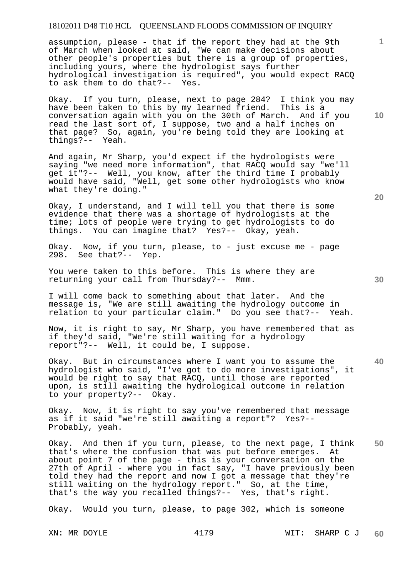assumption, please - that if the report they had at the 9th of March when looked at said, "We can make decisions about other people's properties but there is a group of properties, including yours, where the hydrologist says further hydrological investigation is required", you would expect RACQ to ask them to do that?--

Okay. If you turn, please, next to page 284? I think you may have been taken to this by my learned friend. This is a conversation again with you on the 30th of March. And if you read the last sort of, I suppose, two and a half inches on that page? So, again, you're being told they are looking at things?-- Yeah.

And again, Mr Sharp, you'd expect if the hydrologists were saying "we need more information", that RACQ would say "we'll get it"?-- Well, you know, after the third time I probably would have said, "Well, get some other hydrologists who know what they're doing."

Okay, I understand, and I will tell you that there is some evidence that there was a shortage of hydrologists at the time; lots of people were trying to get hydrologists to do things. You can imagine that? Yes?-- Okay, yeah.

Okay. Now, if you turn, please, to - just excuse me - page 298. See that?-- Yep.

You were taken to this before. This is where they are returning your call from Thursday?-- Mmm.

I will come back to something about that later. And the message is, "We are still awaiting the hydrology outcome in relation to your particular claim." Do you see that?-- Yeah.

Now, it is right to say, Mr Sharp, you have remembered that as if they'd said, "We're still waiting for a hydrology report"?-- Well, it could be, I suppose.

Okay. But in circumstances where I want you to assume the hydrologist who said, "I've got to do more investigations", it would be right to say that RACQ, until those are reported upon, is still awaiting the hydrological outcome in relation to your property?-- Okay.

Okay. Now, it is right to say you've remembered that message as if it said "we're still awaiting a report"? Yes?-- Probably, yeah.

**50**  Okay. And then if you turn, please, to the next page, I think that's where the confusion that was put before emerges. At about point 7 of the page - this is your conversation on the 27th of April - where you in fact say, "I have previously been told they had the report and now I got a message that they're still waiting on the hydrology report." So, at the time, that's the way you recalled things?-- Yes, that's right.

Okay. Would you turn, please, to page 302, which is someone

XN: MR DOYLE  $4179$  WIT: SHARP C J **60** 

**20** 

**40** 

**10**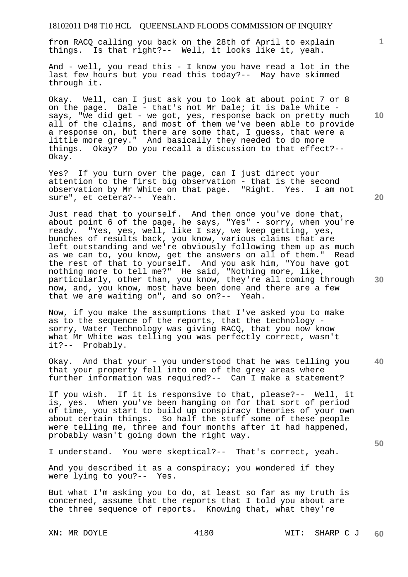from RACQ calling you back on the 28th of April to explain things. Is that right?-- Well, it looks like it, yeah.

And - well, you read this - I know you have read a lot in the last few hours but you read this today?-- May have skimmed through it.

Okay. Well, can I just ask you to look at about point 7 or 8 on the page. Dale - that's not Mr Dale; it is Dale White says, "We did get - we got, yes, response back on pretty much all of the claims, and most of them we've been able to provide a response on, but there are some that, I guess, that were a little more grey." And basically they needed to do more things. Okay? Do you recall a discussion to that effect?-- Okay.

Yes? If you turn over the page, can I just direct your attention to the first big observation - that is the second observation by Mr White on that page. "Right. Yes. I am not sure", et cetera?-- Yeah.

Just read that to yourself. And then once you've done that, about point 6 of the page, he says, "Yes" - sorry, when you're ready. "Yes, yes, well, like I say, we keep getting, yes, bunches of results back, you know, various claims that are left outstanding and we're obviously following them up as much as we can to, you know, get the answers on all of them." Read the rest of that to yourself. And you ask him, "You have got nothing more to tell me?" He said, "Nothing more, like, particularly, other than, you know, they're all coming through now, and, you know, most have been done and there are a few that we are waiting on", and so on?-- Yeah.

Now, if you make the assumptions that I've asked you to make as to the sequence of the reports, that the technology sorry, Water Technology was giving RACQ, that you now know what Mr White was telling you was perfectly correct, wasn't it?-- Probably.

**40**  Okay. And that your - you understood that he was telling you that your property fell into one of the grey areas where further information was required?-- Can I make a statement?

If you wish. If it is responsive to that, please?-- Well, it is, yes. When you've been hanging on for that sort of period of time, you start to build up conspiracy theories of your own about certain things. So half the stuff some of these people were telling me, three and four months after it had happened, probably wasn't going down the right way.

I understand. You were skeptical?-- That's correct, yeah.

And you described it as a conspiracy; you wondered if they were lying to you?-- Yes.

But what I'm asking you to do, at least so far as my truth is concerned, assume that the reports that I told you about are the three sequence of reports. Knowing that, what they're

**10** 

**1**

**20**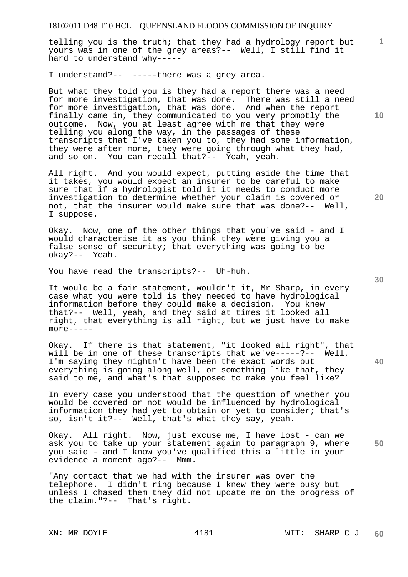telling you is the truth; that they had a hydrology report but yours was in one of the grey areas?-- Well, I still find it hard to understand why-----

I understand?-- -----there was a grey area.

But what they told you is they had a report there was a need for more investigation, that was done. There was still a need for more investigation, that was done. And when the report finally came in, they communicated to you very promptly the outcome. Now, you at least agree with me that they were telling you along the way, in the passages of these transcripts that I've taken you to, they had some information, they were after more, they were going through what they had, and so on. You can recall that?-- Yeah, yeah.

All right. And you would expect, putting aside the time that it takes, you would expect an insurer to be careful to make sure that if a hydrologist told it it needs to conduct more investigation to determine whether your claim is covered or not, that the insurer would make sure that was done?-- Well, I suppose.

Okay. Now, one of the other things that you've said - and I would characterise it as you think they were giving you a false sense of security; that everything was going to be okay?-- Yeah.

You have read the transcripts?-- Uh-huh.

It would be a fair statement, wouldn't it, Mr Sharp, in every case what you were told is they needed to have hydrological information before they could make a decision. You knew that?-- Well, yeah, and they said at times it looked all right, that everything is all right, but we just have to make more-----

Okay. If there is that statement, "it looked all right", that will be in one of these transcripts that we've-----?-- Well, I'm saying they mightn't have been the exact words but everything is going along well, or something like that, they said to me, and what's that supposed to make you feel like?

In every case you understood that the question of whether you would be covered or not would be influenced by hydrological information they had yet to obtain or yet to consider; that's so, isn't it?-- Well, that's what they say, yeah.

Okay. All right. Now, just excuse me, I have lost - can we ask you to take up your statement again to paragraph 9, where you said - and I know you've qualified this a little in your evidence a moment ago?-- Mmm.

"Any contact that we had with the insurer was over the telephone. I didn't ring because I knew they were busy but unless I chased them they did not update me on the progress of the claim."?-- That's right.

**10** 

**1**

**30** 

**40** 

**50**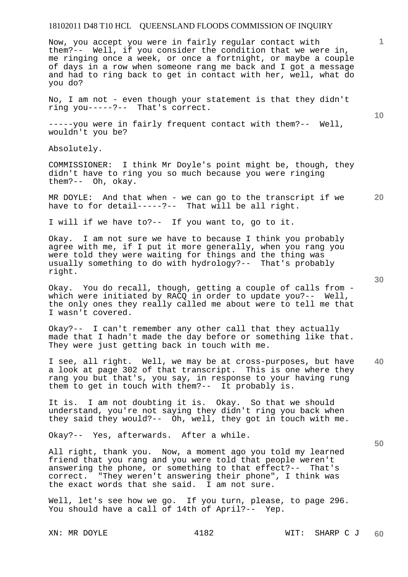Now, you accept you were in fairly regular contact with them?-- Well, if you consider the condition that we were in, me ringing once a week, or once a fortnight, or maybe a couple of days in a row when someone rang me back and I got a message and had to ring back to get in contact with her, well, what do you do?

No, I am not - even though your statement is that they didn't ring you-----?-- That's correct.

-----you were in fairly frequent contact with them?-- Well, wouldn't you be?

Absolutely.

COMMISSIONER: I think Mr Doyle's point might be, though, they didn't have to ring you so much because you were ringing them?-- Oh, okay.

MR DOYLE: And that when - we can go to the transcript if we have to for detail-----?-- That will be all right.

I will if we have to?-- If you want to, go to it.

Okay. I am not sure we have to because I think you probably agree with me, if I put it more generally, when you rang you were told they were waiting for things and the thing was usually something to do with hydrology?-- That's probably right.

Okay. You do recall, though, getting a couple of calls from which were initiated by RACQ in order to update you?-- Well, the only ones they really called me about were to tell me that I wasn't covered.

Okay?-- I can't remember any other call that they actually made that I hadn't made the day before or something like that. They were just getting back in touch with me.

**40**  I see, all right. Well, we may be at cross-purposes, but have a look at page 302 of that transcript. This is one where they rang you but that's, you say, in response to your having rung them to get in touch with them?-- It probably is.

It is. I am not doubting it is. Okay. So that we should understand, you're not saying they didn't ring you back when they said they would?-- Oh, well, they got in touch with me.

Okay?-- Yes, afterwards. After a while.

All right, thank you. Now, a moment ago you told my learned friend that you rang and you were told that people weren't answering the phone, or something to that effect?-- That's correct. "They weren't answering their phone", I think was the exact words that she said. I am not sure.

Well, let's see how we go. If you turn, please, to page 296. You should have a call of 14th of April?-- Yep.

**30** 

**20** 

**10** 

**1**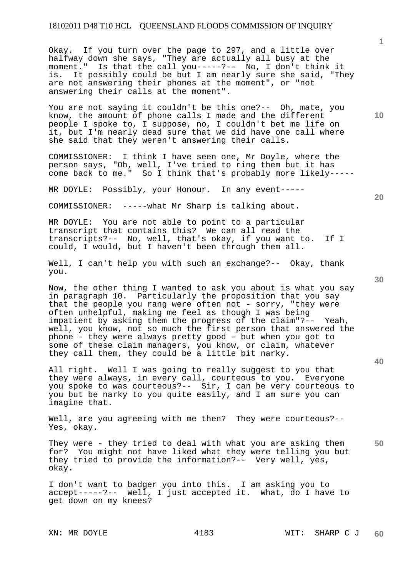Okay. If you turn over the page to 297, and a little over halfway down she says, "They are actually all busy at the moment." Is that the call you-----?-- No, I don't think it is. It possibly could be but I am nearly sure she said, "They are not answering their phones at the moment", or "not answering their calls at the moment".

You are not saying it couldn't be this one?-- Oh, mate, you know, the amount of phone calls I made and the different people I spoke to, I suppose, no, I couldn't bet me life on it, but I'm nearly dead sure that we did have one call where she said that they weren't answering their calls.

COMMISSIONER: I think I have seen one, Mr Doyle, where the person says, "Oh, well, I've tried to ring them but it has come back to me." So I think that's probably more likely-----

MR DOYLE: Possibly, your Honour. In any event-----

COMMISSIONER: -----what Mr Sharp is talking about.

MR DOYLE: You are not able to point to a particular transcript that contains this? We can all read the transcripts?-- No, well, that's okay, if you want to. If I could, I would, but I haven't been through them all.

Well, I can't help you with such an exchange?-- Okay, thank you.

Now, the other thing I wanted to ask you about is what you say in paragraph 10. Particularly the proposition that you say that the people you rang were often not - sorry, "they were often unhelpful, making me feel as though I was being impatient by asking them the progress of the claim"?-- Yeah, well, you know, not so much the first person that answered the phone - they were always pretty good - but when you got to some of these claim managers, you know, or claim, whatever they call them, they could be a little bit narky.

All right. Well I was going to really suggest to you that they were always, in every call, courteous to you. Everyone you spoke to was courteous?-- Sir, I can be very courteous to you but be narky to you quite easily, and I am sure you can imagine that.

Well, are you agreeing with me then? They were courteous?--Yes, okay.

**50**  They were - they tried to deal with what you are asking them for? You might not have liked what they were telling you but they tried to provide the information?-- Very well, yes, okay.

I don't want to badger you into this. I am asking you to accept-----?-- Well, I just accepted it. What, do I have to get down on my knees?

**10** 

**1**

**20** 

**40**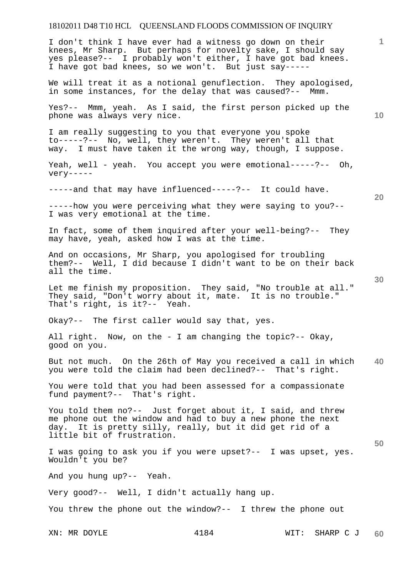I don't think I have ever had a witness go down on their knees, Mr Sharp. But perhaps for novelty sake, I should say yes please?-- I probably won't either, I have got bad knees. I have got bad knees, so we won't. But just say-----

We will treat it as a notional genuflection. They apologised, in some instances, for the delay that was caused?-- Mmm.

Yes?-- Mmm, yeah. As I said, the first person picked up the phone was always very nice.

I am really suggesting to you that everyone you spoke to-----?-- No, well, they weren't. They weren't all that way. I must have taken it the wrong way, though, I suppose.

Yeah, well - yeah. You accept you were emotional-----?-- Oh, very-----

-----and that may have influenced-----?-- It could have.

-----how you were perceiving what they were saying to you?-- I was very emotional at the time.

In fact, some of them inquired after your well-being?-- They may have, yeah, asked how I was at the time.

And on occasions, Mr Sharp, you apologised for troubling them?-- Well, I did because I didn't want to be on their back all the time.

Let me finish my proposition. They said, "No trouble at all." They said, "Don't worry about it, mate. It is no trouble." That's right, is it?-- Yeah.

Okay?-- The first caller would say that, yes.

All right. Now, on the - I am changing the topic?-- Okay, good on you.

**40**  But not much. On the 26th of May you received a call in which you were told the claim had been declined?-- That's right.

You were told that you had been assessed for a compassionate fund payment?-- That's right.

You told them no?-- Just forget about it, I said, and threw me phone out the window and had to buy a new phone the next day. It is pretty silly, really, but it did get rid of a little bit of frustration.

I was going to ask you if you were upset?-- I was upset, yes. Wouldn't you be?

And you hung up?-- Yeah.

Very good?-- Well, I didn't actually hang up.

You threw the phone out the window?-- I threw the phone out

**10** 

**20**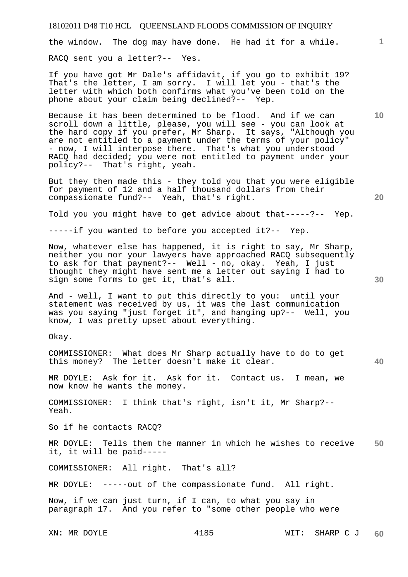the window. The dog may have done. He had it for a while.

RACQ sent you a letter?-- Yes.

If you have got Mr Dale's affidavit, if you go to exhibit 19? That's the letter, I am sorry. I will let you - that's the letter with which both confirms what you've been told on the phone about your claim being declined?-- Yep.

Because it has been determined to be flood. And if we can scroll down a little, please, you will see - you can look at the hard copy if you prefer, Mr Sharp. It says, "Although you are not entitled to a payment under the terms of your policy" - now, I will interpose there. That's what you understood RACQ had decided; you were not entitled to payment under your policy?-- That's right, yeah.

But they then made this - they told you that you were eligible for payment of 12 and a half thousand dollars from their compassionate fund?-- Yeah, that's right.

Told you you might have to get advice about that-----?-- Yep.

-----if you wanted to before you accepted it?-- Yep.

Now, whatever else has happened, it is right to say, Mr Sharp, neither you nor your lawyers have approached RACQ subsequently to ask for that payment?-- Well - no, okay. Yeah, I just thought they might have sent me a letter out saying I had to sign some forms to get it, that's all.

And - well, I want to put this directly to you: until your statement was received by us, it was the last communication was you saying "just forget it", and hanging up?-- Well, you know, I was pretty upset about everything.

Okay.

COMMISSIONER: What does Mr Sharp actually have to do to get this money? The letter doesn't make it clear.

MR DOYLE: Ask for it. Ask for it. Contact us. I mean, we now know he wants the money.

COMMISSIONER: I think that's right, isn't it, Mr Sharp?-- Yeah.

So if he contacts RACQ?

**50**  MR DOYLE: Tells them the manner in which he wishes to receive it, it will be paid-----

COMMISSIONER: All right. That's all?

MR DOYLE: -----out of the compassionate fund. All right.

Now, if we can just turn, if I can, to what you say in paragraph 17. And you refer to "some other people who were

XN: MR DOYLE 4185 WIT: SHARP C J **60** 

**20** 

**40** 

**10**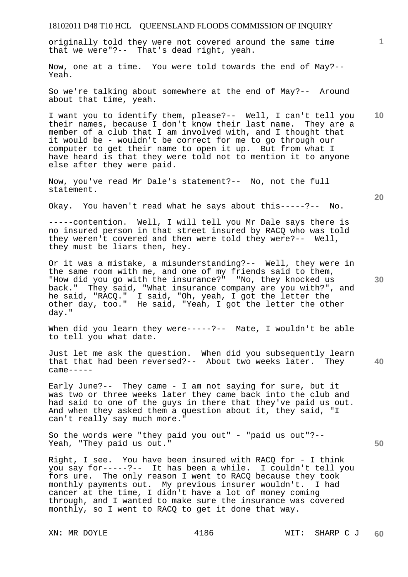originally told they were not covered around the same time that we were"?-- That's dead right, yeah.

Now, one at a time. You were told towards the end of May?-- Yeah.

So we're talking about somewhere at the end of May?-- Around about that time, yeah.

**10**  I want you to identify them, please?-- Well, I can't tell you their names, because I don't know their last name. They are a member of a club that I am involved with, and I thought that it would be - wouldn't be correct for me to go through our computer to get their name to open it up. But from what I have heard is that they were told not to mention it to anyone else after they were paid.

Now, you've read Mr Dale's statement?-- No, not the full statement.

Okay. You haven't read what he says about this-----?-- No.

-----contention. Well, I will tell you Mr Dale says there is no insured person in that street insured by RACQ who was told they weren't covered and then were told they were?-- Well, they must be liars then, hey.

Or it was a mistake, a misunderstanding?-- Well, they were in the same room with me, and one of my friends said to them, "How did you go with the insurance?" "No, they knocked us back." They said, "What insurance company are you with?", and he said, "RACQ." I said, "Oh, yeah, I got the letter the other day, too." He said, "Yeah, I got the letter the other day."

When did you learn they were-----?-- Mate, I wouldn't be able to tell you what date.

Just let me ask the question. When did you subsequently learn that that had been reversed?-- About two weeks later. They  $came---$ 

Early June?-- They came - I am not saying for sure, but it was two or three weeks later they came back into the club and had said to one of the guys in there that they've paid us out. And when they asked them a question about it, they said, "I can't really say much more."

So the words were "they paid you out" - "paid us out"?-- Yeah, "They paid us out."

Right, I see. You have been insured with RACQ for - I think you say for-----?-- It has been a while. I couldn't tell you fors ure. The only reason I went to RACQ because they took<br>monthly payments out. My previous insurer wouldn't. I had monthly payments out. My previous insurer wouldn't. cancer at the time, I didn't have a lot of money coming through, and I wanted to make sure the insurance was covered monthly, so I went to RACQ to get it done that way.

**20** 

**40** 

**30**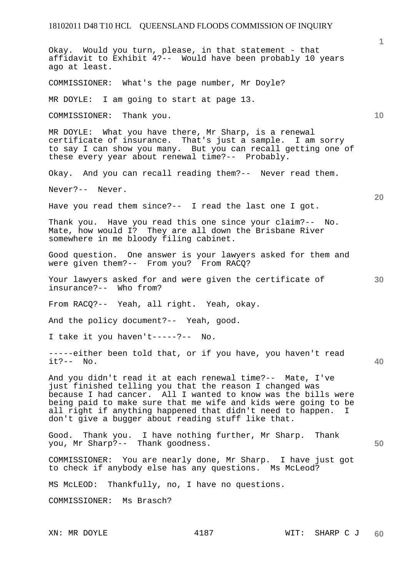**1 10 20 30 40 50**  Okay. Would you turn, please, in that statement - that affidavit to Exhibit 4?-- Would have been probably 10 years ago at least. COMMISSIONER: What's the page number, Mr Doyle? MR DOYLE: I am going to start at page 13. COMMISSIONER: Thank you. MR DOYLE: What you have there, Mr Sharp, is a renewal certificate of insurance. That's just a sample. I am sorry to say I can show you many. But you can recall getting one of these every year about renewal time?-- Probably. Okay. And you can recall reading them?-- Never read them. Never?-- Never. Have you read them since?-- I read the last one I got. Thank you. Have you read this one since your claim?-- No. Mate, how would I? They are all down the Brisbane River somewhere in me bloody filing cabinet. Good question. One answer is your lawyers asked for them and were given them?-- From you? From RACQ? Your lawyers asked for and were given the certificate of insurance?-- Who from? From RACQ?-- Yeah, all right. Yeah, okay. And the policy document?-- Yeah, good. I take it you haven't-----?-- No. -----either been told that, or if you have, you haven't read it?-- No. And you didn't read it at each renewal time?-- Mate, I've just finished telling you that the reason I changed was because I had cancer. All I wanted to know was the bills were being paid to make sure that me wife and kids were going to be all right if anything happened that didn't need to happen. I don't give a bugger about reading stuff like that. Good. Thank you. I have nothing further, Mr Sharp. Thank you, Mr Sharp?-- Thank goodness. COMMISSIONER: You are nearly done, Mr Sharp. I have just got to check if anybody else has any questions. Ms McLeod? MS McLEOD: Thankfully, no, I have no questions. COMMISSIONER: Ms Brasch?